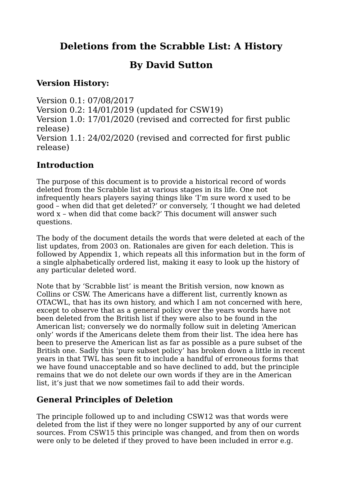# **Deletions from the Scrabble List: A History**

# **By David Sutton**

### **Version History:**

Version 0.1: 07/08/2017 Version 0.2: 14/01/2019 (updated for CSW19) Version 1.0: 17/01/2020 (revised and corrected for first public release) Version 1.1: 24/02/2020 (revised and corrected for first public release)

# **Introduction**

The purpose of this document is to provide a historical record of words deleted from the Scrabble list at various stages in its life. One not infrequently hears players saying things like 'I'm sure word x used to be good – when did that get deleted?' or conversely, 'I thought we had deleted word x – when did that come back?' This document will answer such questions.

The body of the document details the words that were deleted at each of the list updates, from 2003 on. Rationales are given for each deletion. This is followed by Appendix 1, which repeats all this information but in the form of a single alphabetically ordered list, making it easy to look up the history of any particular deleted word.

Note that by 'Scrabble list' is meant the British version, now known as Collins or CSW. The Americans have a different list, currently known as OTACWL, that has its own history, and which I am not concerned with here, except to observe that as a general policy over the years words have not been deleted from the British list if they were also to be found in the American list; conversely we do normally follow suit in deleting 'American only' words if the Americans delete them from their list. The idea here has been to preserve the American list as far as possible as a pure subset of the British one. Sadly this 'pure subset policy' has broken down a little in recent years in that TWL has seen fit to include a handful of erroneous forms that we have found unacceptable and so have declined to add, but the principle remains that we do not delete our own words if they are in the American list, it's just that we now sometimes fail to add their words.

# **General Principles of Deletion**

The principle followed up to and including CSW12 was that words were deleted from the list if they were no longer supported by any of our current sources. From CSW15 this principle was changed, and from then on words were only to be deleted if they proved to have been included in error e.g.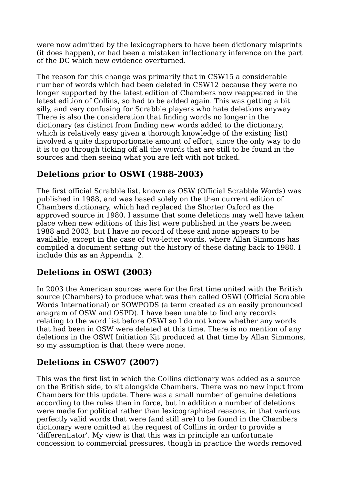were now admitted by the lexicographers to have been dictionary misprints (it does happen), or had been a mistaken inflectionary inference on the part of the DC which new evidence overturned.

The reason for this change was primarily that in CSW15 a considerable number of words which had been deleted in CSW12 because they were no longer supported by the latest edition of Chambers now reappeared in the latest edition of Collins, so had to be added again. This was getting a bit silly, and very confusing for Scrabble players who hate deletions anyway. There is also the consideration that finding words no longer in the dictionary (as distinct from finding new words added to the dictionary, which is relatively easy given a thorough knowledge of the existing list) involved a quite disproportionate amount of effort, since the only way to do it is to go through ticking off all the words that are still to be found in the sources and then seeing what you are left with not ticked.

# **Deletions prior to OSWI (1988-2003)**

The first official Scrabble list, known as OSW (Official Scrabble Words) was published in 1988, and was based solely on the then current edition of Chambers dictionary, which had replaced the Shorter Oxford as the approved source in 1980. I assume that some deletions may well have taken place when new editions of this list were published in the years between 1988 and 2003, but I have no record of these and none appears to be available, except in the case of two-letter words, where Allan Simmons has compiled a document setting out the history of these dating back to 1980. I include this as an Appendix 2.

# **Deletions in OSWI (2003)**

In 2003 the American sources were for the first time united with the British source (Chambers) to produce what was then called OSWI (Official Scrabble Words International) or SOWPODS (a term created as an easily pronounced anagram of OSW and OSPD). I have been unable to find any records relating to the word list before OSWI so I do not know whether any words that had been in OSW were deleted at this time. There is no mention of any deletions in the OSWI Initiation Kit produced at that time by Allan Simmons, so my assumption is that there were none.

# **Deletions in CSW07 (2007)**

This was the first list in which the Collins dictionary was added as a source on the British side, to sit alongside Chambers. There was no new input from Chambers for this update. There was a small number of genuine deletions according to the rules then in force, but in addition a number of deletions were made for political rather than lexicographical reasons, in that various perfectly valid words that were (and still are) to be found in the Chambers dictionary were omitted at the request of Collins in order to provide a 'differentiator'. My view is that this was in principle an unfortunate concession to commercial pressures, though in practice the words removed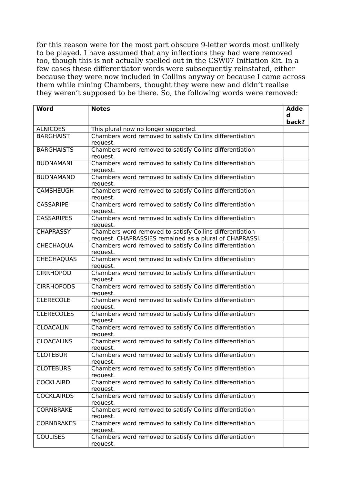for this reason were for the most part obscure 9-letter words most unlikely to be played. I have assumed that any inflections they had were removed too, though this is not actually spelled out in the CSW07 Initiation Kit. In a few cases these differentiator words were subsequently reinstated, either because they were now included in Collins anyway or because I came across them while mining Chambers, thought they were new and didn't realise they weren't supposed to be there. So, the following words were removed:

| <b>Word</b>       | <b>Notes</b>                                                                                                        | <b>Adde</b><br>d |
|-------------------|---------------------------------------------------------------------------------------------------------------------|------------------|
|                   |                                                                                                                     | back?            |
| <b>ALNICOES</b>   | This plural now no longer supported.                                                                                |                  |
| <b>BARGHAIST</b>  | Chambers word removed to satisfy Collins differentiation<br>request.                                                |                  |
| <b>BARGHAISTS</b> | Chambers word removed to satisfy Collins differentiation<br>request.                                                |                  |
| <b>BUONAMANI</b>  | Chambers word removed to satisfy Collins differentiation<br>request.                                                |                  |
| <b>BUONAMANO</b>  | Chambers word removed to satisfy Collins differentiation<br>request.                                                |                  |
| <b>CAMSHEUGH</b>  | Chambers word removed to satisfy Collins differentiation<br>request.                                                |                  |
| <b>CASSARIPE</b>  | Chambers word removed to satisfy Collins differentiation<br>request.                                                |                  |
| <b>CASSARIPES</b> | Chambers word removed to satisfy Collins differentiation<br>request.                                                |                  |
| <b>CHAPRASSY</b>  | Chambers word removed to satisfy Collins differentiation<br>request. CHAPRASSIES remained as a plural of CHAPRASSI. |                  |
| <b>CHECHAQUA</b>  | Chambers word removed to satisfy Collins differentiation<br>request.                                                |                  |
| <b>CHECHAQUAS</b> | Chambers word removed to satisfy Collins differentiation<br>request.                                                |                  |
| <b>CIRRHOPOD</b>  | Chambers word removed to satisfy Collins differentiation<br>request.                                                |                  |
| <b>CIRRHOPODS</b> | Chambers word removed to satisfy Collins differentiation<br>request.                                                |                  |
| <b>CLERECOLE</b>  | Chambers word removed to satisfy Collins differentiation<br>request.                                                |                  |
| <b>CLERECOLES</b> | Chambers word removed to satisfy Collins differentiation<br>request.                                                |                  |
| <b>CLOACALIN</b>  | Chambers word removed to satisfy Collins differentiation<br>request.                                                |                  |
| <b>CLOACALINS</b> | Chambers word removed to satisfy Collins differentiation<br>request.                                                |                  |
| <b>CLOTEBUR</b>   | Chambers word removed to satisfy Collins differentiation<br>request.                                                |                  |
| <b>CLOTEBURS</b>  | Chambers word removed to satisfy Collins differentiation<br>request.                                                |                  |
| <b>COCKLAIRD</b>  | Chambers word removed to satisfy Collins differentiation<br>request.                                                |                  |
| <b>COCKLAIRDS</b> | Chambers word removed to satisfy Collins differentiation<br>request.                                                |                  |
| <b>CORNBRAKE</b>  | Chambers word removed to satisfy Collins differentiation<br>request.                                                |                  |
| <b>CORNBRAKES</b> | Chambers word removed to satisfy Collins differentiation<br>request.                                                |                  |
| <b>COULISES</b>   | Chambers word removed to satisfy Collins differentiation<br>request.                                                |                  |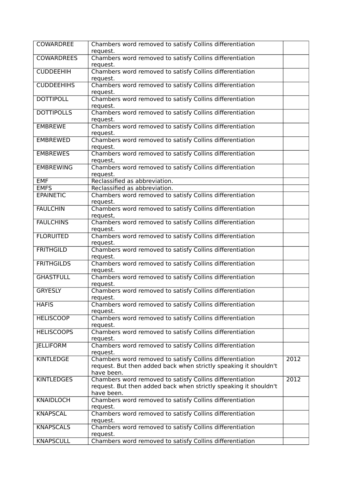| <b>COWARDREE</b>  | Chambers word removed to satisfy Collins differentiation<br>request.                                                                       |      |
|-------------------|--------------------------------------------------------------------------------------------------------------------------------------------|------|
| <b>COWARDREES</b> | Chambers word removed to satisfy Collins differentiation<br>request.                                                                       |      |
| <b>CUDDEEHIH</b>  | Chambers word removed to satisfy Collins differentiation<br>request.                                                                       |      |
| <b>CUDDEEHIHS</b> | Chambers word removed to satisfy Collins differentiation<br>request.                                                                       |      |
| <b>DOTTIPOLL</b>  | Chambers word removed to satisfy Collins differentiation<br>request.                                                                       |      |
| <b>DOTTIPOLLS</b> | Chambers word removed to satisfy Collins differentiation<br>request.                                                                       |      |
| <b>EMBREWE</b>    | Chambers word removed to satisfy Collins differentiation<br>request.                                                                       |      |
| <b>EMBREWED</b>   | Chambers word removed to satisfy Collins differentiation<br>request.                                                                       |      |
| <b>EMBREWES</b>   | Chambers word removed to satisfy Collins differentiation<br>request,                                                                       |      |
| <b>EMBREWING</b>  | Chambers word removed to satisfy Collins differentiation<br>request.                                                                       |      |
| <b>EMF</b>        | Reclassified as abbreviation.                                                                                                              |      |
| <b>EMFS</b>       | Reclassified as abbreviation.                                                                                                              |      |
| <b>EPAINETIC</b>  | Chambers word removed to satisfy Collins differentiation<br>request.                                                                       |      |
| <b>FAULCHIN</b>   | Chambers word removed to satisfy Collins differentiation<br>request,                                                                       |      |
| <b>FAULCHINS</b>  | Chambers word removed to satisfy Collins differentiation<br>request.                                                                       |      |
| <b>FLORUITED</b>  | Chambers word removed to satisfy Collins differentiation<br>request.                                                                       |      |
| <b>FRITHGILD</b>  | Chambers word removed to satisfy Collins differentiation<br>request.                                                                       |      |
| <b>FRITHGILDS</b> | Chambers word removed to satisfy Collins differentiation<br>request.                                                                       |      |
| <b>GHASTFULL</b>  | Chambers word removed to satisfy Collins differentiation<br>request.                                                                       |      |
| <b>GRYESLY</b>    | Chambers word removed to satisfy Collins differentiation<br>request.                                                                       |      |
| <b>HAFIS</b>      | Chambers word removed to satisfy Collins differentiation<br>request.                                                                       |      |
| <b>HELISCOOP</b>  | Chambers word removed to satisfy Collins differentiation<br>request.                                                                       |      |
| <b>HELISCOOPS</b> | Chambers word removed to satisfy Collins differentiation<br>request.                                                                       |      |
| <b>JELLIFORM</b>  | Chambers word removed to satisfy Collins differentiation<br>request.                                                                       |      |
| <b>KINTLEDGE</b>  | Chambers word removed to satisfy Collins differentiation<br>request. But then added back when strictly speaking it shouldn't<br>have been. | 2012 |
| <b>KINTLEDGES</b> | Chambers word removed to satisfy Collins differentiation<br>request. But then added back when strictly speaking it shouldn't<br>have been. | 2012 |
| <b>KNAIDLOCH</b>  | Chambers word removed to satisfy Collins differentiation<br>request.                                                                       |      |
| <b>KNAPSCAL</b>   | Chambers word removed to satisfy Collins differentiation<br>request.                                                                       |      |
| <b>KNAPSCALS</b>  | Chambers word removed to satisfy Collins differentiation<br>request.                                                                       |      |
| <b>KNAPSCULL</b>  | Chambers word removed to satisfy Collins differentiation                                                                                   |      |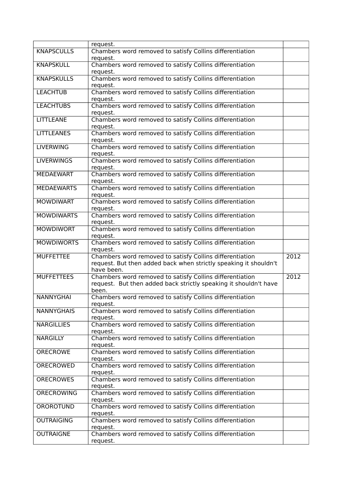|                   | request.                                                                                                                                   |      |
|-------------------|--------------------------------------------------------------------------------------------------------------------------------------------|------|
| <b>KNAPSCULLS</b> | Chambers word removed to satisfy Collins differentiation<br>request.                                                                       |      |
| <b>KNAPSKULL</b>  | Chambers word removed to satisfy Collins differentiation<br>request.                                                                       |      |
| <b>KNAPSKULLS</b> | Chambers word removed to satisfy Collins differentiation<br>request.                                                                       |      |
| <b>LEACHTUB</b>   | Chambers word removed to satisfy Collins differentiation<br>request.                                                                       |      |
| <b>LEACHTUBS</b>  | Chambers word removed to satisfy Collins differentiation<br>request.                                                                       |      |
| <b>LITTLEANE</b>  | Chambers word removed to satisfy Collins differentiation<br>request.                                                                       |      |
| <b>LITTLEANES</b> | Chambers word removed to satisfy Collins differentiation<br>request.                                                                       |      |
| <b>LIVERWING</b>  | Chambers word removed to satisfy Collins differentiation<br>request.                                                                       |      |
| <b>LIVERWINGS</b> | Chambers word removed to satisfy Collins differentiation<br>request.                                                                       |      |
| <b>MEDAEWART</b>  | Chambers word removed to satisfy Collins differentiation<br>request.                                                                       |      |
| <b>MEDAEWARTS</b> | Chambers word removed to satisfy Collins differentiation<br>request.                                                                       |      |
| <b>MOWDIWART</b>  | Chambers word removed to satisfy Collins differentiation<br>request.                                                                       |      |
| <b>MOWDIWARTS</b> | Chambers word removed to satisfy Collins differentiation<br>request.                                                                       |      |
| <b>MOWDIWORT</b>  | Chambers word removed to satisfy Collins differentiation<br>request.                                                                       |      |
| <b>MOWDIWORTS</b> | Chambers word removed to satisfy Collins differentiation<br>request.                                                                       |      |
| <b>MUFFETTEE</b>  | Chambers word removed to satisfy Collins differentiation<br>request. But then added back when strictly speaking it shouldn't<br>have been. | 2012 |
| <b>MUFFETTEES</b> | Chambers word removed to satisfy Collins differentiation<br>request. But then added back strictly speaking it shouldn't have<br>been.      | 2012 |
| NANNYGHAI         | Chambers word removed to satisfy Collins differentiation<br>request.                                                                       |      |
| <b>NANNYGHAIS</b> | Chambers word removed to satisfy Collins differentiation<br>request.                                                                       |      |
| <b>NARGILLIES</b> | Chambers word removed to satisfy Collins differentiation<br>request.                                                                       |      |
| <b>NARGILLY</b>   | Chambers word removed to satisfy Collins differentiation<br>request.                                                                       |      |
| <b>ORECROWE</b>   | Chambers word removed to satisfy Collins differentiation<br>request.                                                                       |      |
| <b>ORECROWED</b>  | Chambers word removed to satisfy Collins differentiation<br>request.                                                                       |      |
| <b>ORECROWES</b>  | Chambers word removed to satisfy Collins differentiation<br>request.                                                                       |      |
| <b>ORECROWING</b> | Chambers word removed to satisfy Collins differentiation<br>request.                                                                       |      |
| OROROTUND         | Chambers word removed to satisfy Collins differentiation<br>request.                                                                       |      |
| <b>OUTRAIGING</b> | Chambers word removed to satisfy Collins differentiation<br>request.                                                                       |      |
| <b>OUTRAIGNE</b>  | Chambers word removed to satisfy Collins differentiation<br>request.                                                                       |      |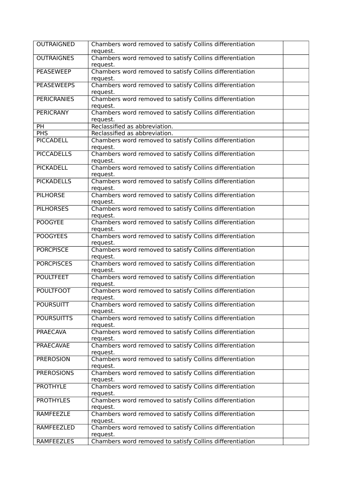| <b>OUTRAIGNED</b>  | Chambers word removed to satisfy Collins differentiation<br>request. |
|--------------------|----------------------------------------------------------------------|
| <b>OUTRAIGNES</b>  | Chambers word removed to satisfy Collins differentiation<br>request. |
| <b>PEASEWEEP</b>   | Chambers word removed to satisfy Collins differentiation<br>request. |
| <b>PEASEWEEPS</b>  | Chambers word removed to satisfy Collins differentiation<br>request. |
| <b>PERICRANIES</b> | Chambers word removed to satisfy Collins differentiation<br>request. |
| <b>PERICRANY</b>   | Chambers word removed to satisfy Collins differentiation<br>request. |
| PH                 | Reclassified as abbreviation.                                        |
| <b>PHS</b>         | Reclassified as abbreviation.                                        |
| <b>PICCADELL</b>   | Chambers word removed to satisfy Collins differentiation<br>request. |
| <b>PICCADELLS</b>  | Chambers word removed to satisfy Collins differentiation<br>request. |
| <b>PICKADELL</b>   | Chambers word removed to satisfy Collins differentiation<br>request. |
| <b>PICKADELLS</b>  | Chambers word removed to satisfy Collins differentiation<br>request. |
| <b>PILHORSE</b>    | Chambers word removed to satisfy Collins differentiation<br>request. |
| <b>PILHORSES</b>   | Chambers word removed to satisfy Collins differentiation<br>request. |
| <b>POOGYEE</b>     | Chambers word removed to satisfy Collins differentiation<br>request. |
| <b>POOGYEES</b>    | Chambers word removed to satisfy Collins differentiation<br>request. |
| <b>PORCPISCE</b>   | Chambers word removed to satisfy Collins differentiation<br>request. |
| <b>PORCPISCES</b>  | Chambers word removed to satisfy Collins differentiation<br>request. |
| <b>POULTFEET</b>   | Chambers word removed to satisfy Collins differentiation<br>request. |
| <b>POULTFOOT</b>   | Chambers word removed to satisfy Collins differentiation<br>request. |
| <b>POURSUITT</b>   | Chambers word removed to satisfy Collins differentiation<br>request. |
| <b>POURSUITTS</b>  | Chambers word removed to satisfy Collins differentiation<br>request. |
| <b>PRAECAVA</b>    | Chambers word removed to satisfy Collins differentiation<br>request. |
| <b>PRAECAVAE</b>   | Chambers word removed to satisfy Collins differentiation<br>request. |
| <b>PREROSION</b>   | Chambers word removed to satisfy Collins differentiation<br>request. |
| <b>PREROSIONS</b>  | Chambers word removed to satisfy Collins differentiation<br>request. |
| <b>PROTHYLE</b>    | Chambers word removed to satisfy Collins differentiation<br>request. |
| <b>PROTHYLES</b>   | Chambers word removed to satisfy Collins differentiation<br>request. |
| RAMFEEZLE          | Chambers word removed to satisfy Collins differentiation<br>request. |
| <b>RAMFEEZLED</b>  | Chambers word removed to satisfy Collins differentiation<br>request. |
| <b>RAMFEEZLES</b>  | Chambers word removed to satisfy Collins differentiation             |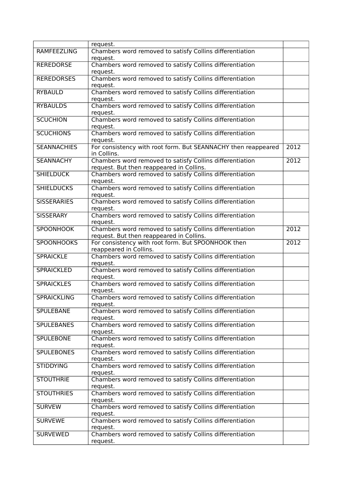|                    | request.                                                                                             |               |
|--------------------|------------------------------------------------------------------------------------------------------|---------------|
| RAMFEEZLING        | Chambers word removed to satisfy Collins differentiation<br>request.                                 |               |
| <b>REREDORSE</b>   | Chambers word removed to satisfy Collins differentiation<br>request.                                 |               |
| <b>REREDORSES</b>  | Chambers word removed to satisfy Collins differentiation<br>request.                                 |               |
| <b>RYBAULD</b>     | Chambers word removed to satisfy Collins differentiation<br>request.                                 |               |
| <b>RYBAULDS</b>    | Chambers word removed to satisfy Collins differentiation<br>request.                                 |               |
| <b>SCUCHION</b>    | Chambers word removed to satisfy Collins differentiation<br>request.                                 |               |
| <b>SCUCHIONS</b>   | Chambers word removed to satisfy Collins differentiation<br>request.                                 |               |
| <b>SEANNACHIES</b> | For consistency with root form. But SEANNACHY then reappeared<br>in Collins.                         | 2012          |
| <b>SEANNACHY</b>   | Chambers word removed to satisfy Collins differentiation<br>request. But then reappeared in Collins. | 2012          |
| <b>SHIELDUCK</b>   | Chambers word removed to satisfy Collins differentiation<br>request.                                 |               |
| <b>SHIELDUCKS</b>  | Chambers word removed to satisfy Collins differentiation<br>request.                                 |               |
| <b>SISSERARIES</b> | Chambers word removed to satisfy Collins differentiation<br>request.                                 |               |
| <b>SISSERARY</b>   | Chambers word removed to satisfy Collins differentiation<br>request.                                 |               |
| <b>SPOONHOOK</b>   | Chambers word removed to satisfy Collins differentiation<br>request. But then reappeared in Collins. | 2012          |
| <b>SPOONHOOKS</b>  | For consistency with root form. But SPOONHOOK then<br>reappeared in Collins.                         | $\sqrt{2012}$ |
| <b>SPRAICKLE</b>   | Chambers word removed to satisfy Collins differentiation<br>request.                                 |               |
| <b>SPRAICKLED</b>  | Chambers word removed to satisfy Collins differentiation<br>request.                                 |               |
| <b>SPRAICKLES</b>  | Chambers word removed to satisfy Collins differentiation<br>request.                                 |               |
| <b>SPRAICKLING</b> | Chambers word removed to satisfy Collins differentiation<br>request.                                 |               |
| <b>SPULEBANE</b>   | Chambers word removed to satisfy Collins differentiation<br>request.                                 |               |
| <b>SPULEBANES</b>  | Chambers word removed to satisfy Collins differentiation<br>request.                                 |               |
| <b>SPULEBONE</b>   | Chambers word removed to satisfy Collins differentiation<br>request.                                 |               |
| <b>SPULEBONES</b>  | Chambers word removed to satisfy Collins differentiation<br>request.                                 |               |
| <b>STIDDYING</b>   | Chambers word removed to satisfy Collins differentiation<br>request.                                 |               |
| <b>STOUTHRIE</b>   | Chambers word removed to satisfy Collins differentiation<br>request.                                 |               |
| <b>STOUTHRIES</b>  | Chambers word removed to satisfy Collins differentiation<br>request.                                 |               |
| <b>SURVEW</b>      | Chambers word removed to satisfy Collins differentiation<br>request.                                 |               |
| <b>SURVEWE</b>     | Chambers word removed to satisfy Collins differentiation<br>request.                                 |               |
| <b>SURVEWED</b>    | Chambers word removed to satisfy Collins differentiation<br>request.                                 |               |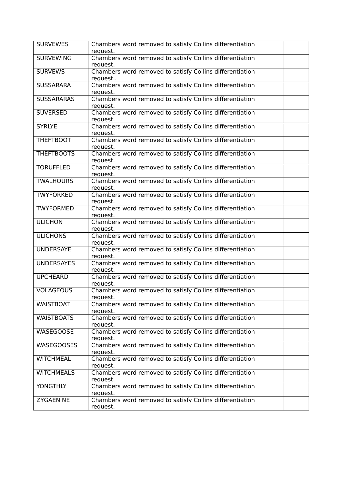| <b>SURVEWES</b>   | Chambers word removed to satisfy Collins differentiation<br>request. |  |
|-------------------|----------------------------------------------------------------------|--|
| <b>SURVEWING</b>  | Chambers word removed to satisfy Collins differentiation<br>request. |  |
| <b>SURVEWS</b>    | Chambers word removed to satisfy Collins differentiation<br>request  |  |
| <b>SUSSARARA</b>  | Chambers word removed to satisfy Collins differentiation<br>request. |  |
| <b>SUSSARARAS</b> | Chambers word removed to satisfy Collins differentiation<br>request. |  |
| <b>SUVERSED</b>   | Chambers word removed to satisfy Collins differentiation<br>request. |  |
| <b>SYRLYE</b>     | Chambers word removed to satisfy Collins differentiation<br>request. |  |
| <b>THEFTBOOT</b>  | Chambers word removed to satisfy Collins differentiation<br>request. |  |
| <b>THEFTBOOTS</b> | Chambers word removed to satisfy Collins differentiation<br>request. |  |
| <b>TORUFFLED</b>  | Chambers word removed to satisfy Collins differentiation<br>request. |  |
| <b>TWALHOURS</b>  | Chambers word removed to satisfy Collins differentiation<br>request. |  |
| <b>TWYFORKED</b>  | Chambers word removed to satisfy Collins differentiation<br>request. |  |
| <b>TWYFORMED</b>  | Chambers word removed to satisfy Collins differentiation<br>request. |  |
| <b>ULICHON</b>    | Chambers word removed to satisfy Collins differentiation<br>request. |  |
| <b>ULICHONS</b>   | Chambers word removed to satisfy Collins differentiation<br>request. |  |
| <b>UNDERSAYE</b>  | Chambers word removed to satisfy Collins differentiation<br>request. |  |
| <b>UNDERSAYES</b> | Chambers word removed to satisfy Collins differentiation<br>request. |  |
| <b>UPCHEARD</b>   | Chambers word removed to satisfy Collins differentiation<br>request. |  |
| <b>VOLAGEOUS</b>  | Chambers word removed to satisfy Collins differentiation<br>request. |  |
| <b>WAISTBOAT</b>  | Chambers word removed to satisfy Collins differentiation<br>request. |  |
| <b>WAISTBOATS</b> | Chambers word removed to satisfy Collins differentiation<br>request. |  |
| <b>WASEGOOSE</b>  | Chambers word removed to satisfy Collins differentiation<br>request. |  |
| <b>WASEGOOSES</b> | Chambers word removed to satisfy Collins differentiation<br>request. |  |
| <b>WITCHMEAL</b>  | Chambers word removed to satisfy Collins differentiation<br>request. |  |
| <b>WITCHMEALS</b> | Chambers word removed to satisfy Collins differentiation<br>request. |  |
| <b>YONGTHLY</b>   | Chambers word removed to satisfy Collins differentiation<br>request. |  |
| <b>ZYGAENINE</b>  | Chambers word removed to satisfy Collins differentiation<br>request. |  |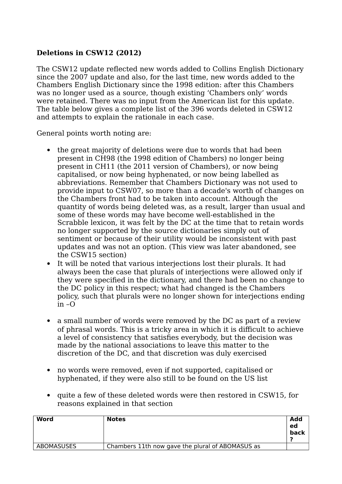#### **Deletions in CSW12 (2012)**

The CSW12 update reflected new words added to Collins English Dictionary since the 2007 update and also, for the last time, new words added to the Chambers English Dictionary since the 1998 edition: after this Chambers was no longer used as a source, though existing 'Chambers only' words were retained. There was no input from the American list for this update. The table below gives a complete list of the 396 words deleted in CSW12 and attempts to explain the rationale in each case.

General points worth noting are:

- the great majority of deletions were due to words that had been present in CH98 (the 1998 edition of Chambers) no longer being present in CH11 (the 2011 version of Chambers), or now being capitalised, or now being hyphenated, or now being labelled as abbreviations. Remember that Chambers Dictionary was not used to provide input to CSW07, so more than a decade's worth of changes on the Chambers front had to be taken into account. Although the quantity of words being deleted was, as a result, larger than usual and some of these words may have become well-established in the Scrabble lexicon, it was felt by the DC at the time that to retain words no longer supported by the source dictionaries simply out of sentiment or because of their utility would be inconsistent with past updates and was not an option. (This view was later abandoned, see the CSW15 section)
- It will be noted that various interjections lost their plurals. It had always been the case that plurals of interjections were allowed only if they were specified in the dictionary, and there had been no change to the DC policy in this respect; what had changed is the Chambers policy, such that plurals were no longer shown for interjections ending in  $-\Omega$
- a small number of words were removed by the DC as part of a review of phrasal words. This is a tricky area in which it is difficult to achieve a level of consistency that satisfies everybody, but the decision was made by the national associations to leave this matter to the discretion of the DC, and that discretion was duly exercised
- no words were removed, even if not supported, capitalised or hyphenated, if they were also still to be found on the US list
- quite a few of these deleted words were then restored in CSW15, for reasons explained in that section

| ed<br>back | <b>Notes</b><br>Add                              |
|------------|--------------------------------------------------|
|            | Chambers 11th now gave the plural of ABOMASUS as |
|            |                                                  |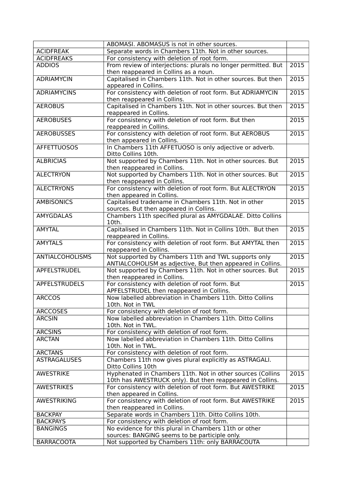|                        | ABOMASI. ABOMASUS is not in other sources.                     |                   |
|------------------------|----------------------------------------------------------------|-------------------|
| <b>ACIDFREAK</b>       | Separate words in Chambers 11th. Not in other sources.         |                   |
| <b>ACIDFREAKS</b>      | For consistency with deletion of root form.                    |                   |
| <b>ADDIOS</b>          | From review of interjections: plurals no longer permitted. But | 2015              |
|                        | then reappeared in Collins as a noun.                          |                   |
| <b>ADRIAMYCIN</b>      | Capitalised in Chambers 11th. Not in other sources. But then   | 2015              |
|                        | appeared in Collins.                                           |                   |
| <b>ADRIAMYCINS</b>     | For consistency with deletion of root form. But ADRIAMYCIN     | 2015              |
|                        | then reappeared in Collins.                                    |                   |
| <b>AEROBUS</b>         | Capitalised in Chambers 11th. Not in other sources. But then   | 2015              |
|                        | reappeared in Collins.                                         |                   |
| <b>AEROBUSES</b>       | For consistency with deletion of root form. But then           | 2015              |
|                        | reappeared in Collins.                                         |                   |
| <b>AEROBUSSES</b>      | For consistency with deletion of root form. But AEROBUS        | $\overline{2015}$ |
|                        | then appeared in Collins.                                      |                   |
| <b>AFFETTUOSOS</b>     | In Chambers 11th AFFETUOSO is only adjective or adverb.        |                   |
|                        | Ditto Collins 10th.                                            |                   |
| <b>ALBRICIAS</b>       | Not supported by Chambers 11th. Not in other sources. But      | $\overline{2015}$ |
|                        | then reappeared in Collins.                                    |                   |
| <b>ALECTRYON</b>       | Not supported by Chambers 11th. Not in other sources. But      | 2015              |
|                        | then reappeared in Collins.                                    |                   |
| <b>ALECTRYONS</b>      | For consistency with deletion of root form. But ALECTRYON      | $\overline{2015}$ |
|                        | then appeared in Collins.                                      |                   |
| <b>AMBISONICS</b>      | Capitalised tradename in Chambers 11th. Not in other           | 2015              |
|                        | sources. But then appeared in Collins.                         |                   |
| <b>AMYGDALAS</b>       | Chambers 11th specified plural as AMYGDALAE. Ditto Collins     |                   |
|                        | 10th.                                                          |                   |
| <b>AMYTAL</b>          | Capitalised in Chambers 11th. Not in Collins 10th. But then    | 2015              |
|                        | reappeared in Collins.                                         |                   |
| <b>AMYTALS</b>         | For consistency with deletion of root form. But AMYTAL then    | 2015              |
|                        | reappeared in Collins.                                         |                   |
| <b>ANTIALCOHOLISMS</b> | Not supported by Chambers 11th and TWL supports only           | 2015              |
|                        | ANTIALCOHOLISM as adjective, But then appeared in Collins.     |                   |
| APFELSTRUDEL           | Not supported by Chambers 11th. Not in other sources. But      | 2015              |
|                        | then reappeared in Collins.                                    |                   |
| <b>APFELSTRUDELS</b>   | For consistency with deletion of root form. But                | 2015              |
|                        | APFELSTRUDEL then reappeared in Collins.                       |                   |
| <b>ARCCOS</b>          | Now labelled abbreviation in Chambers 11th. Ditto Collins      |                   |
|                        | 10th. Not in TWL                                               |                   |
| <b>ARCCOSES</b>        | For consistency with deletion of root form.                    |                   |
| <b>ARCSIN</b>          | Now labelled abbreviation in Chambers 11th. Ditto Collins      |                   |
|                        | 10th. Not in TWL.                                              |                   |
| <b>ARCSINS</b>         | For consistency with deletion of root form.                    |                   |
| <b>ARCTAN</b>          | Now labelled abbreviation in Chambers 11th. Ditto Collins      |                   |
|                        | 10th. Not in TWL.                                              |                   |
| <b>ARCTANS</b>         | For consistency with deletion of root form.                    |                   |
| <b>ASTRAGALUSES</b>    | Chambers 11th now gives plural explicitly as ASTRAGALI.        |                   |
|                        | Ditto Collins 10th                                             |                   |
| <b>AWESTRIKE</b>       | Hyphenated in Chambers 11th. Not in other sources (Collins     | 2015              |
|                        | 10th has AWESTRUCK only). But then reappeared in Collins.      |                   |
| <b>AWESTRIKES</b>      | For consistency with deletion of root form. But AWESTRIKE      | 2015              |
|                        | then appeared in Collins.                                      |                   |
| <b>AWESTRIKING</b>     | For consistency with deletion of root form. But AWESTRIKE      | 2015              |
|                        | then reappeared in Collins.                                    |                   |
| <b>BACKPAY</b>         | Separate words in Chambers 11th. Ditto Collins 10th.           |                   |
| <b>BACKPAYS</b>        | For consistency with deletion of root form.                    |                   |
| <b>BANGINGS</b>        | No evidence for this plural in Chambers 11th or other          |                   |
|                        | sources: BANGING seems to be participle only.                  |                   |
| <b>BARRACOOTA</b>      | Not supported by Chambers 11th: only BARRACOUTA                |                   |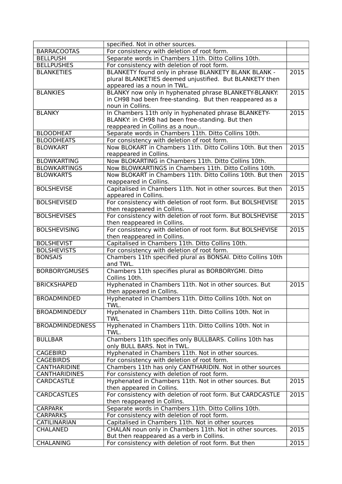|                        | specified. Not in other sources.                                |                   |
|------------------------|-----------------------------------------------------------------|-------------------|
| <b>BARRACOOTAS</b>     | For consistency with deletion of root form.                     |                   |
| <b>BELLPUSH</b>        | Separate words in Chambers 11th. Ditto Collins 10th.            |                   |
| <b>BELLPUSHES</b>      | For consistency with deletion of root form.                     |                   |
| <b>BLANKETIES</b>      | BLANKETY found only in phrase BLANKETY BLANK BLANK -            | 2015              |
|                        | plural BLANKETIES deemed unjustified. But BLANKETY then         |                   |
|                        | appeared ias a noun in TWL.                                     |                   |
| <b>BLANKIES</b>        | BLANKY now only in hyphenated phrase BLANKETY-BLANKY:           | 2015              |
|                        | in CH98 had been free-standing. But then reappeared as a        |                   |
|                        | noun in Collins.                                                |                   |
| <b>BLANKY</b>          | In Chambers 11th only in hyphenated phrase BLANKETY-            | 2015              |
|                        | BLANKY: in CH98 had been free-standing. But then                |                   |
|                        | reappeared in Collins as a noun                                 |                   |
| <b>BLOODHEAT</b>       | Separate words in Chambers 11th. Ditto Collins 10th.            |                   |
| <b>BLOODHEATS</b>      | For consistency with deletion of root form.                     |                   |
| <b>BLOWKART</b>        | Now BLOKART in Chambers 11th. Ditto Collins 10th. But then      | 2015              |
|                        | reappeared in Collins.                                          |                   |
| <b>BLOWKARTING</b>     | Now BLOKARTING in Chambers 11th. Ditto Collins 10th.            |                   |
| <b>BLOWKARTINGS</b>    | Now BLOWKARTINGS in Chambers 11th. Ditto Collins 10th.          |                   |
| <b>BLOWKARTS</b>       | Now BLOKART in Chambers 11th. Ditto Collins 10th. But then      | 2015              |
|                        | reappeared in Collins.                                          |                   |
| <b>BOLSHEVISE</b>      | Capitalised in Chambers 11th. Not in other sources. But then    | 2015              |
|                        | appeared in Collins.                                            |                   |
| <b>BOLSHEVISED</b>     | For consistency with deletion of root form. But BOLSHEVISE      | 2015              |
|                        | then reappeared in Collins.                                     |                   |
| <b>BOLSHEVISES</b>     | For consistency with deletion of root form. But BOLSHEVISE      | 2015              |
|                        | then reappeared in Collins.                                     |                   |
| <b>BOLSHEVISING</b>    | For consistency with deletion of root form. But BOLSHEVISE      | 2015              |
|                        | then reappeared in Collins.                                     |                   |
| <b>BOLSHEVIST</b>      | Capitalised in Chambers 11th. Ditto Collins 10th.               |                   |
| <b>BOLSHEVISTS</b>     | For consistency with deletion of root form.                     |                   |
| <b>BONSAIS</b>         | Chambers 11th specified plural as BONSAI. Ditto Collins 10th    |                   |
|                        | and TWL.                                                        |                   |
| <b>BORBORYGMUSES</b>   | Chambers 11th specifies plural as BORBORYGMI. Ditto             |                   |
|                        | Collins 10th.                                                   |                   |
| <b>BRICKSHAPED</b>     | Hyphenated in Chambers 11th. Not in other sources. But          | $\overline{2015}$ |
|                        | then appeared in Collins.                                       |                   |
| <b>BROADMINDED</b>     | Hyphenated in Chambers 11th. Ditto Collins 10th. Not on         |                   |
|                        | TWL.<br>Hyphenated in Chambers 11th. Ditto Collins 10th. Not in |                   |
| <b>BROADMINDEDLY</b>   | <b>TWL</b>                                                      |                   |
| <b>BROADMINDEDNESS</b> | Hyphenated in Chambers 11th. Ditto Collins 10th. Not in         |                   |
|                        | TWL.                                                            |                   |
| <b>BULLBAR</b>         | Chambers 11th specifies only BULLBARS. Collins 10th has         |                   |
|                        | only BULL BARS. Not in TWL.                                     |                   |
| <b>CAGEBIRD</b>        | Hyphenated in Chambers 11th. Not in other sources.              |                   |
| <b>CAGEBIRDS</b>       | For consistency with deletion of root form.                     |                   |
| CANTHARIDINE           | Chambers 11th has only CANTHARIDIN. Not in other sources        |                   |
| <b>CANTHARIDINES</b>   | For consistency with deletion of root form.                     |                   |
| CARDCASTLE             | Hyphenated in Chambers 11th. Not in other sources. But          | 2015              |
|                        | then appeared in Collins.                                       |                   |
| <b>CARDCASTLES</b>     | For consistency with deletion of root form. But CARDCASTLE      | 2015              |
|                        | then reappeared in Collins.                                     |                   |
| <b>CARPARK</b>         | Separate words in Chambers 11th. Ditto Collins 10th.            |                   |
| <b>CARPARKS</b>        | For consistency with deletion of root form.                     |                   |
| CATILINARIAN           | Capitalised in Chambers 11th. Not in other sources              |                   |
| CHALANED               | CHALAN noun only in Chambers 11th. Not in other sources.        | 2015              |
|                        | But then reappeared as a verb in Collins.                       |                   |
| <b>CHALANING</b>       | For consistency with deletion of root form. But then            | 2015              |
|                        |                                                                 |                   |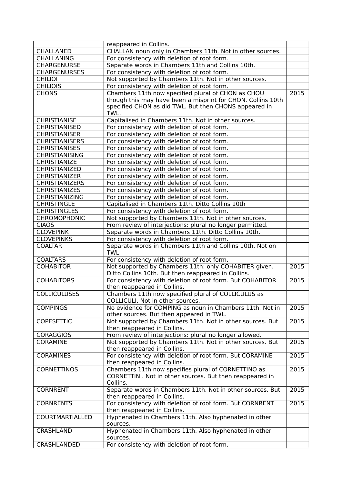|                        | reappeared in Collins.                                                 |                   |
|------------------------|------------------------------------------------------------------------|-------------------|
| CHALLANED              | CHALLAN noun only in Chambers 11th. Not in other sources.              |                   |
| CHALLANING             | For consistency with deletion of root form.                            |                   |
| CHARGENURSE            | Separate words in Chambers 11th and Collins 10th.                      |                   |
| <b>CHARGENURSES</b>    | For consistency with deletion of root form.                            |                   |
| <b>CHILIOI</b>         | Not supported by Chambers 11th. Not in other sources.                  |                   |
| <b>CHILIOIS</b>        | For consistency with deletion of root form.                            |                   |
| <b>CHONS</b>           | Chambers 11th now specified plural of CHON as CHOU                     | 2015              |
|                        | though this may have been a misprint for CHON. Collins 10th            |                   |
|                        | specified CHON as did TWL. But then CHONS appeared in                  |                   |
|                        | TWL.                                                                   |                   |
| <b>CHRISTIANISE</b>    | Capitalised in Chambers 11th. Not in other sources.                    |                   |
| CHRISTIANISED          | For consistency with deletion of root form.                            |                   |
| <b>CHRISTIANISER</b>   | For consistency with deletion of root form.                            |                   |
| <b>CHRISTIANISERS</b>  | For consistency with deletion of root form.                            |                   |
| <b>CHRISTIANISES</b>   | For consistency with deletion of root form.                            |                   |
| <b>CHRISTIANISING</b>  | For consistency with deletion of root form.                            |                   |
| <b>CHRISTIANIZE</b>    | For consistency with deletion of root form.                            |                   |
| CHRISTIANIZED          | For consistency with deletion of root form.                            |                   |
| <b>CHRISTIANIZER</b>   | For consistency with deletion of root form.                            |                   |
| <b>CHRISTIANIZERS</b>  | For consistency with deletion of root form.                            |                   |
| <b>CHRISTIANIZES</b>   | For consistency with deletion of root form.                            |                   |
| <b>CHRISTIANIZING</b>  | For consistency with deletion of root form.                            |                   |
| <b>CHRISTINGLE</b>     | Capitalised in Chambers 11th. Ditto Collins 10th                       |                   |
| <b>CHRISTINGLES</b>    | For consistency with deletion of root form.                            |                   |
| <b>CHROMOPHONIC</b>    | Not supported by Chambers 11th. Not in other sources.                  |                   |
| <b>CIAOS</b>           |                                                                        |                   |
| <b>CLOVEPINK</b>       | From review of interjections: plural no longer permitted.              |                   |
|                        | Separate words in Chambers 11th. Ditto Collins 10th.                   |                   |
| <b>CLOVEPINKS</b>      | For consistency with deletion of root form.                            |                   |
| <b>COALTAR</b>         | Separate words in Chambers 11th and Collins 10th. Not on<br><b>TWL</b> |                   |
| <b>COALTARS</b>        | For consistency with deletion of root form.                            |                   |
|                        |                                                                        | 2015              |
| <b>COHABITOR</b>       | Not supported by Chambers 11th: only COHABITER given.                  |                   |
|                        | Ditto Collins 10th. But then reappeared in Collins.                    | $\overline{2015}$ |
| <b>COHABITORS</b>      | For consistency with deletion of root form. But COHABITOR              |                   |
|                        | then reappeared in Collins.                                            |                   |
| <b>COLLICULUSES</b>    | Chambers 11th now specified plural of COLLICULUS as                    |                   |
|                        | COLLICULI. Not in other sources.                                       |                   |
| <b>COMPINGS</b>        | No evidence for COMPING as noun in Chambers 11th. Not in               | 2015              |
|                        | other sources. But then appeared in TWL.                               |                   |
| <b>COPESETTIC</b>      | Not supported by Chambers 11th. Not in other sources. But              | 2015              |
|                        | then reappeared in Collins.                                            |                   |
| <b>CORAGGIOS</b>       | From review of interjections: plural no longer allowed.                |                   |
| <b>CORAMINE</b>        | Not supported by Chambers 11th. Not in other sources. But              | 2015              |
|                        | then reappeared in Collins.                                            |                   |
| <b>CORAMINES</b>       | For consistency with deletion of root form. But CORAMINE               | 2015              |
|                        | then reappeared in Collins.                                            |                   |
| <b>CORNETTINOS</b>     | Chambers 11th now specifies plural of CORNETTINO as                    | 2015              |
|                        | CORNETTINI. Not in other sources. But then reappeared in               |                   |
|                        | Collins.                                                               |                   |
| <b>CORNRENT</b>        | Separate words in Chambers 11th. Not in other sources. But             | 2015              |
|                        | then reappeared in Collins.                                            |                   |
| <b>CORNRENTS</b>       | For consistency with deletion of root form. But CORNRENT               | 2015              |
|                        | then reappeared in Collins.                                            |                   |
| <b>COURTMARTIALLED</b> | Hyphenated in Chambers 11th. Also hyphenated in other                  |                   |
|                        | sources.                                                               |                   |
| CRASHLAND              | Hyphenated in Chambers 11th. Also hyphenated in other                  |                   |
|                        | sources.                                                               |                   |
| CRASHLANDED            | For consistency with deletion of root form.                            |                   |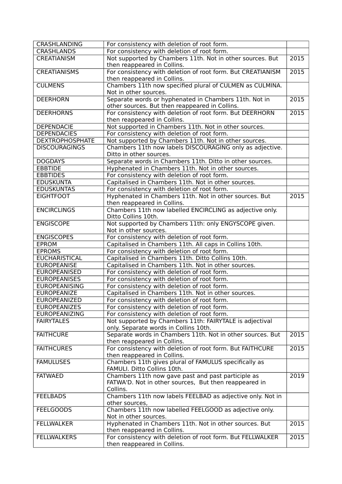| CRASHLANDING           | For consistency with deletion of root form.                            |                   |
|------------------------|------------------------------------------------------------------------|-------------------|
| <b>CRASHLANDS</b>      | For consistency with deletion of root form.                            |                   |
| <b>CREATIANISM</b>     | Not supported by Chambers 11th. Not in other sources. But              | 2015              |
|                        | then reappeared in Collins.                                            |                   |
| <b>CREATIANISMS</b>    | For consistency with deletion of root form. But CREATIANISM            | 2015              |
|                        | then reappeared in Collins.                                            |                   |
| <b>CULMENS</b>         | Chambers 11th now specified plural of CULMEN as CULMINA.               |                   |
|                        | Not in other sources.                                                  |                   |
| <b>DEERHORN</b>        | Separate words or hyphenated in Chambers 11th. Not in                  | 2015              |
|                        | other sources. But then reappeared in Collins.                         |                   |
| <b>DEERHORNS</b>       | For consistency with deletion of root form. But DEERHORN               | 2015              |
|                        | then reappeared in Collins.                                            |                   |
| <b>DEPENDACIE</b>      | Not supported in Chambers 11th. Not in other sources.                  |                   |
| <b>DEPENDACIES</b>     | For consistency with deletion of root form.                            |                   |
| <b>DEXTROPHOSPHATE</b> | Not supported by Chambers 11th. Not in other sources.                  |                   |
| <b>DISCOURAGINGS</b>   | Chambers 11th now labels DISCOURAGING only as adjective.               |                   |
|                        | Ditto in other sources.                                                |                   |
| <b>DOGDAYS</b>         | Separate words in Chambers 11th. Ditto in other sources.               |                   |
| <b>EBBTIDE</b>         | Hyphenated in Chambers 11th. Not in other sources.                     |                   |
| <b>EBBTIDES</b>        | For consistency with deletion of root form.                            |                   |
| <b>EDUSKUNTA</b>       | Capitalised in Chambers 11th. Not in other sources.                    |                   |
| <b>EDUSKUNTAS</b>      | For consistency with deletion of root form.                            |                   |
| <b>EIGHTFOOT</b>       | Hyphenated in Chambers 11th. Not in other sources. But                 | $\overline{2015}$ |
|                        | then reappeared in Collins.                                            |                   |
| <b>ENCIRCLINGS</b>     | Chambers 11th now labelled ENCIRCLING as adjective only.               |                   |
|                        | Ditto Collins 10th.                                                    |                   |
| <b>ENGISCOPE</b>       | Not supported by Chambers 11th: only ENGYSCOPE given.                  |                   |
|                        | Not in other sources.                                                  |                   |
| <b>ENGISCOPES</b>      | For consistency with deletion of root form.                            |                   |
| <b>EPROM</b>           | Capitalised in Chambers 11th. All caps in Collins 10th.                |                   |
| <b>EPROMS</b>          | For consistency with deletion of root form.                            |                   |
| <b>EUCHARISTICAL</b>   | Capitalised in Chambers 11th. Ditto Collins 10th.                      |                   |
| <b>EUROPEANISE</b>     | Capitalised in Chambers 11th. Not in other sources.                    |                   |
| <b>EUROPEANISED</b>    | For consistency with deletion of root form.                            |                   |
| <b>EUROPEANISES</b>    | For consistency with deletion of root form.                            |                   |
| <b>EUROPEANISING</b>   | For consistency with deletion of root form.                            |                   |
| <b>EUROPEANIZE</b>     | Capitalised in Chambers 11th. Not in other sources.                    |                   |
| <b>EUROPEANIZED</b>    | For consistency with deletion of root form.                            |                   |
| <b>EUROPEANIZES</b>    | For consistency with deletion of root form.                            |                   |
| <b>EUROPEANIZING</b>   | For consistency with deletion of root form.                            |                   |
| <b>FAIRYTALES</b>      | Not supported by Chambers 11th: FAIRYTALE is adjectival                |                   |
|                        | only. Separate words in Collins 10th.                                  |                   |
| <b>FAITHCURE</b>       | Separate words in Chambers 11th. Not in other sources. But             | 2015              |
|                        | then reappeared in Collins.                                            |                   |
| <b>FAITHCURES</b>      | For consistency with deletion of root form. But FAITHCURE              | 2015              |
|                        | then reappeared in Collins.                                            |                   |
| <b>FAMULUSES</b>       | Chambers 11th gives plural of FAMULUS specifically as                  |                   |
|                        | FAMULI. Ditto Collins 10th.                                            |                   |
| <b>FATWAED</b>         | Chambers 11th now gave past and past participle as                     | 2019              |
|                        | FATWA'D. Not in other sources, But then reappeared in                  |                   |
| <b>FEELBADS</b>        | Collins.<br>Chambers 11th now labels FEELBAD as adjective only. Not in |                   |
|                        | other sources,                                                         |                   |
| <b>FEELGOODS</b>       | Chambers 11th now labelled FEELGOOD as adjective only.                 |                   |
|                        | Not in other sources.                                                  |                   |
| <b>FELLWALKER</b>      | Hyphenated in Chambers 11th. Not in other sources. But                 | 2015              |
|                        | then reappeared in Collins.                                            |                   |
| <b>FELLWALKERS</b>     | For consistency with deletion of root form. But FELLWALKER             | 2015              |
|                        | then reappeared in Collins.                                            |                   |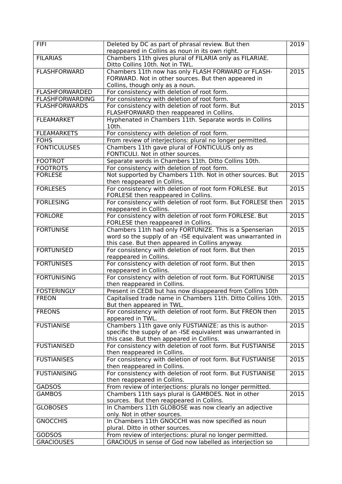| <b>FIFI</b>            | Deleted by DC as part of phrasal review. But then<br>reappeared in Collins as noun in its own right.   | 2019              |
|------------------------|--------------------------------------------------------------------------------------------------------|-------------------|
| <b>FILARIAS</b>        | Chambers 11th gives plural of FILARIA only as FILARIAE.<br>Ditto Collins 10th. Not in TWL.             |                   |
| <b>FLASHFORWARD</b>    | Chambers 11th now has only FLASH FORWARD or FLASH-                                                     | 2015              |
|                        | FORWARD. Not in other sources. But then appeared in                                                    |                   |
|                        | Collins, though only as a noun.                                                                        |                   |
| <b>FLASHFORWARDED</b>  | For consistency with deletion of root form.                                                            |                   |
| <b>FLASHFORWARDING</b> | For consistency with deletion of root form.                                                            |                   |
| <b>FLASHFORWARDS</b>   | For consistency with deletion of root form. But                                                        | 2015              |
|                        | FLASHFORWARD then reappeared in Collins.                                                               |                   |
| <b>FLEAMARKET</b>      | Hyphenated in Chambers 11th. Separate words in Collins<br>10th.                                        |                   |
| <b>FLEAMARKETS</b>     | For consistency with deletion of root form.                                                            |                   |
| <b>FOHS</b>            | From review of interjections: plural no longer permitted.                                              |                   |
| <b>FONTICULUSES</b>    | Chambers 11th gave plural of FONTICULUS only as                                                        |                   |
|                        | FONTICULI. Not in other sources.                                                                       |                   |
| <b>FOOTROT</b>         | Separate words in Chambers 11th. Ditto Collins 10th.                                                   |                   |
| <b>FOOTROTS</b>        | For consistency with deletion of root form.                                                            |                   |
| <b>FORLESE</b>         | Not supported by Chambers 11th. Not in other sources. But                                              | 2015              |
|                        | then reappeared in Collins.                                                                            |                   |
| <b>FORLESES</b>        | For consistency with deletion of root form FORLESE. But<br>FORLESE then reappeared in Collins.         | 2015              |
| <b>FORLESING</b>       | For consistency with deletion of root form. But FORLESE then                                           | 2015              |
|                        | reappeared in Collins.                                                                                 |                   |
| <b>FORLORE</b>         | For consistency with deletion of root form FORLESE. But                                                | 2015              |
|                        | FORLESE then reappeared in Collins.                                                                    |                   |
| <b>FORTUNISE</b>       | Chambers 11th had only FORTUNIZE. This is a Spenserian                                                 | 2015              |
|                        | word so the supply of an -ISE equivalent was unwarranted in                                            |                   |
|                        | this case. But then appeared in Collins anyway.                                                        |                   |
| <b>FORTUNISED</b>      | For consistency with deletion of root form. But then<br>reappeared in Collins.                         | 2015              |
| <b>FORTUNISES</b>      | For consistency with deletion of root form. But then<br>reappeared in Collins.                         | 2015              |
| <b>FORTUNISING</b>     | For consistency with deletion of root form. But FORTUNISE                                              | 2015              |
|                        | then reappeared in Collins.                                                                            |                   |
| <b>FOSTERINGLY</b>     | Present in CED8 but has now disappeared from Collins 10th                                              |                   |
| <b>FREON</b>           | Capitalised trade name in Chambers 11th. Ditto Collins 10th.                                           | $\overline{2015}$ |
|                        | But then appeared in TWL.                                                                              |                   |
| <b>FREONS</b>          | For consistency with deletion of root form. But FREON then                                             | 2015              |
|                        | appeared in TWL.                                                                                       |                   |
| <b>FUSTIANISE</b>      | Chambers 11th gave only FUSTIANIZE: as this is author-                                                 | 2015              |
|                        | specific the supply of an -ISE equivalent was unwarranted in                                           |                   |
| <b>FUSTIANISED</b>     | this case. But then appeared in Collins.<br>For consistency with deletion of root form. But FUSTIANISE | 2015              |
|                        | then reappeared in Collins.                                                                            |                   |
| <b>FUSTIANISES</b>     | For consistency with deletion of root form. But FUSTIANISE                                             | 2015              |
|                        | then reappeared in Collins.                                                                            |                   |
| <b>FUSTIANISING</b>    | For consistency with deletion of root form. But FUSTIANISE                                             | 2015              |
|                        | then reappeared in Collins.                                                                            |                   |
| <b>GADSOS</b>          | From review of interjections: plurals no longer permitted.                                             |                   |
| <b>GAMBOS</b>          | Chambers 11th says plural is GAMBOES. Not in other                                                     | 2015              |
|                        | sources. But then reappeared in Collins.                                                               |                   |
| <b>GLOBOSES</b>        | In Chambers 11th GLOBOSE was now clearly an adjective                                                  |                   |
|                        | only. Not in other sources.                                                                            |                   |
| <b>GNOCCHIS</b>        | In Chambers 11th GNOCCHI was now specified as noun                                                     |                   |
|                        | plural. Ditto in other sources.                                                                        |                   |
| <b>GODSOS</b>          | From review of interjections: plural no longer permitted.                                              |                   |
| <b>GRACIOUSES</b>      | GRACIOUS in sense of God now labelled as interjection so                                               |                   |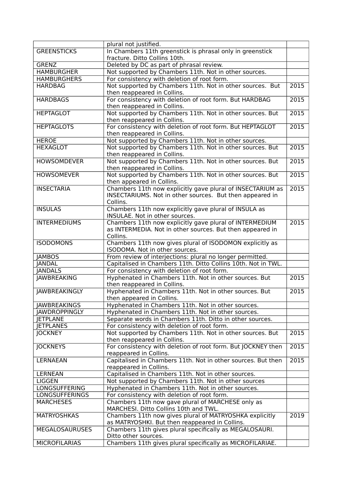|                       | plural not justified.                                         |                   |
|-----------------------|---------------------------------------------------------------|-------------------|
| <b>GREENSTICKS</b>    | In Chambers 11th greenstick is phrasal only in greenstick     |                   |
|                       | fracture. Ditto Collins 10th.                                 |                   |
| <b>GRENZ</b>          | Deleted by DC as part of phrasal review.                      |                   |
| <b>HAMBURGHER</b>     | Not supported by Chambers 11th. Not in other sources.         |                   |
| <b>HAMBURGHERS</b>    | For consistency with deletion of root form.                   |                   |
| <b>HARDBAG</b>        | Not supported by Chambers 11th. Not in other sources. But     | 2015              |
|                       | then reappeared in Collins.                                   |                   |
| <b>HARDBAGS</b>       | For consistency with deletion of root form. But HARDBAG       | $\overline{2015}$ |
|                       | then reappeared in Collins.                                   |                   |
| <b>HEPTAGLOT</b>      | Not supported by Chambers 11th. Not in other sources. But     | 2015              |
|                       | then reappeared in Collins.                                   |                   |
| <b>HEPTAGLOTS</b>     | For consistency with deletion of root form. But HEPTAGLOT     | $\overline{2015}$ |
|                       | then reappeared in Collins.                                   |                   |
| <b>HEROE</b>          | Not supported by Chambers 11th. Not in other sources.         |                   |
| <b>HEXAGLOT</b>       | Not supported by Chambers 11th. Not in other sources. But     | 2015              |
|                       | then reappeared in Collins.                                   |                   |
| <b>HOWSOMDEVER</b>    | Not supported by Chambers 11th. Not in other sources. But     | 2015              |
|                       | then reappeared in Collins.                                   |                   |
| <b>HOWSOMEVER</b>     | Not supported by Chambers 11th. Not in other sources. But     | 2015              |
|                       | then appeared in Collins.                                     |                   |
| <b>INSECTARIA</b>     | Chambers 11th now explicitly gave plural of INSECTARIUM as    | 2015              |
|                       | INSECTARIUMS. Not in other sources. But then appeared in      |                   |
|                       | Collins.                                                      |                   |
| <b>INSULAS</b>        | Chambers 11th now explicitly gave plural of INSULA as         |                   |
|                       | INSULAE. Not in other sources.                                |                   |
| <b>INTERMEDIUMS</b>   | Chambers 11th now explicitly gave plural of INTERMEDIUM       | 2015              |
|                       | as INTERMEDIA. Not in other sources. But then appeared in     |                   |
|                       | Collins.                                                      |                   |
| <b>ISODOMONS</b>      | Chambers 11th now gives plural of ISODOMON explicitly as      |                   |
|                       | ISODOMA. Not in other sources.                                |                   |
| <b>JAMBOS</b>         | From review of interjections: plural no longer permitted.     |                   |
| <b>JANDAL</b>         | Capitalised in Chambers 11th. Ditto Collins 10th. Not in TWL. |                   |
| <b>JANDALS</b>        | For consistency with deletion of root form.                   |                   |
| <b>JAWBREAKING</b>    | Hyphenated in Chambers 11th. Not in other sources. But        | 2015              |
|                       | then reappeared in Collins.                                   |                   |
| <b>JAWBREAKINGLY</b>  | Hyphenated in Chambers 11th. Not in other sources. But        | $\overline{2015}$ |
|                       | then appeared in Collins.                                     |                   |
| <b>JAWBREAKINGS</b>   | Hyphenated in Chambers 11th. Not in other sources.            |                   |
| <b>JAWDROPPINGLY</b>  | Hyphenated in Chambers 11th. Not in other sources.            |                   |
| <b>IETPLANE</b>       | Separate words in Chambers 11th. Ditto in other sources.      |                   |
| <b>JETPLANES</b>      | For consistency with deletion of root form.                   |                   |
| <b>JOCKNEY</b>        | Not supported by Chambers 11th. Not in other sources. But     | 2015              |
|                       | then reappeared in Collins.                                   |                   |
| <b>JOCKNEYS</b>       | For consistency with deletion of root form. But JOCKNEY then  | 2015              |
|                       | reappeared in Collins.                                        |                   |
| <b>LERNAEAN</b>       | Capitalised in Chambers 11th. Not in other sources. But then  | 2015              |
|                       | reappeared in Collins.                                        |                   |
| <b>LERNEAN</b>        | Capitalised in Chambers 11th. Not in other sources.           |                   |
| <b>LIGGEN</b>         | Not supported by Chambers 11th. Not in other sources          |                   |
| <b>LONGSUFFERING</b>  | Hyphenated in Chambers 11th. Not in other sources.            |                   |
| <b>LONGSUFFERINGS</b> | For consistency with deletion of root form.                   |                   |
| <b>MARCHESES</b>      | Chambers 11th now gave plural of MARCHESE only as             |                   |
|                       | MARCHESI. Ditto Collins 10th and TWL.                         |                   |
| <b>MATRYOSHKAS</b>    | Chambers 11th now gives plural of MATRYOSHKA explicitly       | 2019              |
|                       | as MATRYOSHKI. But then reappeared in Collins.                |                   |
| <b>MEGALOSAURUSES</b> | Chambers 11th gives plural specifically as MEGALOSAURI.       |                   |
|                       | Ditto other sources.                                          |                   |
| <b>MICROFILARIAS</b>  | Chambers 11th gives plural specifically as MICROFILARIAE.     |                   |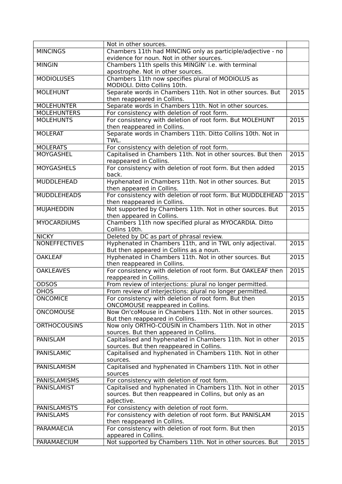|                      | Not in other sources.                                                                                                              |                   |
|----------------------|------------------------------------------------------------------------------------------------------------------------------------|-------------------|
| <b>MINCINGS</b>      | Chambers 11th had MINCING only as participle/adjective - no<br>evidence for noun. Not in other sources.                            |                   |
| <b>MINGIN</b>        | Chambers 11th spells this MINGIN' i.e. with terminal<br>apostrophe. Not in other sources.                                          |                   |
| <b>MODIOLUSES</b>    | Chambers 11th now specifies plural of MODIOLUS as<br>MODIOLI. Ditto Collins 10th.                                                  |                   |
| <b>MOLEHUNT</b>      | Separate words in Chambers 11th. Not in other sources. But<br>then reappeared in Collins.                                          | 2015              |
| <b>MOLEHUNTER</b>    | Separate words in Chambers 11th. Not in other sources.                                                                             |                   |
| <b>MOLEHUNTERS</b>   | For consistency with deletion of root form.                                                                                        |                   |
| <b>MOLEHUNTS</b>     | For consistency with deletion of root form. But MOLEHUNT<br>then reappeared in Collins.                                            | 2015              |
| <b>MOLERAT</b>       | Separate words in Chambers 11th. Ditto Collins 10th. Not in<br>TWL.                                                                |                   |
| <b>MOLERATS</b>      | For consistency with deletion of root form.                                                                                        |                   |
| <b>MOYGASHEL</b>     | Capitalised in Chambers 11th. Not in other sources. But then<br>reappeared in Collins.                                             | $\overline{2015}$ |
| <b>MOYGASHELS</b>    | For consistency with deletion of root form. But then added<br>back.                                                                | $\overline{2015}$ |
| <b>MUDDLEHEAD</b>    | Hyphenated in Chambers 11th. Not in other sources. But<br>then appeared in Collins.                                                | $\overline{2015}$ |
| <b>MUDDLEHEADS</b>   | For consistency with deletion of root form. But MUDDLEHEAD<br>then reappeared in Collins.                                          | 2015              |
| <b>MUJAHEDDIN</b>    | Not supported by Chambers 11th. Not in other sources. But<br>then appeared in Collins.                                             | 2015              |
| <b>MYOCARDIUMS</b>   | Chambers 11th now specified plural as MYOCARDIA. Ditto<br>Collins 10th.                                                            |                   |
| <b>NICKY</b>         | Deleted by DC as part of phrasal review.                                                                                           |                   |
| <b>NONEFFECTIVES</b> | Hyphenated in Chambers 11th, and in TWL only adjectival.<br>But then appeared in Collins as a noun.                                | 2015              |
| <b>OAKLEAF</b>       | Hyphenated in Chambers 11th. Not in other sources. But<br>then reappeared in Collins.                                              | 2015              |
| <b>OAKLEAVES</b>     | For consistency with deletion of root form. But OAKLEAF then<br>reappeared in Collins.                                             | 2015              |
| <b>ODSOS</b>         | From review of interjections: plural no longer permitted.                                                                          |                   |
| <b>OHOS</b>          | From review of interjections: plural no longer permitted.                                                                          |                   |
| <b>ONCOMICE</b>      | For consistency with deletion of root form. But then<br>ONCOMOUSE reappeared in Collins.                                           | 2015              |
| <b>ONCOMOUSE</b>     | Now On'coMouse in Chambers 11th. Not in other sources.<br>But then reappeared in Collins.                                          | 2015              |
| <b>ORTHOCOUSINS</b>  | Now only ORTHO-COUSIN in Chambers 11th. Not in other<br>sources. But then appeared in Collins.                                     | 2015              |
| <b>PANISLAM</b>      | Capitalised and hyphenated in Chambers 11th. Not in other<br>sources. But then reappeared in Collins.                              | $\frac{2015}{ }$  |
| <b>PANISLAMIC</b>    | Capitalised and hyphenated in Chambers 11th. Not in other<br>sources.                                                              |                   |
| PANISLAMISM          | Capitalised and hyphenated in Chambers 11th. Not in other<br>sources                                                               |                   |
| <b>PANISLAMISMS</b>  | For consistency with deletion of root form.                                                                                        |                   |
| <b>PANISLAMIST</b>   | Capitalised and hyphenated in Chambers 11th. Not in other<br>sources. But then reappeared in Collins, but only as an<br>adjective. | 2015              |
| <b>PANISLAMISTS</b>  | For consistency with deletion of root form.                                                                                        |                   |
| <b>PANISLAMS</b>     | For consistency with deletion of root form. But PANISLAM<br>then reappeared in Collins.                                            | 2015              |
| PARAMAECIA           | For consistency with deletion of root form. But then<br>appeared in Collins.                                                       | 2015              |
| PARAMAECIUM          | Not supported by Chambers 11th. Not in other sources. But                                                                          | 2015              |
|                      |                                                                                                                                    |                   |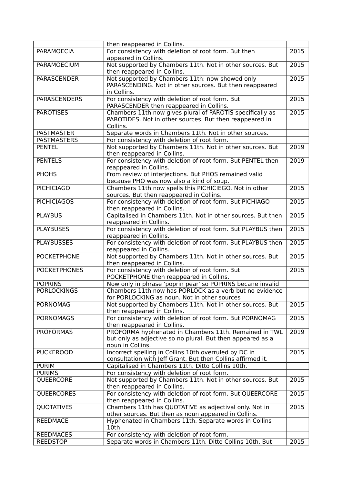|                     | then reappeared in Collins.                                                                 |                   |
|---------------------|---------------------------------------------------------------------------------------------|-------------------|
| <b>PARAMOECIA</b>   | For consistency with deletion of root form. But then                                        | 2015              |
|                     | appeared in Collins.                                                                        |                   |
| <b>PARAMOECIUM</b>  | Not supported by Chambers 11th. Not in other sources. But                                   | 2015              |
|                     | then reappeared in Collins.                                                                 |                   |
| <b>PARASCENDER</b>  | Not supported by Chambers 11th: now showed only                                             | 2015              |
|                     | PARASCENDING. Not in other sources. But then reappeared                                     |                   |
|                     | in Collins.                                                                                 |                   |
| <b>PARASCENDERS</b> | For consistency with deletion of root form. But                                             | 2015              |
|                     | PARASCENDER then reappeared in Collins.                                                     |                   |
| <b>PAROTISES</b>    | Chambers 11th now gives plural of PAROTIS specifically as                                   | 2015              |
|                     | PAROTIDES. Not in other sources. But then reappeared in                                     |                   |
|                     | Collins.                                                                                    |                   |
| <b>PASTMASTER</b>   | Separate words in Chambers 11th. Not in other sources.                                      |                   |
| <b>PASTMASTERS</b>  | For consistency with deletion of root form.                                                 |                   |
| <b>PENTEL</b>       | Not supported by Chambers 11th. Not in other sources. But                                   | 2019              |
|                     | then reappeared in Collins.                                                                 |                   |
| <b>PENTELS</b>      | For consistency with deletion of root form. But PENTEL then                                 | 2019              |
|                     | reappeared in Collins.                                                                      |                   |
| <b>PHOHS</b>        | From review of interjections. But PHOS remained valid                                       |                   |
|                     | because PHO was now also a kind of soup.                                                    |                   |
| <b>PICHICIAGO</b>   | Chambers 11th now spells this PICHICIEGO. Not in other                                      | 2015              |
|                     | sources. But then reappeared in Collins.                                                    |                   |
| <b>PICHICIAGOS</b>  | For consistency with deletion of root form. But PICHIAGO                                    | $\overline{2015}$ |
|                     |                                                                                             |                   |
| <b>PLAYBUS</b>      | then reappeared in Collins.<br>Capitalised in Chambers 11th. Not in other sources. But then | 2015              |
|                     |                                                                                             |                   |
|                     | reappeared in Collins.                                                                      | $\overline{2015}$ |
| <b>PLAYBUSES</b>    | For consistency with deletion of root form. But PLAYBUS then                                |                   |
| <b>PLAYBUSSES</b>   | reappeared in Collins.                                                                      | 2015              |
|                     | For consistency with deletion of root form. But PLAYBUS then                                |                   |
|                     | reappeared in Collins.                                                                      |                   |
| <b>POCKETPHONE</b>  | Not supported by Chambers 11th. Not in other sources. But                                   | 2015              |
| <b>POCKETPHONES</b> | then reappeared in Collins.                                                                 | 2015              |
|                     | For consistency with deletion of root form. But                                             |                   |
|                     | POCKETPHONE then reappeared in Collins.                                                     |                   |
| <b>POPRINS</b>      | Now only in phrase 'poprin pear' so POPRINS becane invalid                                  |                   |
| <b>PORLOCKINGS</b>  | Chambers 11th now has PORLOCK as a verb but no evidence                                     |                   |
|                     | for PORLOCKING as noun. Not in other sources                                                |                   |
| <b>PORNOMAG</b>     | Not supported by Chambers 11th. Not in other sources. But                                   | 2015              |
|                     | then reappeared in Collins.                                                                 |                   |
| <b>PORNOMAGS</b>    | For consistency with deletion of root form. But PORNOMAG                                    | 2015              |
|                     | then reappeared in Collins.                                                                 |                   |
| <b>PROFORMAS</b>    | PROFORMA hyphenated in Chambers 11th. Remained in TWL                                       | 2019              |
|                     | but only as adjective so no plural. But then appeared as a                                  |                   |
|                     | noun in Collins.                                                                            |                   |
| <b>PUCKEROOD</b>    | Incorrect spelling in Collins 10th overruled by DC in                                       | 2015              |
|                     | consultation with Jeff Grant. But then Collins affirmed it.                                 |                   |
| <b>PURIM</b>        | Capitalised in Chambers 11th. Ditto Collins 10th.                                           |                   |
| <b>PURIMS</b>       | For consistency with deletion of root form.                                                 |                   |
| QUEERCORE           | Not supported by Chambers 11th. Not in other sources. But                                   | 2015              |
|                     | then reappeared in Collins.                                                                 |                   |
| <b>QUEERCORES</b>   | For consistency with deletion of root form. But QUEERCORE                                   | 2015              |
|                     | then reappeared in Collins.                                                                 |                   |
| <b>QUOTATIVES</b>   | Chambers 11th has QUOTATIVE as adjectival only. Not in                                      | 2015              |
|                     | other sources. But then as noun appeared in Collins.                                        |                   |
| <b>REEDMACE</b>     | Hyphenated in Chambers 11th. Separate words in Collins                                      |                   |
|                     | 10th                                                                                        |                   |
| <b>REEDMACES</b>    | For consistency with deletion of root form.                                                 |                   |
| <b>REEDSTOP</b>     | Separate words in Chambers 11th. Ditto Collins 10th. But                                    | 2015              |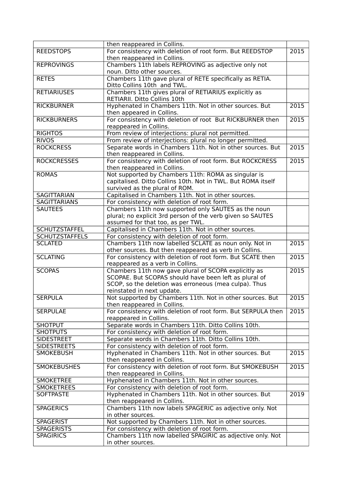|                       | then reappeared in Collins.                                                              |                   |
|-----------------------|------------------------------------------------------------------------------------------|-------------------|
| <b>REEDSTOPS</b>      | For consistency with deletion of root form. But REEDSTOP                                 | 2015              |
|                       | then reappeared in Collins.                                                              |                   |
| <b>REPROVINGS</b>     | Chambers 11th labels REPROVING as adjective only not                                     |                   |
|                       | noun. Ditto other sources.                                                               |                   |
| <b>RETES</b>          | Chambers 11th gave plural of RETE specifically as RETIA.                                 |                   |
|                       | Ditto Collins 10th and TWL.                                                              |                   |
| <b>RETIARIUSES</b>    | Chambers 11th gives plural of RETIARIUS explicitly as                                    |                   |
|                       | RETIARII. Ditto Collins 10th                                                             |                   |
| <b>RICKBURNER</b>     | Hyphenated in Chambers 11th. Not in other sources. But                                   | 2015              |
|                       | then appeared in Collins.                                                                |                   |
| <b>RICKBURNERS</b>    | For consistency with deletion of root But RICKBURNER then                                | $\overline{2015}$ |
|                       | reappeared in Collins.                                                                   |                   |
| <b>RIGHTOS</b>        | From review of interjections: plural not permitted.                                      |                   |
| <b>RIVOS</b>          | From review of interjections: plural no longer permitted.                                |                   |
| <b>ROCKCRESS</b>      | Separate words in Chambers 11th. Not in other sources. But                               | 2015              |
|                       | then reappeared in Collins.                                                              |                   |
| <b>ROCKCRESSES</b>    | For consistency with deletion of root form. But ROCKCRESS                                | $\overline{2015}$ |
|                       | then reappeared in Collins.                                                              |                   |
| <b>ROMAS</b>          | Not supported by Chambers 11th: ROMA as singular is                                      |                   |
|                       | capitalised. Ditto Collins 10th. Not in TWL. But ROMA itself                             |                   |
|                       | survived as the plural of ROM.                                                           |                   |
| <b>SAGITTARIAN</b>    | Capitalised in Chambers 11th. Not in other sources.                                      |                   |
| <b>SAGITTARIANS</b>   | For consistency with deletion of root form.                                              |                   |
| <b>SAUTEES</b>        | Chambers 11th now supported only SAUTES as the noun                                      |                   |
|                       | plural; no explicit 3rd person of the verb given so SAUTES                               |                   |
|                       | assumed for that too, as per TWL.                                                        |                   |
| <b>SCHUTZSTAFFEL</b>  | Capitalised in Chambers 11th. Not in other sources.                                      |                   |
| <b>SCHUTZSTAFFELS</b> | For consistency with deletion of root form.                                              |                   |
| <b>SCLATED</b>        | Chambers 11th now labelled SCLATE as noun only. Not in                                   | 2015              |
| <b>SCLATING</b>       | other sources. But then reappeared as verb in Collins.                                   | 2015              |
|                       | For consistency with deletion of root form. But SCATE then                               |                   |
| <b>SCOPAS</b>         | reappeared as a verb in Collins.<br>Chambers 11th now gave plural of SCOPA explicitly as | 2015              |
|                       | SCOPAE. But SCOPAS should have been left as plural of                                    |                   |
|                       | SCOP, so the deletion was erroneous (mea culpa). Thus                                    |                   |
|                       | reinstated in next update.                                                               |                   |
| <b>SERPULA</b>        | Not supported by Chambers 11th. Not in other sources. But                                | 2015              |
|                       | then reappeared in Collins.                                                              |                   |
| <b>SERPULAE</b>       | For consistency with deletion of root form. But SERPULA then                             | 2015              |
|                       | reappeared in Collins.                                                                   |                   |
| <b>SHOTPUT</b>        | Separate words in Chambers 11th. Ditto Collins 10th.                                     |                   |
| <b>SHOTPUTS</b>       | For consistency with deletion of root form.                                              |                   |
| <b>SIDESTREET</b>     | Separate words in Chambers 11th. Ditto Collins 10th.                                     |                   |
| <b>SIDESTREETS</b>    | For consistency with deletion of root form.                                              |                   |
| <b>SMOKEBUSH</b>      | Hyphenated in Chambers 11th. Not in other sources. But                                   | 2015              |
|                       | then reappeared in Collins.                                                              |                   |
| <b>SMOKEBUSHES</b>    | For consistency with deletion of root form. But SMOKEBUSH                                | 2015              |
|                       | then reappeared in Collins.                                                              |                   |
| <b>SMOKETREE</b>      | Hyphenated in Chambers 11th. Not in other sources.                                       |                   |
| <b>SMOKETREES</b>     | For consistency with deletion of root form.                                              |                   |
| <b>SOFTPASTE</b>      | Hyphenated in Chambers 11th. Not in other sources. But                                   | 2019              |
|                       | then reappeared in Collins.                                                              |                   |
| <b>SPAGERICS</b>      | Chambers 11th now labels SPAGERIC as adjective only. Not                                 |                   |
|                       | in other sources.                                                                        |                   |
| <b>SPAGERIST</b>      | Not supported by Chambers 11th. Not in other sources.                                    |                   |
| <b>SPAGERISTS</b>     | For consistency with deletion of root form.                                              |                   |
| <b>SPAGIRICS</b>      | Chambers 11th now labelled SPAGIRIC as adjective only. Not                               |                   |
|                       | in other sources.                                                                        |                   |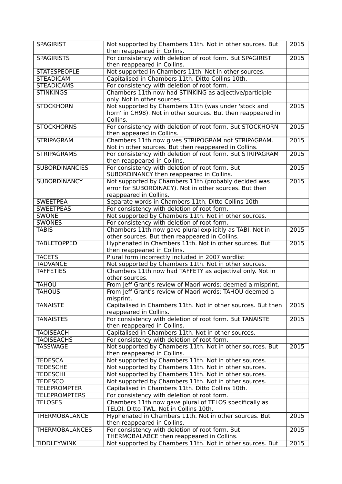| <b>SPAGIRIST</b>      | Not supported by Chambers 11th. Not in other sources. But    | $\overline{2015}$ |
|-----------------------|--------------------------------------------------------------|-------------------|
|                       | then reappeared in Collins.                                  |                   |
| <b>SPAGIRISTS</b>     | For consistency with deletion of root form. But SPAGIRIST    | $\overline{2015}$ |
|                       | then reappeared in Collins.                                  |                   |
| <b>STATESPEOPLE</b>   | Not supported in Chambers 11th. Not in other sources.        |                   |
| <b>STEADICAM</b>      | Capitalised in Chambers 11th. Ditto Collins 10th.            |                   |
| <b>STEADICAMS</b>     | For consistency with deletion of root form.                  |                   |
| <b>STINKINGS</b>      | Chambers 11th now had STINKING as adjective/participle       |                   |
|                       | only. Not in other sources.                                  |                   |
| <b>STOCKHORN</b>      | Not supported by Chambers 11th (was under 'stock and         | 2015              |
|                       | horn' in CH98). Not in other sources. But then reappeared in |                   |
|                       | Collins.                                                     |                   |
| <b>STOCKHORNS</b>     | For consistency with deletion of root form. But STOCKHORN    | 2015              |
|                       | then appeared in Collins.                                    |                   |
| <b>STRIPAGRAM</b>     | Chambers 11th now gives STRIPOGRAM not STRIPAGRAM.           | 2015              |
|                       | Not in other sources. But then reappeared in Collins.        |                   |
| <b>STRIPAGRAMS</b>    | For consistency with deletion of root form. But STRIPAGRAM   | 2015              |
|                       | then reappeared in Collins.                                  |                   |
| <b>SUBORDINANCIES</b> | For consistency with deletion of root form. But              | 2015              |
|                       | SUBORDINANCY then reappeared in Collins.                     |                   |
| <b>SUBORDINANCY</b>   | Not supported by Chambers 11th (probably decided was         | 2015              |
|                       | error for SUBORDINACY). Not in other sources. But then       |                   |
|                       | reappeared in Collins.                                       |                   |
| <b>SWEETPEA</b>       | Separate words in Chambers 11th. Ditto Collins 10th          |                   |
| <b>SWEETPEAS</b>      | For consistency with deletion of root form.                  |                   |
| <b>SWONE</b>          | Not supported by Chambers 11th. Not in other sources.        |                   |
| <b>SWONES</b>         | For consistency with deletion of root form.                  |                   |
|                       |                                                              |                   |
| <b>TABIS</b>          | Chambers 11th now gave plural explicitly as TABI. Not in     | 2015              |
|                       | other sources. But then reappeared in Collins.               | 2015              |
| <b>TABLETOPPED</b>    | Hyphenated in Chambers 11th. Not in other sources. But       |                   |
|                       | then reappeared in Collins.                                  |                   |
| <b>TACETS</b>         | Plural form incorrectly included in 2007 wordlist            |                   |
| <b>TADVANCE</b>       | Not supported by Chambers 11th. Not in other sources.        |                   |
| <b>TAFFETIES</b>      | Chambers 11th now had TAFFETY as adjectival only. Not in     |                   |
|                       | other sources.                                               |                   |
| <b>TAHOU</b>          | From Jeff Grant's review of Maori words: deemed a misprint.  |                   |
| <b>TAHOUS</b>         | From Jeff Grant's review of Maori words: TAHOU deemed a      |                   |
|                       | misprint.                                                    |                   |
| <b>TANAISTE</b>       | Capitalised in Chambers 11th. Not in other sources. But then | 2015              |
|                       | reappeared in Collins.                                       |                   |
| <b>TANAISTES</b>      | For consistency with deletion of root form. But TANAISTE     | 2015              |
|                       | then reappeared in Collins.                                  |                   |
| <b>TAOISEACH</b>      | Capitalised in Chambers 11th. Not in other sources.          |                   |
| <b>TAOISEACHS</b>     | For consistency with deletion of root form.                  |                   |
| <b>TASSWAGE</b>       | Not supported by Chambers 11th. Not in other sources. But    | 2015              |
|                       | then reappeared in Collins.                                  |                   |
| <b>TEDESCA</b>        | Not supported by Chambers 11th. Not in other sources.        |                   |
| <b>TEDESCHE</b>       | Not supported by Chambers 11th. Not in other sources.        |                   |
| <b>TEDESCHI</b>       | Not supported by Chambers 11th. Not in other sources.        |                   |
| <b>TEDESCO</b>        | Not supported by Chambers 11th. Not in other sources.        |                   |
| <b>TELEPROMPTER</b>   | Capitalised in Chambers 11th. Ditto Collins 10th.            |                   |
| <b>TELEPROMPTERS</b>  | For consistency with deletion of root form.                  |                   |
| <b>TELOSES</b>        | Chambers 11th now gave plural of TELOS specifically as       |                   |
|                       | TELOI. Ditto TWL. Not in Collins 10th.                       |                   |
| <b>THERMOBALANCE</b>  | Hyphenated in Chambers 11th. Not in other sources. But       | 2015              |
|                       | then reappeared in Collins.                                  |                   |
| <b>THERMOBALANCES</b> | For consistency with deletion of root form. But              | 2015              |
|                       | THERMOBALABCE then reappeared in Collins.                    |                   |
| <b>TIDDLEYWINK</b>    | Not supported by Chambers 11th. Not in other sources. But    | 2015              |
|                       |                                                              |                   |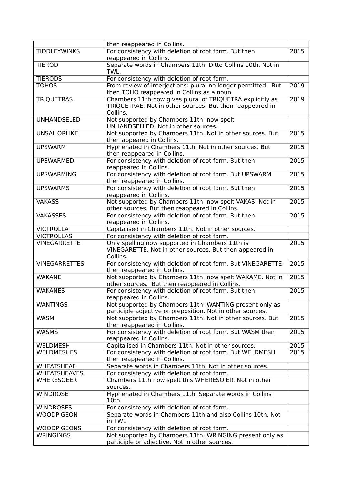| reappeared in Collins.<br>Separate words in Chambers 11th. Ditto Collins 10th. Not in<br><b>TIEROD</b><br>TWL.<br><b>TIERODS</b><br>For consistency with deletion of root form.<br>From review of interjections: plural no longer permitted. But<br>$\overline{2019}$<br><b>TOHOS</b><br>then TOHO reappeared in Collins as a noun.<br>Chambers 11th now gives plural of TRIQUETRA explicitly as<br>2019<br><b>TRIQUETRAS</b><br>TRIQUETRAE. Not in other sources. But then reappeared in<br>Collins.<br>Not supported by Chambers 11th: now spelt<br><b>UNHANDSELED</b><br>UNHANDSELLED. Not in other sources.<br>Not supported by Chambers 11th. Not in other sources. But<br>2015<br><b>UNSAILORLIKE</b><br>then appeared in Collins.<br>Hyphenated in Chambers 11th. Not in other sources. But<br>2015<br><b>UPSWARM</b><br>then reappeared in Collins.<br>For consistency with deletion of root form. But then<br>2015<br><b>UPSWARMED</b><br>reappeared in Collins.<br>For consistency with deletion of root form. But UPSWARM<br>$\overline{2015}$<br><b>UPSWARMING</b><br>then reappeared in Collins.<br>For consistency with deletion of root form. But then<br>2015<br><b>UPSWARMS</b><br>reappeared in Collins.<br>Not supported by Chambers 11th: now spelt VAKAS. Not in<br><b>VAKASS</b><br>2015<br>other sources. But then reappeared in Collins.<br>$\overline{2015}$<br><b>VAKASSES</b><br>For consistency with deletion of root form. But then<br>reappeared in Collins.<br><b>VICTROLLA</b><br>Capitalised in Chambers 11th. Not in other sources.<br><b>VICTROLLAS</b><br>For consistency with deletion of root form.<br>2015<br>Only spelling now supported in Chambers 11th is<br><b>VINEGARRETTE</b><br>VINEGARETTE. Not in other sources. But then appeared in<br>Collins.<br>2015<br><b>VINEGARRETTES</b><br>For consistency with deletion of root form. But VINEGARETTE<br>then reappeared in Collins.<br>Not supported by Chambers 11th: now spelt WAKAME. Not in<br>2015<br><b>WAKANE</b><br>other sources. But then reappeared in Collins.<br>2015<br><b>WAKANES</b><br>For consistency with deletion of root form. But then<br>reappeared in Collins.<br><b>WANTINGS</b><br>Not supported by Chambers 11th: WANTING present only as<br>participle adjective or preposition. Not in other sources.<br>Not supported by Chambers 11th. Not in other sources. But<br>2015<br><b>WASM</b><br>then reappeared in Collins.<br>For consistency with deletion of root form. But WASM then<br>2015<br><b>WASMS</b><br>reappeared in Collins.<br>Capitalised in Chambers 11th. Not in other sources.<br>2015<br><b>WELDMESH</b><br>2015<br><b>WELDMESHES</b><br>For consistency with deletion of root form. But WELDMESH<br>then reappeared in Collins.<br>Separate words in Chambers 11th. Not in other sources.<br><b>WHEATSHEAF</b><br><b>WHEATSHEAVES</b><br>For consistency with deletion of root form.<br>Chambers 11th now spelt this WHERESO'ER. Not in other<br><b>WHERESOEER</b><br>sources.<br><b>WINDROSE</b><br>Hyphenated in Chambers 11th. Separate words in Collins<br>10th.<br>For consistency with deletion of root form.<br><b>WINDROSES</b><br>Separate words in Chambers 11th and also Collins 10th. Not<br><b>WOODPIGEON</b><br>in TWL.<br><b>WOODPIGEONS</b><br>For consistency with deletion of root form.<br>Not supported by Chambers 11th: WRINGING present only as<br><b>WRINGINGS</b><br>participle or adjective. Not in other sources. |                     | then reappeared in Collins.                          |      |
|------------------------------------------------------------------------------------------------------------------------------------------------------------------------------------------------------------------------------------------------------------------------------------------------------------------------------------------------------------------------------------------------------------------------------------------------------------------------------------------------------------------------------------------------------------------------------------------------------------------------------------------------------------------------------------------------------------------------------------------------------------------------------------------------------------------------------------------------------------------------------------------------------------------------------------------------------------------------------------------------------------------------------------------------------------------------------------------------------------------------------------------------------------------------------------------------------------------------------------------------------------------------------------------------------------------------------------------------------------------------------------------------------------------------------------------------------------------------------------------------------------------------------------------------------------------------------------------------------------------------------------------------------------------------------------------------------------------------------------------------------------------------------------------------------------------------------------------------------------------------------------------------------------------------------------------------------------------------------------------------------------------------------------------------------------------------------------------------------------------------------------------------------------------------------------------------------------------------------------------------------------------------------------------------------------------------------------------------------------------------------------------------------------------------------------------------------------------------------------------------------------------------------------------------------------------------------------------------------------------------------------------------------------------------------------------------------------------------------------------------------------------------------------------------------------------------------------------------------------------------------------------------------------------------------------------------------------------------------------------------------------------------------------------------------------------------------------------------------------------------------------------------------------------------------------------------------------------------------------------------------------------------------------------------------------------------------------------------------------------------------------------------------------------------------------------------------------------------------------------|---------------------|------------------------------------------------------|------|
|                                                                                                                                                                                                                                                                                                                                                                                                                                                                                                                                                                                                                                                                                                                                                                                                                                                                                                                                                                                                                                                                                                                                                                                                                                                                                                                                                                                                                                                                                                                                                                                                                                                                                                                                                                                                                                                                                                                                                                                                                                                                                                                                                                                                                                                                                                                                                                                                                                                                                                                                                                                                                                                                                                                                                                                                                                                                                                                                                                                                                                                                                                                                                                                                                                                                                                                                                                                                                                                                                          | <b>TIDDLEYWINKS</b> | For consistency with deletion of root form. But then | 2015 |
|                                                                                                                                                                                                                                                                                                                                                                                                                                                                                                                                                                                                                                                                                                                                                                                                                                                                                                                                                                                                                                                                                                                                                                                                                                                                                                                                                                                                                                                                                                                                                                                                                                                                                                                                                                                                                                                                                                                                                                                                                                                                                                                                                                                                                                                                                                                                                                                                                                                                                                                                                                                                                                                                                                                                                                                                                                                                                                                                                                                                                                                                                                                                                                                                                                                                                                                                                                                                                                                                                          |                     |                                                      |      |
|                                                                                                                                                                                                                                                                                                                                                                                                                                                                                                                                                                                                                                                                                                                                                                                                                                                                                                                                                                                                                                                                                                                                                                                                                                                                                                                                                                                                                                                                                                                                                                                                                                                                                                                                                                                                                                                                                                                                                                                                                                                                                                                                                                                                                                                                                                                                                                                                                                                                                                                                                                                                                                                                                                                                                                                                                                                                                                                                                                                                                                                                                                                                                                                                                                                                                                                                                                                                                                                                                          |                     |                                                      |      |
|                                                                                                                                                                                                                                                                                                                                                                                                                                                                                                                                                                                                                                                                                                                                                                                                                                                                                                                                                                                                                                                                                                                                                                                                                                                                                                                                                                                                                                                                                                                                                                                                                                                                                                                                                                                                                                                                                                                                                                                                                                                                                                                                                                                                                                                                                                                                                                                                                                                                                                                                                                                                                                                                                                                                                                                                                                                                                                                                                                                                                                                                                                                                                                                                                                                                                                                                                                                                                                                                                          |                     |                                                      |      |
|                                                                                                                                                                                                                                                                                                                                                                                                                                                                                                                                                                                                                                                                                                                                                                                                                                                                                                                                                                                                                                                                                                                                                                                                                                                                                                                                                                                                                                                                                                                                                                                                                                                                                                                                                                                                                                                                                                                                                                                                                                                                                                                                                                                                                                                                                                                                                                                                                                                                                                                                                                                                                                                                                                                                                                                                                                                                                                                                                                                                                                                                                                                                                                                                                                                                                                                                                                                                                                                                                          |                     |                                                      |      |
|                                                                                                                                                                                                                                                                                                                                                                                                                                                                                                                                                                                                                                                                                                                                                                                                                                                                                                                                                                                                                                                                                                                                                                                                                                                                                                                                                                                                                                                                                                                                                                                                                                                                                                                                                                                                                                                                                                                                                                                                                                                                                                                                                                                                                                                                                                                                                                                                                                                                                                                                                                                                                                                                                                                                                                                                                                                                                                                                                                                                                                                                                                                                                                                                                                                                                                                                                                                                                                                                                          |                     |                                                      |      |
|                                                                                                                                                                                                                                                                                                                                                                                                                                                                                                                                                                                                                                                                                                                                                                                                                                                                                                                                                                                                                                                                                                                                                                                                                                                                                                                                                                                                                                                                                                                                                                                                                                                                                                                                                                                                                                                                                                                                                                                                                                                                                                                                                                                                                                                                                                                                                                                                                                                                                                                                                                                                                                                                                                                                                                                                                                                                                                                                                                                                                                                                                                                                                                                                                                                                                                                                                                                                                                                                                          |                     |                                                      |      |
|                                                                                                                                                                                                                                                                                                                                                                                                                                                                                                                                                                                                                                                                                                                                                                                                                                                                                                                                                                                                                                                                                                                                                                                                                                                                                                                                                                                                                                                                                                                                                                                                                                                                                                                                                                                                                                                                                                                                                                                                                                                                                                                                                                                                                                                                                                                                                                                                                                                                                                                                                                                                                                                                                                                                                                                                                                                                                                                                                                                                                                                                                                                                                                                                                                                                                                                                                                                                                                                                                          |                     |                                                      |      |
|                                                                                                                                                                                                                                                                                                                                                                                                                                                                                                                                                                                                                                                                                                                                                                                                                                                                                                                                                                                                                                                                                                                                                                                                                                                                                                                                                                                                                                                                                                                                                                                                                                                                                                                                                                                                                                                                                                                                                                                                                                                                                                                                                                                                                                                                                                                                                                                                                                                                                                                                                                                                                                                                                                                                                                                                                                                                                                                                                                                                                                                                                                                                                                                                                                                                                                                                                                                                                                                                                          |                     |                                                      |      |
|                                                                                                                                                                                                                                                                                                                                                                                                                                                                                                                                                                                                                                                                                                                                                                                                                                                                                                                                                                                                                                                                                                                                                                                                                                                                                                                                                                                                                                                                                                                                                                                                                                                                                                                                                                                                                                                                                                                                                                                                                                                                                                                                                                                                                                                                                                                                                                                                                                                                                                                                                                                                                                                                                                                                                                                                                                                                                                                                                                                                                                                                                                                                                                                                                                                                                                                                                                                                                                                                                          |                     |                                                      |      |
|                                                                                                                                                                                                                                                                                                                                                                                                                                                                                                                                                                                                                                                                                                                                                                                                                                                                                                                                                                                                                                                                                                                                                                                                                                                                                                                                                                                                                                                                                                                                                                                                                                                                                                                                                                                                                                                                                                                                                                                                                                                                                                                                                                                                                                                                                                                                                                                                                                                                                                                                                                                                                                                                                                                                                                                                                                                                                                                                                                                                                                                                                                                                                                                                                                                                                                                                                                                                                                                                                          |                     |                                                      |      |
|                                                                                                                                                                                                                                                                                                                                                                                                                                                                                                                                                                                                                                                                                                                                                                                                                                                                                                                                                                                                                                                                                                                                                                                                                                                                                                                                                                                                                                                                                                                                                                                                                                                                                                                                                                                                                                                                                                                                                                                                                                                                                                                                                                                                                                                                                                                                                                                                                                                                                                                                                                                                                                                                                                                                                                                                                                                                                                                                                                                                                                                                                                                                                                                                                                                                                                                                                                                                                                                                                          |                     |                                                      |      |
|                                                                                                                                                                                                                                                                                                                                                                                                                                                                                                                                                                                                                                                                                                                                                                                                                                                                                                                                                                                                                                                                                                                                                                                                                                                                                                                                                                                                                                                                                                                                                                                                                                                                                                                                                                                                                                                                                                                                                                                                                                                                                                                                                                                                                                                                                                                                                                                                                                                                                                                                                                                                                                                                                                                                                                                                                                                                                                                                                                                                                                                                                                                                                                                                                                                                                                                                                                                                                                                                                          |                     |                                                      |      |
|                                                                                                                                                                                                                                                                                                                                                                                                                                                                                                                                                                                                                                                                                                                                                                                                                                                                                                                                                                                                                                                                                                                                                                                                                                                                                                                                                                                                                                                                                                                                                                                                                                                                                                                                                                                                                                                                                                                                                                                                                                                                                                                                                                                                                                                                                                                                                                                                                                                                                                                                                                                                                                                                                                                                                                                                                                                                                                                                                                                                                                                                                                                                                                                                                                                                                                                                                                                                                                                                                          |                     |                                                      |      |
|                                                                                                                                                                                                                                                                                                                                                                                                                                                                                                                                                                                                                                                                                                                                                                                                                                                                                                                                                                                                                                                                                                                                                                                                                                                                                                                                                                                                                                                                                                                                                                                                                                                                                                                                                                                                                                                                                                                                                                                                                                                                                                                                                                                                                                                                                                                                                                                                                                                                                                                                                                                                                                                                                                                                                                                                                                                                                                                                                                                                                                                                                                                                                                                                                                                                                                                                                                                                                                                                                          |                     |                                                      |      |
|                                                                                                                                                                                                                                                                                                                                                                                                                                                                                                                                                                                                                                                                                                                                                                                                                                                                                                                                                                                                                                                                                                                                                                                                                                                                                                                                                                                                                                                                                                                                                                                                                                                                                                                                                                                                                                                                                                                                                                                                                                                                                                                                                                                                                                                                                                                                                                                                                                                                                                                                                                                                                                                                                                                                                                                                                                                                                                                                                                                                                                                                                                                                                                                                                                                                                                                                                                                                                                                                                          |                     |                                                      |      |
|                                                                                                                                                                                                                                                                                                                                                                                                                                                                                                                                                                                                                                                                                                                                                                                                                                                                                                                                                                                                                                                                                                                                                                                                                                                                                                                                                                                                                                                                                                                                                                                                                                                                                                                                                                                                                                                                                                                                                                                                                                                                                                                                                                                                                                                                                                                                                                                                                                                                                                                                                                                                                                                                                                                                                                                                                                                                                                                                                                                                                                                                                                                                                                                                                                                                                                                                                                                                                                                                                          |                     |                                                      |      |
|                                                                                                                                                                                                                                                                                                                                                                                                                                                                                                                                                                                                                                                                                                                                                                                                                                                                                                                                                                                                                                                                                                                                                                                                                                                                                                                                                                                                                                                                                                                                                                                                                                                                                                                                                                                                                                                                                                                                                                                                                                                                                                                                                                                                                                                                                                                                                                                                                                                                                                                                                                                                                                                                                                                                                                                                                                                                                                                                                                                                                                                                                                                                                                                                                                                                                                                                                                                                                                                                                          |                     |                                                      |      |
|                                                                                                                                                                                                                                                                                                                                                                                                                                                                                                                                                                                                                                                                                                                                                                                                                                                                                                                                                                                                                                                                                                                                                                                                                                                                                                                                                                                                                                                                                                                                                                                                                                                                                                                                                                                                                                                                                                                                                                                                                                                                                                                                                                                                                                                                                                                                                                                                                                                                                                                                                                                                                                                                                                                                                                                                                                                                                                                                                                                                                                                                                                                                                                                                                                                                                                                                                                                                                                                                                          |                     |                                                      |      |
|                                                                                                                                                                                                                                                                                                                                                                                                                                                                                                                                                                                                                                                                                                                                                                                                                                                                                                                                                                                                                                                                                                                                                                                                                                                                                                                                                                                                                                                                                                                                                                                                                                                                                                                                                                                                                                                                                                                                                                                                                                                                                                                                                                                                                                                                                                                                                                                                                                                                                                                                                                                                                                                                                                                                                                                                                                                                                                                                                                                                                                                                                                                                                                                                                                                                                                                                                                                                                                                                                          |                     |                                                      |      |
|                                                                                                                                                                                                                                                                                                                                                                                                                                                                                                                                                                                                                                                                                                                                                                                                                                                                                                                                                                                                                                                                                                                                                                                                                                                                                                                                                                                                                                                                                                                                                                                                                                                                                                                                                                                                                                                                                                                                                                                                                                                                                                                                                                                                                                                                                                                                                                                                                                                                                                                                                                                                                                                                                                                                                                                                                                                                                                                                                                                                                                                                                                                                                                                                                                                                                                                                                                                                                                                                                          |                     |                                                      |      |
|                                                                                                                                                                                                                                                                                                                                                                                                                                                                                                                                                                                                                                                                                                                                                                                                                                                                                                                                                                                                                                                                                                                                                                                                                                                                                                                                                                                                                                                                                                                                                                                                                                                                                                                                                                                                                                                                                                                                                                                                                                                                                                                                                                                                                                                                                                                                                                                                                                                                                                                                                                                                                                                                                                                                                                                                                                                                                                                                                                                                                                                                                                                                                                                                                                                                                                                                                                                                                                                                                          |                     |                                                      |      |
|                                                                                                                                                                                                                                                                                                                                                                                                                                                                                                                                                                                                                                                                                                                                                                                                                                                                                                                                                                                                                                                                                                                                                                                                                                                                                                                                                                                                                                                                                                                                                                                                                                                                                                                                                                                                                                                                                                                                                                                                                                                                                                                                                                                                                                                                                                                                                                                                                                                                                                                                                                                                                                                                                                                                                                                                                                                                                                                                                                                                                                                                                                                                                                                                                                                                                                                                                                                                                                                                                          |                     |                                                      |      |
|                                                                                                                                                                                                                                                                                                                                                                                                                                                                                                                                                                                                                                                                                                                                                                                                                                                                                                                                                                                                                                                                                                                                                                                                                                                                                                                                                                                                                                                                                                                                                                                                                                                                                                                                                                                                                                                                                                                                                                                                                                                                                                                                                                                                                                                                                                                                                                                                                                                                                                                                                                                                                                                                                                                                                                                                                                                                                                                                                                                                                                                                                                                                                                                                                                                                                                                                                                                                                                                                                          |                     |                                                      |      |
|                                                                                                                                                                                                                                                                                                                                                                                                                                                                                                                                                                                                                                                                                                                                                                                                                                                                                                                                                                                                                                                                                                                                                                                                                                                                                                                                                                                                                                                                                                                                                                                                                                                                                                                                                                                                                                                                                                                                                                                                                                                                                                                                                                                                                                                                                                                                                                                                                                                                                                                                                                                                                                                                                                                                                                                                                                                                                                                                                                                                                                                                                                                                                                                                                                                                                                                                                                                                                                                                                          |                     |                                                      |      |
|                                                                                                                                                                                                                                                                                                                                                                                                                                                                                                                                                                                                                                                                                                                                                                                                                                                                                                                                                                                                                                                                                                                                                                                                                                                                                                                                                                                                                                                                                                                                                                                                                                                                                                                                                                                                                                                                                                                                                                                                                                                                                                                                                                                                                                                                                                                                                                                                                                                                                                                                                                                                                                                                                                                                                                                                                                                                                                                                                                                                                                                                                                                                                                                                                                                                                                                                                                                                                                                                                          |                     |                                                      |      |
|                                                                                                                                                                                                                                                                                                                                                                                                                                                                                                                                                                                                                                                                                                                                                                                                                                                                                                                                                                                                                                                                                                                                                                                                                                                                                                                                                                                                                                                                                                                                                                                                                                                                                                                                                                                                                                                                                                                                                                                                                                                                                                                                                                                                                                                                                                                                                                                                                                                                                                                                                                                                                                                                                                                                                                                                                                                                                                                                                                                                                                                                                                                                                                                                                                                                                                                                                                                                                                                                                          |                     |                                                      |      |
|                                                                                                                                                                                                                                                                                                                                                                                                                                                                                                                                                                                                                                                                                                                                                                                                                                                                                                                                                                                                                                                                                                                                                                                                                                                                                                                                                                                                                                                                                                                                                                                                                                                                                                                                                                                                                                                                                                                                                                                                                                                                                                                                                                                                                                                                                                                                                                                                                                                                                                                                                                                                                                                                                                                                                                                                                                                                                                                                                                                                                                                                                                                                                                                                                                                                                                                                                                                                                                                                                          |                     |                                                      |      |
|                                                                                                                                                                                                                                                                                                                                                                                                                                                                                                                                                                                                                                                                                                                                                                                                                                                                                                                                                                                                                                                                                                                                                                                                                                                                                                                                                                                                                                                                                                                                                                                                                                                                                                                                                                                                                                                                                                                                                                                                                                                                                                                                                                                                                                                                                                                                                                                                                                                                                                                                                                                                                                                                                                                                                                                                                                                                                                                                                                                                                                                                                                                                                                                                                                                                                                                                                                                                                                                                                          |                     |                                                      |      |
|                                                                                                                                                                                                                                                                                                                                                                                                                                                                                                                                                                                                                                                                                                                                                                                                                                                                                                                                                                                                                                                                                                                                                                                                                                                                                                                                                                                                                                                                                                                                                                                                                                                                                                                                                                                                                                                                                                                                                                                                                                                                                                                                                                                                                                                                                                                                                                                                                                                                                                                                                                                                                                                                                                                                                                                                                                                                                                                                                                                                                                                                                                                                                                                                                                                                                                                                                                                                                                                                                          |                     |                                                      |      |
|                                                                                                                                                                                                                                                                                                                                                                                                                                                                                                                                                                                                                                                                                                                                                                                                                                                                                                                                                                                                                                                                                                                                                                                                                                                                                                                                                                                                                                                                                                                                                                                                                                                                                                                                                                                                                                                                                                                                                                                                                                                                                                                                                                                                                                                                                                                                                                                                                                                                                                                                                                                                                                                                                                                                                                                                                                                                                                                                                                                                                                                                                                                                                                                                                                                                                                                                                                                                                                                                                          |                     |                                                      |      |
|                                                                                                                                                                                                                                                                                                                                                                                                                                                                                                                                                                                                                                                                                                                                                                                                                                                                                                                                                                                                                                                                                                                                                                                                                                                                                                                                                                                                                                                                                                                                                                                                                                                                                                                                                                                                                                                                                                                                                                                                                                                                                                                                                                                                                                                                                                                                                                                                                                                                                                                                                                                                                                                                                                                                                                                                                                                                                                                                                                                                                                                                                                                                                                                                                                                                                                                                                                                                                                                                                          |                     |                                                      |      |
|                                                                                                                                                                                                                                                                                                                                                                                                                                                                                                                                                                                                                                                                                                                                                                                                                                                                                                                                                                                                                                                                                                                                                                                                                                                                                                                                                                                                                                                                                                                                                                                                                                                                                                                                                                                                                                                                                                                                                                                                                                                                                                                                                                                                                                                                                                                                                                                                                                                                                                                                                                                                                                                                                                                                                                                                                                                                                                                                                                                                                                                                                                                                                                                                                                                                                                                                                                                                                                                                                          |                     |                                                      |      |
|                                                                                                                                                                                                                                                                                                                                                                                                                                                                                                                                                                                                                                                                                                                                                                                                                                                                                                                                                                                                                                                                                                                                                                                                                                                                                                                                                                                                                                                                                                                                                                                                                                                                                                                                                                                                                                                                                                                                                                                                                                                                                                                                                                                                                                                                                                                                                                                                                                                                                                                                                                                                                                                                                                                                                                                                                                                                                                                                                                                                                                                                                                                                                                                                                                                                                                                                                                                                                                                                                          |                     |                                                      |      |
|                                                                                                                                                                                                                                                                                                                                                                                                                                                                                                                                                                                                                                                                                                                                                                                                                                                                                                                                                                                                                                                                                                                                                                                                                                                                                                                                                                                                                                                                                                                                                                                                                                                                                                                                                                                                                                                                                                                                                                                                                                                                                                                                                                                                                                                                                                                                                                                                                                                                                                                                                                                                                                                                                                                                                                                                                                                                                                                                                                                                                                                                                                                                                                                                                                                                                                                                                                                                                                                                                          |                     |                                                      |      |
|                                                                                                                                                                                                                                                                                                                                                                                                                                                                                                                                                                                                                                                                                                                                                                                                                                                                                                                                                                                                                                                                                                                                                                                                                                                                                                                                                                                                                                                                                                                                                                                                                                                                                                                                                                                                                                                                                                                                                                                                                                                                                                                                                                                                                                                                                                                                                                                                                                                                                                                                                                                                                                                                                                                                                                                                                                                                                                                                                                                                                                                                                                                                                                                                                                                                                                                                                                                                                                                                                          |                     |                                                      |      |
|                                                                                                                                                                                                                                                                                                                                                                                                                                                                                                                                                                                                                                                                                                                                                                                                                                                                                                                                                                                                                                                                                                                                                                                                                                                                                                                                                                                                                                                                                                                                                                                                                                                                                                                                                                                                                                                                                                                                                                                                                                                                                                                                                                                                                                                                                                                                                                                                                                                                                                                                                                                                                                                                                                                                                                                                                                                                                                                                                                                                                                                                                                                                                                                                                                                                                                                                                                                                                                                                                          |                     |                                                      |      |
|                                                                                                                                                                                                                                                                                                                                                                                                                                                                                                                                                                                                                                                                                                                                                                                                                                                                                                                                                                                                                                                                                                                                                                                                                                                                                                                                                                                                                                                                                                                                                                                                                                                                                                                                                                                                                                                                                                                                                                                                                                                                                                                                                                                                                                                                                                                                                                                                                                                                                                                                                                                                                                                                                                                                                                                                                                                                                                                                                                                                                                                                                                                                                                                                                                                                                                                                                                                                                                                                                          |                     |                                                      |      |
|                                                                                                                                                                                                                                                                                                                                                                                                                                                                                                                                                                                                                                                                                                                                                                                                                                                                                                                                                                                                                                                                                                                                                                                                                                                                                                                                                                                                                                                                                                                                                                                                                                                                                                                                                                                                                                                                                                                                                                                                                                                                                                                                                                                                                                                                                                                                                                                                                                                                                                                                                                                                                                                                                                                                                                                                                                                                                                                                                                                                                                                                                                                                                                                                                                                                                                                                                                                                                                                                                          |                     |                                                      |      |
|                                                                                                                                                                                                                                                                                                                                                                                                                                                                                                                                                                                                                                                                                                                                                                                                                                                                                                                                                                                                                                                                                                                                                                                                                                                                                                                                                                                                                                                                                                                                                                                                                                                                                                                                                                                                                                                                                                                                                                                                                                                                                                                                                                                                                                                                                                                                                                                                                                                                                                                                                                                                                                                                                                                                                                                                                                                                                                                                                                                                                                                                                                                                                                                                                                                                                                                                                                                                                                                                                          |                     |                                                      |      |
|                                                                                                                                                                                                                                                                                                                                                                                                                                                                                                                                                                                                                                                                                                                                                                                                                                                                                                                                                                                                                                                                                                                                                                                                                                                                                                                                                                                                                                                                                                                                                                                                                                                                                                                                                                                                                                                                                                                                                                                                                                                                                                                                                                                                                                                                                                                                                                                                                                                                                                                                                                                                                                                                                                                                                                                                                                                                                                                                                                                                                                                                                                                                                                                                                                                                                                                                                                                                                                                                                          |                     |                                                      |      |
|                                                                                                                                                                                                                                                                                                                                                                                                                                                                                                                                                                                                                                                                                                                                                                                                                                                                                                                                                                                                                                                                                                                                                                                                                                                                                                                                                                                                                                                                                                                                                                                                                                                                                                                                                                                                                                                                                                                                                                                                                                                                                                                                                                                                                                                                                                                                                                                                                                                                                                                                                                                                                                                                                                                                                                                                                                                                                                                                                                                                                                                                                                                                                                                                                                                                                                                                                                                                                                                                                          |                     |                                                      |      |
|                                                                                                                                                                                                                                                                                                                                                                                                                                                                                                                                                                                                                                                                                                                                                                                                                                                                                                                                                                                                                                                                                                                                                                                                                                                                                                                                                                                                                                                                                                                                                                                                                                                                                                                                                                                                                                                                                                                                                                                                                                                                                                                                                                                                                                                                                                                                                                                                                                                                                                                                                                                                                                                                                                                                                                                                                                                                                                                                                                                                                                                                                                                                                                                                                                                                                                                                                                                                                                                                                          |                     |                                                      |      |
|                                                                                                                                                                                                                                                                                                                                                                                                                                                                                                                                                                                                                                                                                                                                                                                                                                                                                                                                                                                                                                                                                                                                                                                                                                                                                                                                                                                                                                                                                                                                                                                                                                                                                                                                                                                                                                                                                                                                                                                                                                                                                                                                                                                                                                                                                                                                                                                                                                                                                                                                                                                                                                                                                                                                                                                                                                                                                                                                                                                                                                                                                                                                                                                                                                                                                                                                                                                                                                                                                          |                     |                                                      |      |
|                                                                                                                                                                                                                                                                                                                                                                                                                                                                                                                                                                                                                                                                                                                                                                                                                                                                                                                                                                                                                                                                                                                                                                                                                                                                                                                                                                                                                                                                                                                                                                                                                                                                                                                                                                                                                                                                                                                                                                                                                                                                                                                                                                                                                                                                                                                                                                                                                                                                                                                                                                                                                                                                                                                                                                                                                                                                                                                                                                                                                                                                                                                                                                                                                                                                                                                                                                                                                                                                                          |                     |                                                      |      |
|                                                                                                                                                                                                                                                                                                                                                                                                                                                                                                                                                                                                                                                                                                                                                                                                                                                                                                                                                                                                                                                                                                                                                                                                                                                                                                                                                                                                                                                                                                                                                                                                                                                                                                                                                                                                                                                                                                                                                                                                                                                                                                                                                                                                                                                                                                                                                                                                                                                                                                                                                                                                                                                                                                                                                                                                                                                                                                                                                                                                                                                                                                                                                                                                                                                                                                                                                                                                                                                                                          |                     |                                                      |      |
|                                                                                                                                                                                                                                                                                                                                                                                                                                                                                                                                                                                                                                                                                                                                                                                                                                                                                                                                                                                                                                                                                                                                                                                                                                                                                                                                                                                                                                                                                                                                                                                                                                                                                                                                                                                                                                                                                                                                                                                                                                                                                                                                                                                                                                                                                                                                                                                                                                                                                                                                                                                                                                                                                                                                                                                                                                                                                                                                                                                                                                                                                                                                                                                                                                                                                                                                                                                                                                                                                          |                     |                                                      |      |
|                                                                                                                                                                                                                                                                                                                                                                                                                                                                                                                                                                                                                                                                                                                                                                                                                                                                                                                                                                                                                                                                                                                                                                                                                                                                                                                                                                                                                                                                                                                                                                                                                                                                                                                                                                                                                                                                                                                                                                                                                                                                                                                                                                                                                                                                                                                                                                                                                                                                                                                                                                                                                                                                                                                                                                                                                                                                                                                                                                                                                                                                                                                                                                                                                                                                                                                                                                                                                                                                                          |                     |                                                      |      |
|                                                                                                                                                                                                                                                                                                                                                                                                                                                                                                                                                                                                                                                                                                                                                                                                                                                                                                                                                                                                                                                                                                                                                                                                                                                                                                                                                                                                                                                                                                                                                                                                                                                                                                                                                                                                                                                                                                                                                                                                                                                                                                                                                                                                                                                                                                                                                                                                                                                                                                                                                                                                                                                                                                                                                                                                                                                                                                                                                                                                                                                                                                                                                                                                                                                                                                                                                                                                                                                                                          |                     |                                                      |      |
|                                                                                                                                                                                                                                                                                                                                                                                                                                                                                                                                                                                                                                                                                                                                                                                                                                                                                                                                                                                                                                                                                                                                                                                                                                                                                                                                                                                                                                                                                                                                                                                                                                                                                                                                                                                                                                                                                                                                                                                                                                                                                                                                                                                                                                                                                                                                                                                                                                                                                                                                                                                                                                                                                                                                                                                                                                                                                                                                                                                                                                                                                                                                                                                                                                                                                                                                                                                                                                                                                          |                     |                                                      |      |
|                                                                                                                                                                                                                                                                                                                                                                                                                                                                                                                                                                                                                                                                                                                                                                                                                                                                                                                                                                                                                                                                                                                                                                                                                                                                                                                                                                                                                                                                                                                                                                                                                                                                                                                                                                                                                                                                                                                                                                                                                                                                                                                                                                                                                                                                                                                                                                                                                                                                                                                                                                                                                                                                                                                                                                                                                                                                                                                                                                                                                                                                                                                                                                                                                                                                                                                                                                                                                                                                                          |                     |                                                      |      |
|                                                                                                                                                                                                                                                                                                                                                                                                                                                                                                                                                                                                                                                                                                                                                                                                                                                                                                                                                                                                                                                                                                                                                                                                                                                                                                                                                                                                                                                                                                                                                                                                                                                                                                                                                                                                                                                                                                                                                                                                                                                                                                                                                                                                                                                                                                                                                                                                                                                                                                                                                                                                                                                                                                                                                                                                                                                                                                                                                                                                                                                                                                                                                                                                                                                                                                                                                                                                                                                                                          |                     |                                                      |      |
|                                                                                                                                                                                                                                                                                                                                                                                                                                                                                                                                                                                                                                                                                                                                                                                                                                                                                                                                                                                                                                                                                                                                                                                                                                                                                                                                                                                                                                                                                                                                                                                                                                                                                                                                                                                                                                                                                                                                                                                                                                                                                                                                                                                                                                                                                                                                                                                                                                                                                                                                                                                                                                                                                                                                                                                                                                                                                                                                                                                                                                                                                                                                                                                                                                                                                                                                                                                                                                                                                          |                     |                                                      |      |
|                                                                                                                                                                                                                                                                                                                                                                                                                                                                                                                                                                                                                                                                                                                                                                                                                                                                                                                                                                                                                                                                                                                                                                                                                                                                                                                                                                                                                                                                                                                                                                                                                                                                                                                                                                                                                                                                                                                                                                                                                                                                                                                                                                                                                                                                                                                                                                                                                                                                                                                                                                                                                                                                                                                                                                                                                                                                                                                                                                                                                                                                                                                                                                                                                                                                                                                                                                                                                                                                                          |                     |                                                      |      |
|                                                                                                                                                                                                                                                                                                                                                                                                                                                                                                                                                                                                                                                                                                                                                                                                                                                                                                                                                                                                                                                                                                                                                                                                                                                                                                                                                                                                                                                                                                                                                                                                                                                                                                                                                                                                                                                                                                                                                                                                                                                                                                                                                                                                                                                                                                                                                                                                                                                                                                                                                                                                                                                                                                                                                                                                                                                                                                                                                                                                                                                                                                                                                                                                                                                                                                                                                                                                                                                                                          |                     |                                                      |      |
|                                                                                                                                                                                                                                                                                                                                                                                                                                                                                                                                                                                                                                                                                                                                                                                                                                                                                                                                                                                                                                                                                                                                                                                                                                                                                                                                                                                                                                                                                                                                                                                                                                                                                                                                                                                                                                                                                                                                                                                                                                                                                                                                                                                                                                                                                                                                                                                                                                                                                                                                                                                                                                                                                                                                                                                                                                                                                                                                                                                                                                                                                                                                                                                                                                                                                                                                                                                                                                                                                          |                     |                                                      |      |
|                                                                                                                                                                                                                                                                                                                                                                                                                                                                                                                                                                                                                                                                                                                                                                                                                                                                                                                                                                                                                                                                                                                                                                                                                                                                                                                                                                                                                                                                                                                                                                                                                                                                                                                                                                                                                                                                                                                                                                                                                                                                                                                                                                                                                                                                                                                                                                                                                                                                                                                                                                                                                                                                                                                                                                                                                                                                                                                                                                                                                                                                                                                                                                                                                                                                                                                                                                                                                                                                                          |                     |                                                      |      |
|                                                                                                                                                                                                                                                                                                                                                                                                                                                                                                                                                                                                                                                                                                                                                                                                                                                                                                                                                                                                                                                                                                                                                                                                                                                                                                                                                                                                                                                                                                                                                                                                                                                                                                                                                                                                                                                                                                                                                                                                                                                                                                                                                                                                                                                                                                                                                                                                                                                                                                                                                                                                                                                                                                                                                                                                                                                                                                                                                                                                                                                                                                                                                                                                                                                                                                                                                                                                                                                                                          |                     |                                                      |      |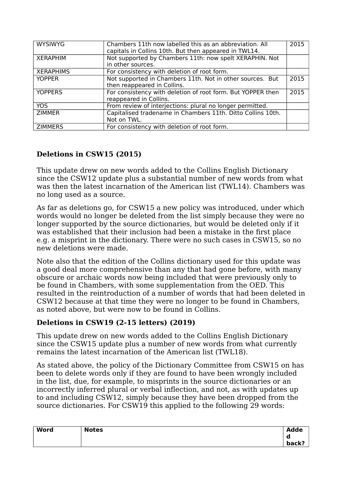| <b>WYSIWYG</b>   | Chambers 11th now labelled this as an abbreviation. All<br>capitals in Collins 10th. But then appeared in TWL14. | 2015 |
|------------------|------------------------------------------------------------------------------------------------------------------|------|
| <b>XERAPHIM</b>  | Not supported by Chambers 11th: now spelt XERAPHIN. Not<br>in other sources.                                     |      |
| <b>XERAPHIMS</b> | For consistency with deletion of root form.                                                                      |      |
| <b>YOPPER</b>    | Not supported in Chambers 11th. Not in other sources. But<br>then reappeared in Collins.                         | 2015 |
| <b>YOPPERS</b>   | For consistency with deletion of root form. But YOPPER then<br>reappeared in Collins.                            | 2015 |
| <b>YOS</b>       | From review of interjections: plural no longer permitted.                                                        |      |
| <b>ZIMMER</b>    | Capitalised tradename in Chambers 11th. Ditto Collins 10th.<br>Not on TWL.                                       |      |
| <b>ZIMMERS</b>   | For consistency with deletion of root form.                                                                      |      |

### **Deletions in CSW15 (2015)**

This update drew on new words added to the Collins English Dictionary since the CSW12 update plus a substantial number of new words from what was then the latest incarnation of the American list (TWL14). Chambers was no long used as a source.

As far as deletions go, for CSW15 a new policy was introduced, under which words would no longer be deleted from the list simply because they were no longer supported by the source dictionaries, but would be deleted only if it was established that their inclusion had been a mistake in the first place e.g. a misprint in the dictionary. There were no such cases in CSW15, so no new deletions were made.

Note also that the edition of the Collins dictionary used for this update was a good deal more comprehensive than any that had gone before, with many obscure or archaic words now being included that were previously only to be found in Chambers, with some supplementation from the OED. This resulted in the reintroduction of a number of words that had been deleted in CSW12 because at that time they were no longer to be found in Chambers, as noted above, but were now to be found in Collins.

#### **Deletions in CSW19 (2-15 letters) (2019)**

This update drew on new words added to the Collins English Dictionary since the CSW15 update plus a number of new words from what currently remains the latest incarnation of the American list (TWL18).

As stated above, the policy of the Dictionary Committee from CSW15 on has been to delete words only if they are found to have been wrongly included in the list, due, for example, to misprints in the source dictionaries or an incorrectly inferred plural or verbal inflection, and not, as with updates up to and including CSW12, simply because they have been dropped from the source dictionaries. For CSW19 this applied to the following 29 words:

| <b>Word</b> | <b>Notes</b> | <b>Adde</b> |
|-------------|--------------|-------------|
|             |              | a           |
|             |              | back?       |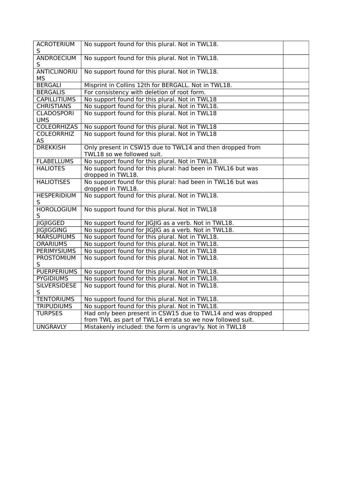| <b>ACROTERIUM</b><br>S                | No support found for this plural. Not in TWL18.                                                              |  |
|---------------------------------------|--------------------------------------------------------------------------------------------------------------|--|
| <b>ANDROECIUM</b>                     | No support found for this plural. Not in TWL18.                                                              |  |
| S                                     |                                                                                                              |  |
| <b>ANTICLINORIU</b>                   | No support found for this plural. Not in TWL18.                                                              |  |
| <b>MS</b>                             |                                                                                                              |  |
| <b>BERGALI</b>                        | Misprint in Collins 12th for BERGALL. Not in TWL18.                                                          |  |
| <b>BERGALIS</b>                       | For consistency with deletion of root form.                                                                  |  |
| <b>CAPILLITIUMS</b>                   | No support found for this plural. Not in TWL18                                                               |  |
| <b>CHRISTIANS</b>                     | No support found for this plural. Not in TWL18.                                                              |  |
| <b>CLADOSPORI</b>                     | No support found for this plural. Not in TWL18                                                               |  |
| <b>UMS</b>                            |                                                                                                              |  |
| <b>COLEORHIZAS</b>                    | No support found for this plural. Not in TWL18                                                               |  |
| <b>COLEORRHIZ</b>                     | No support found for this plural. Not in TWL18                                                               |  |
| AS                                    |                                                                                                              |  |
| <b>DREKKISH</b>                       | Only present in CSW15 due to TWL14 and then dropped from                                                     |  |
|                                       | TWL18 so we followed suit.                                                                                   |  |
| <b>FLABELLUMS</b>                     | No support found for this plural. Not in TWL18.                                                              |  |
| <b>HALIOTES</b>                       | No support found for this plural: had been in TWL16 but was                                                  |  |
|                                       | dropped in TWL18.                                                                                            |  |
| <b>HALIOTISES</b>                     | No support found for this plural: had been in TWL16 but was                                                  |  |
|                                       | dropped in TWL18.                                                                                            |  |
| <b>HESPERIDIUM</b>                    | No support found for this plural. Not in TWL18.                                                              |  |
| S.                                    |                                                                                                              |  |
| <b>HOROLOGIUM</b>                     | No support found for this plural. Not in TWL18                                                               |  |
| S.                                    |                                                                                                              |  |
| <b>JIGJIGGED</b><br><b>JIGJIGGING</b> | No support found for JIGJIG as a verb. Not in TWL18.<br>No support found for JIGJIG as a verb. Not in TWL18. |  |
| <b>MARSUPIUMS</b>                     | No support found for this plural. Not in TWL18.                                                              |  |
| <b>ORARIUMS</b>                       | No support found for this plural. Not in TWL18.                                                              |  |
| <b>PERIMYSIUMS</b>                    | No support found for this plural. Not in TWL18                                                               |  |
| <b>PROSTOMIUM</b>                     | No support found for this plural. Not in TWL18.                                                              |  |
| S                                     |                                                                                                              |  |
| <b>PUERPERIUMS</b>                    | No support found for this plural. Not in TWL18.                                                              |  |
| <b>PYGIDIUMS</b>                      | No support found for this plural. Not in TWL18.                                                              |  |
| <b>SILVERSIDESE</b>                   | No support found for this plural. Not in TWL18.                                                              |  |
| S                                     |                                                                                                              |  |
| <b>TENTORIUMS</b>                     | No support found for this plural. Not in TWL18.                                                              |  |
| <b>TRIPUDIUMS</b>                     | No support found for this plural. Not in TWL18.                                                              |  |
| <b>TURPSES</b>                        | Had only been present in CSW15 due to TWL14 and was dropped                                                  |  |
|                                       | from TWL as part of TWL14 errata so we now followed suit.                                                    |  |
| <b>UNGRAVLY</b>                       | Mistakenly included: the form is ungrav'ly. Not in TWL18                                                     |  |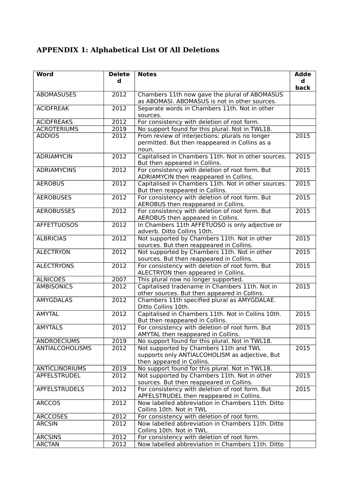# **APPENDIX 1: Alphabetical List Of All Deletions**

| <b>Word</b>            | <b>Delete</b><br>d | <b>Notes</b>                                                                                                          | <b>Adde</b><br>d<br>back |
|------------------------|--------------------|-----------------------------------------------------------------------------------------------------------------------|--------------------------|
| <b>ABOMASUSES</b>      | 2012               | Chambers 11th now gave the plural of ABOMASUS<br>as ABOMASI. ABOMASUS is not in other sources.                        |                          |
| <b>ACIDFREAK</b>       | 2012               | Separate words in Chambers 11th. Not in other<br>sources.                                                             |                          |
| <b>ACIDFREAKS</b>      | 2012               | For consistency with deletion of root form.                                                                           |                          |
| <b>ACROTERIUMS</b>     | 2019               | No support found for this plural. Not in TWL18.                                                                       |                          |
| <b>ADDIOS</b>          | 2012               | From review of interjections: plurals no longer<br>permitted. But then reappeared in Collins as a<br>noun.            | $\overline{2015}$        |
| <b>ADRIAMYCIN</b>      | 2012               | Capitalised in Chambers 11th. Not in other sources.<br>But then appeared in Collins.                                  | 2015                     |
| <b>ADRIAMYCINS</b>     | 2012               | For consistency with deletion of root form. But<br>ADRIAMYCIN then reappeared in Collins.                             | 2015                     |
| <b>AEROBUS</b>         | 2012               | Capitalised in Chambers 11th. Not in other sources.<br>But then reappeared in Collins.                                | 2015                     |
| <b>AEROBUSES</b>       | 2012               | For consistency with deletion of root form. But<br>AEROBUS then reappeared in Collins.                                | 2015                     |
| <b>AEROBUSSES</b>      | 2012               | For consistency with deletion of root form. But<br>AEROBUS then appeared in Collins.                                  | 2015                     |
| <b>AFFETTUOSOS</b>     | $\overline{2012}$  | In Chambers 11th AFFETUOSO is only adjective or<br>adverb. Ditto Collins 10th.                                        |                          |
| <b>ALBRICIAS</b>       | 2012               | Not supported by Chambers 11th. Not in other<br>sources. But then reappeared in Collins.                              | 2015                     |
| <b>ALECTRYON</b>       | 2012               | Not supported by Chambers 11th. Not in other<br>sources. But then reappeared in Collins.                              | 2015                     |
| <b>ALECTRYONS</b>      | $\overline{2012}$  | For consistency with deletion of root form. But<br>ALECTRYON then appeared in Collins.                                | 2015                     |
| <b>ALNICOES</b>        | 2007               | This plural now no longer supported.                                                                                  |                          |
| <b>AMBISONICS</b>      | 2012               | Capitalised tradename in Chambers 11th. Not in<br>other sources. But then appeared in Collins.                        | 2015                     |
| <b>AMYGDALAS</b>       | 2012               | Chambers 11th specified plural as AMYGDALAE.<br>Ditto Collins 10th.                                                   |                          |
| <b>AMYTAL</b>          | 2012               | Capitalised in Chambers 11th. Not in Collins 10th.<br>But then reappeared in Collins.                                 | 2015                     |
| <b>AMYTALS</b>         | 2012               | For consistency with deletion of root form. But<br>AMYTAL then reappeared in Collins.                                 | 2015                     |
| <b>ANDROECIUMS</b>     | 2019               | No support found for this plural. Not in TWL18.                                                                       |                          |
| <b>ANTIALCOHOLISMS</b> | 2012               | Not supported by Chambers 11th and TWL<br>supports only ANTIALCOHOLISM as adjective, But<br>then appeared in Collins. | 2015                     |
| <b>ANTICLINORIUMS</b>  | 2019               | No support found for this plural. Not in TWL18.                                                                       |                          |
| <b>APFELSTRUDEL</b>    | 2012               | Not supported by Chambers 11th. Not in other<br>sources. But then reappeared in Collins.                              | 2015                     |
| <b>APFELSTRUDELS</b>   | 2012               | For consistency with deletion of root form. But<br>APFELSTRUDEL then reappeared in Collins.                           | 2015                     |
| <b>ARCCOS</b>          | 2012               | Now labelled abbreviation in Chambers 11th. Ditto<br>Collins 10th. Not in TWL                                         |                          |
| <b>ARCCOSES</b>        | $\overline{2012}$  | For consistency with deletion of root form.                                                                           |                          |
| <b>ARCSIN</b>          | 2012               | Now labelled abbreviation in Chambers 11th. Ditto<br>Collins 10th. Not in TWL.                                        |                          |
| <b>ARCSINS</b>         | 2012               | For consistency with deletion of root form.                                                                           |                          |
| <b>ARCTAN</b>          | 2012               | Now labelled abbreviation in Chambers 11th. Ditto                                                                     |                          |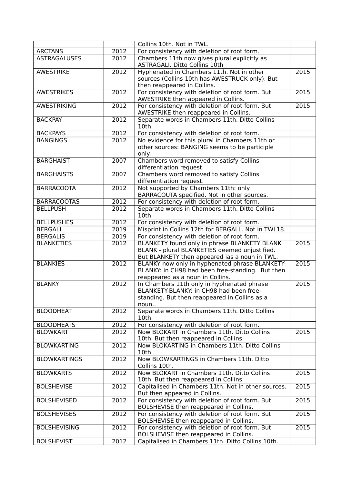|                     |                   | Collins 10th. Not in TWL.                               |      |
|---------------------|-------------------|---------------------------------------------------------|------|
| <b>ARCTANS</b>      | 2012              | For consistency with deletion of root form.             |      |
| <b>ASTRAGALUSES</b> | 2012              | Chambers 11th now gives plural explicitly as            |      |
|                     |                   | ASTRAGALI. Ditto Collins 10th                           |      |
| <b>AWESTRIKE</b>    | 2012              | Hyphenated in Chambers 11th. Not in other               | 2015 |
|                     |                   | sources (Collins 10th has AWESTRUCK only). But          |      |
|                     |                   | then reappeared in Collins.                             |      |
| <b>AWESTRIKES</b>   | 2012              | For consistency with deletion of root form. But         | 2015 |
|                     |                   | AWESTRIKE then appeared in Collins.                     |      |
| <b>AWESTRIKING</b>  | 2012              | For consistency with deletion of root form. But         | 2015 |
|                     |                   | AWESTRIKE then reappeared in Collins.                   |      |
| <b>BACKPAY</b>      | 2012              | Separate words in Chambers 11th. Ditto Collins          |      |
|                     |                   | 10th.                                                   |      |
| <b>BACKPAYS</b>     | 2012              | For consistency with deletion of root form.             |      |
| <b>BANGINGS</b>     | 2012              | No evidence for this plural in Chambers 11th or         |      |
|                     |                   | other sources: BANGING seems to be participle<br>only.  |      |
| <b>BARGHAIST</b>    | 2007              | Chambers word removed to satisfy Collins                |      |
|                     |                   | differentiation request.                                |      |
| <b>BARGHAISTS</b>   | 2007              | Chambers word removed to satisfy Collins                |      |
|                     |                   | differentiation request.                                |      |
| <b>BARRACOOTA</b>   | 2012              | Not supported by Chambers 11th: only                    |      |
|                     |                   | BARRACOUTA specified. Not in other sources.             |      |
| <b>BARRACOOTAS</b>  | 2012              | For consistency with deletion of root form.             |      |
| <b>BELLPUSH</b>     | 2012              | Separate words in Chambers 11th. Ditto Collins          |      |
|                     |                   | 10th.                                                   |      |
| <b>BELLPUSHES</b>   | 2012              | For consistency with deletion of root form.             |      |
| <b>BERGALI</b>      | 2019              | Misprint in Collins 12th for BERGALL. Not in TWL18.     |      |
| <b>BERGALIS</b>     | 2019              | For consistency with deletion of root form.             |      |
| <b>BLANKETIES</b>   | 2012              | BLANKETY found only in phrase BLANKETY BLANK            | 2015 |
|                     |                   | BLANK - plural BLANKETIES deemed unjustified.           |      |
|                     |                   | But BLANKETY then appeared ias a noun in TWL.           |      |
| <b>BLANKIES</b>     | $\overline{2012}$ | BLANKY now only in hyphenated phrase BLANKETY-          | 2015 |
|                     |                   | BLANKY: in CH98 had been free-standing. But then        |      |
|                     |                   | reappeared as a noun in Collins.                        |      |
| <b>BLANKY</b>       | 2012              | In Chambers 11th only in hyphenated phrase              | 2015 |
|                     |                   | BLANKETY-BLANKY: in CH98 had been free-                 |      |
|                     |                   | standing. But then reappeared in Collins as a           |      |
|                     | 2012              | noun                                                    |      |
| <b>BLOODHEAT</b>    |                   | Separate words in Chambers 11th. Ditto Collins<br>10th. |      |
| <b>BLOODHEATS</b>   | $\overline{2012}$ | For consistency with deletion of root form.             |      |
| <b>BLOWKART</b>     | 2012              | Now BLOKART in Chambers 11th. Ditto Collins             | 2015 |
|                     |                   | 10th. But then reappeared in Collins.                   |      |
| <b>BLOWKARTING</b>  | 2012              | Now BLOKARTING in Chambers 11th. Ditto Collins          |      |
|                     |                   | 10th.                                                   |      |
| <b>BLOWKARTINGS</b> | 2012              | Now BLOWKARTINGS in Chambers 11th. Ditto                |      |
|                     |                   | Collins 10th.                                           |      |
| <b>BLOWKARTS</b>    | 2012              | Now BLOKART in Chambers 11th. Ditto Collins             | 2015 |
|                     |                   | 10th. But then reappeared in Collins.                   |      |
| <b>BOLSHEVISE</b>   | 2012              | Capitalised in Chambers 11th. Not in other sources.     | 2015 |
|                     |                   | But then appeared in Collins.                           |      |
| <b>BOLSHEVISED</b>  | 2012              | For consistency with deletion of root form. But         | 2015 |
|                     |                   | BOLSHEVISE then reappeared in Collins.                  |      |
| <b>BOLSHEVISES</b>  | 2012              | For consistency with deletion of root form. But         | 2015 |
|                     |                   | BOLSHEVISE then reappeared in Collins.                  |      |
| <b>BOLSHEVISING</b> | 2012              | For consistency with deletion of root form. But         | 2015 |
|                     |                   | BOLSHEVISE then reappeared in Collins.                  |      |
| <b>BOLSHEVIST</b>   | 2012              | Capitalised in Chambers 11th. Ditto Collins 10th.       |      |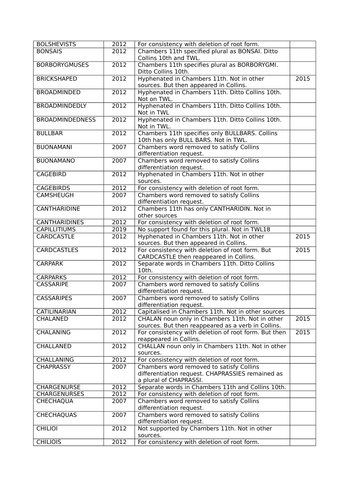| <b>BOLSHEVISTS</b>     | 2012              | For consistency with deletion of root form.                                               |                   |
|------------------------|-------------------|-------------------------------------------------------------------------------------------|-------------------|
| <b>BONSAIS</b>         | 2012              | Chambers 11th specified plural as BONSAI. Ditto                                           |                   |
|                        |                   | Collins 10th and TWL.                                                                     |                   |
| <b>BORBORYGMUSES</b>   | 2012              | Chambers 11th specifies plural as BORBORYGMI.                                             |                   |
|                        |                   | Ditto Collins 10th.                                                                       |                   |
| <b>BRICKSHAPED</b>     | 2012              | Hyphenated in Chambers 11th. Not in other                                                 | 2015              |
|                        |                   | sources. But then appeared in Collins.                                                    |                   |
| <b>BROADMINDED</b>     | 2012              | Hyphenated in Chambers 11th. Ditto Collins 10th.                                          |                   |
|                        |                   | Not on TWL.                                                                               |                   |
| <b>BROADMINDEDLY</b>   | 2012              | Hyphenated in Chambers 11th. Ditto Collins 10th.                                          |                   |
|                        | 2012              | Not in TWL                                                                                |                   |
| <b>BROADMINDEDNESS</b> |                   | Hyphenated in Chambers 11th. Ditto Collins 10th.<br>Not in TWL.                           |                   |
| <b>BULLBAR</b>         | 2012              | Chambers 11th specifies only BULLBARS. Collins                                            |                   |
|                        |                   | 10th has only BULL BARS. Not in TWL.                                                      |                   |
| <b>BUONAMANI</b>       | 2007              | Chambers word removed to satisfy Collins                                                  |                   |
|                        |                   | differentiation request.                                                                  |                   |
| <b>BUONAMANO</b>       | 2007              | Chambers word removed to satisfy Collins                                                  |                   |
|                        |                   | differentiation request.                                                                  |                   |
| <b>CAGEBIRD</b>        | 2012              | Hyphenated in Chambers 11th. Not in other                                                 |                   |
|                        |                   | sources.                                                                                  |                   |
| <b>CAGEBIRDS</b>       | $\overline{2012}$ | For consistency with deletion of root form.                                               |                   |
| <b>CAMSHEUGH</b>       | 2007              | Chambers word removed to satisfy Collins                                                  |                   |
|                        |                   | differentiation request.                                                                  |                   |
| <b>CANTHARIDINE</b>    | $\sqrt{2012}$     | Chambers 11th has only CANTHARIDIN. Not in                                                |                   |
|                        |                   | other sources                                                                             |                   |
| <b>CANTHARIDINES</b>   | 2012              | For consistency with deletion of root form.                                               |                   |
| <b>CAPILLITIUMS</b>    | 2019              | No support found for this plural. Not in TWL18                                            |                   |
| <b>CARDCASTLE</b>      | 2012              | Hyphenated in Chambers 11th. Not in other                                                 | 2015              |
| <b>CARDCASTLES</b>     | $\overline{2012}$ | sources. But then appeared in Collins.<br>For consistency with deletion of root form. But | 2015              |
|                        |                   | CARDCASTLE then reappeared in Collins.                                                    |                   |
| <b>CARPARK</b>         | 2012              | Separate words in Chambers 11th. Ditto Collins                                            |                   |
|                        |                   | 10th.                                                                                     |                   |
| <b>CARPARKS</b>        | 2012              | For consistency with deletion of root form.                                               |                   |
| <b>CASSARIPE</b>       | 2007              | Chambers word removed to satisfy Collins                                                  |                   |
|                        |                   | differentiation request.                                                                  |                   |
| <b>CASSARIPES</b>      | 2007              | Chambers word removed to satisfy Collins                                                  |                   |
|                        |                   | differentiation request.                                                                  |                   |
| CATILINARIAN           | 2012              | Capitalised in Chambers 11th. Not in other sources                                        |                   |
| CHALANED               | 2012              | CHALAN noun only in Chambers 11th. Not in other                                           | $\overline{2015}$ |
|                        |                   | sources. But then reappeared as a verb in Collins.                                        |                   |
| <b>CHALANING</b>       | 2012              | For consistency with deletion of root form. But then                                      | 2015              |
|                        |                   | reappeared in Collins.                                                                    |                   |
| CHALLANED              | 2012              | CHALLAN noun only in Chambers 11th. Not in other                                          |                   |
| <b>CHALLANING</b>      | 2012              | sources.<br>For consistency with deletion of root form.                                   |                   |
| <b>CHAPRASSY</b>       | 2007              | Chambers word removed to satisfy Collins                                                  |                   |
|                        |                   | differentiation request. CHAPRASSIES remained as                                          |                   |
|                        |                   | a plural of CHAPRASSI.                                                                    |                   |
| CHARGENURSE            | 2012              | Separate words in Chambers 11th and Collins 10th.                                         |                   |
| <b>CHARGENURSES</b>    | 2012              | For consistency with deletion of root form.                                               |                   |
| CHECHAQUA              | 2007              | Chambers word removed to satisfy Collins                                                  |                   |
|                        |                   | differentiation request.                                                                  |                   |
| <b>CHECHAQUAS</b>      | 2007              | Chambers word removed to satisfy Collins                                                  |                   |
|                        |                   | differentiation request.                                                                  |                   |
| <b>CHILIOI</b>         | 2012              | Not supported by Chambers 11th. Not in other                                              |                   |
|                        |                   | sources.                                                                                  |                   |
| <b>CHILIOIS</b>        | 2012              | For consistency with deletion of root form.                                               |                   |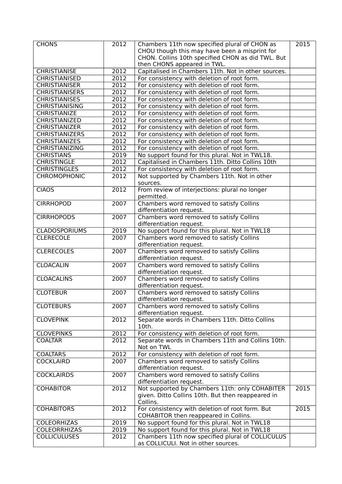| <b>CHONS</b>          | 2012 | Chambers 11th now specified plural of CHON as<br>CHOU though this may have been a misprint for<br>CHON. Collins 10th specified CHON as did TWL. But<br>then CHONS appeared in TWL. | 2015 |
|-----------------------|------|------------------------------------------------------------------------------------------------------------------------------------------------------------------------------------|------|
| <b>CHRISTIANISE</b>   | 2012 | Capitalised in Chambers 11th. Not in other sources.                                                                                                                                |      |
| <b>CHRISTIANISED</b>  | 2012 | For consistency with deletion of root form.                                                                                                                                        |      |
| <b>CHRISTIANISER</b>  | 2012 | For consistency with deletion of root form.                                                                                                                                        |      |
| <b>CHRISTIANISERS</b> | 2012 | For consistency with deletion of root form.                                                                                                                                        |      |
| <b>CHRISTIANISES</b>  | 2012 | For consistency with deletion of root form.                                                                                                                                        |      |
| <b>CHRISTIANISING</b> | 2012 | For consistency with deletion of root form.                                                                                                                                        |      |
| <b>CHRISTIANIZE</b>   | 2012 | For consistency with deletion of root form.                                                                                                                                        |      |
| CHRISTIANIZED         | 2012 | For consistency with deletion of root form.                                                                                                                                        |      |
| <b>CHRISTIANIZER</b>  | 2012 | For consistency with deletion of root form.                                                                                                                                        |      |
| <b>CHRISTIANIZERS</b> | 2012 | For consistency with deletion of root form.                                                                                                                                        |      |
| <b>CHRISTIANIZES</b>  | 2012 | For consistency with deletion of root form.                                                                                                                                        |      |
| <b>CHRISTIANIZING</b> | 2012 | For consistency with deletion of root form.                                                                                                                                        |      |
| <b>CHRISTIANS</b>     | 2019 | No support found for this plural. Not in TWL18.                                                                                                                                    |      |
| <b>CHRISTINGLE</b>    | 2012 | Capitalised in Chambers 11th. Ditto Collins 10th                                                                                                                                   |      |
| <b>CHRISTINGLES</b>   | 2012 | For consistency with deletion of root form.                                                                                                                                        |      |
| <b>CHROMOPHONIC</b>   | 2012 | Not supported by Chambers 11th. Not in other                                                                                                                                       |      |
| <b>CIAOS</b>          | 2012 | sources.<br>From review of interjections: plural no longer                                                                                                                         |      |
|                       |      | permitted.                                                                                                                                                                         |      |
| <b>CIRRHOPOD</b>      | 2007 | Chambers word removed to satisfy Collins<br>differentiation request.                                                                                                               |      |
| <b>CIRRHOPODS</b>     | 2007 | Chambers word removed to satisfy Collins                                                                                                                                           |      |
|                       |      | differentiation request.                                                                                                                                                           |      |
| <b>CLADOSPORIUMS</b>  | 2019 | No support found for this plural. Not in TWL18                                                                                                                                     |      |
| <b>CLERECOLE</b>      | 2007 | Chambers word removed to satisfy Collins                                                                                                                                           |      |
|                       |      | differentiation request.                                                                                                                                                           |      |
| <b>CLERECOLES</b>     | 2007 | Chambers word removed to satisfy Collins<br>differentiation request.                                                                                                               |      |
| <b>CLOACALIN</b>      | 2007 | Chambers word removed to satisfy Collins                                                                                                                                           |      |
| <b>CLOACALINS</b>     | 2007 | differentiation request.<br>Chambers word removed to satisfy Collins                                                                                                               |      |
|                       |      | differentiation request.                                                                                                                                                           |      |
| <b>CLOTEBUR</b>       | 2007 | Chambers word removed to satisfy Collins                                                                                                                                           |      |
|                       |      | differentiation request.                                                                                                                                                           |      |
| <b>CLOTEBURS</b>      | 2007 | Chambers word removed to satisfy Collins                                                                                                                                           |      |
|                       |      | differentiation request.                                                                                                                                                           |      |
| <b>CLOVEPINK</b>      | 2012 | Separate words in Chambers 11th. Ditto Collins<br>10th.                                                                                                                            |      |
| <b>CLOVEPINKS</b>     | 2012 | For consistency with deletion of root form.                                                                                                                                        |      |
| <b>COALTAR</b>        | 2012 | Separate words in Chambers 11th and Collins 10th.<br>Not on TWL                                                                                                                    |      |
| <b>COALTARS</b>       | 2012 | For consistency with deletion of root form.                                                                                                                                        |      |
| <b>COCKLAIRD</b>      | 2007 | Chambers word removed to satisfy Collins                                                                                                                                           |      |
|                       |      | differentiation request.                                                                                                                                                           |      |
| <b>COCKLAIRDS</b>     | 2007 | Chambers word removed to satisfy Collins                                                                                                                                           |      |
|                       |      | differentiation request.                                                                                                                                                           |      |
| <b>COHABITOR</b>      | 2012 | Not supported by Chambers 11th: only COHABITER                                                                                                                                     | 2015 |
|                       |      | given. Ditto Collins 10th. But then reappeared in                                                                                                                                  |      |
|                       |      | Collins.                                                                                                                                                                           |      |
| <b>COHABITORS</b>     | 2012 | For consistency with deletion of root form. But<br>COHABITOR then reappeared in Collins.                                                                                           | 2015 |
| COLEORHIZAS           | 2019 | No support found for this plural. Not in TWL18                                                                                                                                     |      |
| <b>COLEORRHIZAS</b>   | 2019 | No support found for this plural. Not in TWL18                                                                                                                                     |      |
| <b>COLLICULUSES</b>   | 2012 | Chambers 11th now specified plural of COLLICULUS                                                                                                                                   |      |
|                       |      | as COLLICULI. Not in other sources.                                                                                                                                                |      |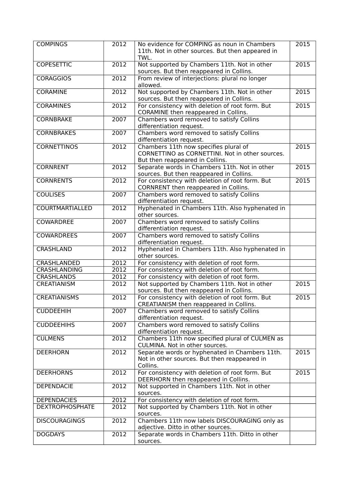| <b>COMPINGS</b>        | 2012              | No evidence for COMPING as noun in Chambers<br>11th. Not in other sources. But then appeared in<br>TWL.                     | 2015 |
|------------------------|-------------------|-----------------------------------------------------------------------------------------------------------------------------|------|
| <b>COPESETTIC</b>      | 2012              | Not supported by Chambers 11th. Not in other<br>sources. But then reappeared in Collins.                                    | 2015 |
| <b>CORAGGIOS</b>       | 2012              | From review of interjections: plural no longer<br>allowed.                                                                  |      |
| <b>CORAMINE</b>        | $\overline{2012}$ | Not supported by Chambers 11th. Not in other<br>sources. But then reappeared in Collins.                                    | 2015 |
| <b>CORAMINES</b>       | 2012              | For consistency with deletion of root form. But<br>CORAMINE then reappeared in Collins.                                     | 2015 |
| <b>CORNBRAKE</b>       | 2007              | Chambers word removed to satisfy Collins<br>differentiation request.                                                        |      |
| <b>CORNBRAKES</b>      | 2007              | Chambers word removed to satisfy Collins<br>differentiation request.                                                        |      |
| <b>CORNETTINOS</b>     | 2012              | Chambers 11th now specifies plural of<br>CORNETTINO as CORNETTINI. Not in other sources.<br>But then reappeared in Collins. | 2015 |
| <b>CORNRENT</b>        | 2012              | Separate words in Chambers 11th. Not in other<br>sources. But then reappeared in Collins.                                   | 2015 |
| <b>CORNRENTS</b>       | $\overline{2012}$ | For consistency with deletion of root form. But<br>CORNRENT then reappeared in Collins.                                     | 2015 |
| <b>COULISES</b>        | 2007              | Chambers word removed to satisfy Collins<br>differentiation request.                                                        |      |
| <b>COURTMARTIALLED</b> | $\overline{2012}$ | Hyphenated in Chambers 11th. Also hyphenated in<br>other sources.                                                           |      |
| <b>COWARDREE</b>       | 2007              | Chambers word removed to satisfy Collins<br>differentiation request.                                                        |      |
| <b>COWARDREES</b>      | 2007              | Chambers word removed to satisfy Collins<br>differentiation request.                                                        |      |
| <b>CRASHLAND</b>       | 2012              | Hyphenated in Chambers 11th. Also hyphenated in<br>other sources.                                                           |      |
| CRASHLANDED            | 2012              | For consistency with deletion of root form.                                                                                 |      |
| CRASHLANDING           | 2012              | For consistency with deletion of root form.                                                                                 |      |
| <b>CRASHLANDS</b>      | 2012              | For consistency with deletion of root form.                                                                                 |      |
| <b>CREATIANISM</b>     | 2012              | Not supported by Chambers 11th. Not in other<br>sources. But then reappeared in Collins.                                    | 2015 |
| <b>CREATIANISMS</b>    | 2012              | For consistency with deletion of root form. But<br>CREATIANISM then reappeared in Collins.                                  | 2015 |
| <b>CUDDEEHIH</b>       | 2007              | Chambers word removed to satisfy Collins<br>differentiation request.                                                        |      |
| <b>CUDDEEHIHS</b>      | 2007              | Chambers word removed to satisfy Collins<br>differentiation request.                                                        |      |
| <b>CULMENS</b>         | 2012              | Chambers 11th now specified plural of CULMEN as<br>CULMINA. Not in other sources.                                           |      |
| <b>DEERHORN</b>        | 2012              | Separate words or hyphenated in Chambers 11th.<br>Not in other sources. But then reappeared in<br>Collins.                  | 2015 |
| <b>DEERHORNS</b>       | 2012              | For consistency with deletion of root form. But<br>DEERHORN then reappeared in Collins.                                     | 2015 |
| <b>DEPENDACIE</b>      | 2012              | Not supported in Chambers 11th. Not in other<br>sources.                                                                    |      |
| <b>DEPENDACIES</b>     | 2012              | For consistency with deletion of root form.                                                                                 |      |
| <b>DEXTROPHOSPHATE</b> | 2012              | Not supported by Chambers 11th. Not in other<br>sources.                                                                    |      |
| <b>DISCOURAGINGS</b>   | 2012              | Chambers 11th now labels DISCOURAGING only as<br>adjective. Ditto in other sources.                                         |      |
| <b>DOGDAYS</b>         | 2012              | Separate words in Chambers 11th. Ditto in other<br>sources.                                                                 |      |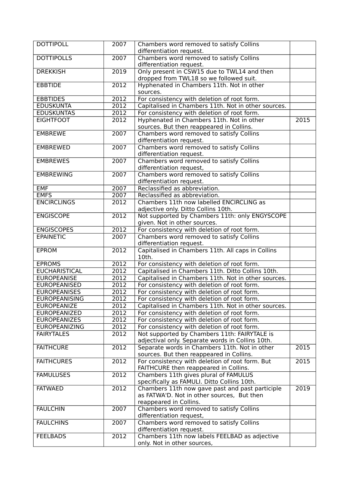| <b>DOTTIPOLL</b>     | 2007 | Chambers word removed to satisfy Collins<br>differentiation request.                     |      |
|----------------------|------|------------------------------------------------------------------------------------------|------|
| <b>DOTTIPOLLS</b>    | 2007 | Chambers word removed to satisfy Collins<br>differentiation request.                     |      |
| <b>DREKKISH</b>      | 2019 | Only present in CSW15 due to TWL14 and then                                              |      |
|                      |      | dropped from TWL18 so we followed suit.                                                  |      |
| <b>EBBTIDE</b>       | 2012 | Hyphenated in Chambers 11th. Not in other<br>sources.                                    |      |
| <b>EBBTIDES</b>      | 2012 | For consistency with deletion of root form.                                              |      |
| <b>EDUSKUNTA</b>     | 2012 | Capitalised in Chambers 11th. Not in other sources.                                      |      |
| <b>EDUSKUNTAS</b>    | 2012 | For consistency with deletion of root form.                                              |      |
| <b>EIGHTFOOT</b>     | 2012 | Hyphenated in Chambers 11th. Not in other                                                | 2015 |
|                      |      | sources. But then reappeared in Collins.                                                 |      |
| <b>EMBREWE</b>       | 2007 | Chambers word removed to satisfy Collins                                                 |      |
|                      |      | differentiation request.                                                                 |      |
| <b>EMBREWED</b>      | 2007 | Chambers word removed to satisfy Collins<br>differentiation request.                     |      |
| <b>EMBREWES</b>      | 2007 | Chambers word removed to satisfy Collins                                                 |      |
|                      |      | differentiation request,                                                                 |      |
| <b>EMBREWING</b>     | 2007 | Chambers word removed to satisfy Collins                                                 |      |
|                      |      | differentiation request.                                                                 |      |
| <b>EMF</b>           | 2007 | Reclassified as abbreviation.                                                            |      |
| <b>EMFS</b>          | 2007 | Reclassified as abbreviation.                                                            |      |
| <b>ENCIRCLINGS</b>   | 2012 | Chambers 11th now labelled ENCIRCLING as                                                 |      |
|                      |      | adjective only. Ditto Collins 10th.                                                      |      |
| <b>ENGISCOPE</b>     | 2012 | Not supported by Chambers 11th: only ENGYSCOPE                                           |      |
|                      |      | given. Not in other sources.                                                             |      |
| <b>ENGISCOPES</b>    | 2012 | For consistency with deletion of root form.                                              |      |
| <b>EPAINETIC</b>     | 2007 | Chambers word removed to satisfy Collins                                                 |      |
|                      |      | differentiation request.                                                                 |      |
| <b>EPROM</b>         | 2012 | Capitalised in Chambers 11th. All caps in Collins<br>10th.                               |      |
| <b>EPROMS</b>        | 2012 | For consistency with deletion of root form.                                              |      |
| <b>EUCHARISTICAL</b> | 2012 | Capitalised in Chambers 11th. Ditto Collins 10th.                                        |      |
| <b>EUROPEANISE</b>   | 2012 | Capitalised in Chambers 11th. Not in other sources.                                      |      |
| <b>EUROPEANISED</b>  | 2012 | For consistency with deletion of root form.                                              |      |
| <b>EUROPEANISES</b>  | 2012 | For consistency with deletion of root form.                                              |      |
| <b>EUROPEANISING</b> | 2012 | For consistency with deletion of root form.                                              |      |
| <b>EUROPEANIZE</b>   | 2012 | Capitalised in Chambers 11th. Not in other sources.                                      |      |
| <b>EUROPEANIZED</b>  | 2012 | For consistency with deletion of root form.                                              |      |
| <b>EUROPEANIZES</b>  | 2012 | For consistency with deletion of root form.                                              |      |
| <b>EUROPEANIZING</b> | 2012 | For consistency with deletion of root form.                                              |      |
| <b>FAIRYTALES</b>    | 2012 | Not supported by Chambers 11th: FAIRYTALE is                                             |      |
|                      |      | adjectival only. Separate words in Collins 10th.                                         |      |
| <b>FAITHCURE</b>     | 2012 | Separate words in Chambers 11th. Not in other                                            | 2015 |
|                      |      | sources. But then reappeared in Collins.                                                 |      |
| <b>FAITHCURES</b>    | 2012 | For consistency with deletion of root form. But<br>FAITHCURE then reappeared in Collins. | 2015 |
| <b>FAMULUSES</b>     | 2012 | Chambers 11th gives plural of FAMULUS                                                    |      |
|                      |      | specifically as FAMULI. Ditto Collins 10th.                                              |      |
| <b>FATWAED</b>       | 2012 | Chambers 11th now gave past and past participle                                          | 2019 |
|                      |      | as FATWA'D. Not in other sources, But then                                               |      |
|                      |      | reappeared in Collins.                                                                   |      |
| <b>FAULCHIN</b>      | 2007 | Chambers word removed to satisfy Collins                                                 |      |
|                      |      | differentiation request,                                                                 |      |
| <b>FAULCHINS</b>     | 2007 | Chambers word removed to satisfy Collins                                                 |      |
|                      |      | differentiation request.                                                                 |      |
| <b>FEELBADS</b>      | 2012 | Chambers 11th now labels FEELBAD as adjective                                            |      |
|                      |      | only. Not in other sources,                                                              |      |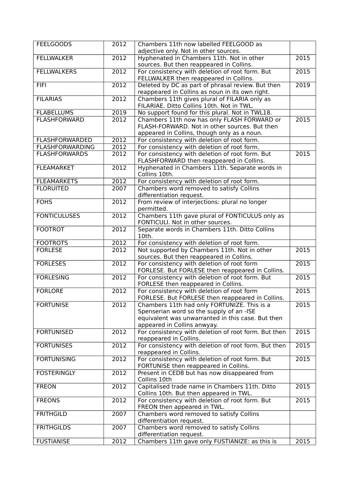| <b>FEELGOODS</b>       | 2012              | Chambers 11th now labelled FEELGOOD as                                                               |                   |
|------------------------|-------------------|------------------------------------------------------------------------------------------------------|-------------------|
|                        |                   | adjective only. Not in other sources.                                                                |                   |
| <b>FELLWALKER</b>      | $\overline{2012}$ | Hyphenated in Chambers 11th. Not in other                                                            | 2015              |
|                        |                   | sources. But then reappeared in Collins.                                                             |                   |
| <b>FELLWALKERS</b>     | 2012              | For consistency with deletion of root form. But                                                      | 2015              |
|                        |                   | FELLWALKER then reappeared in Collins.                                                               |                   |
| <b>FIFI</b>            | 2012              | Deleted by DC as part of phrasal review. But then<br>reappeared in Collins as noun in its own right. | 2019              |
| <b>FILARIAS</b>        | 2012              | Chambers 11th gives plural of FILARIA only as                                                        |                   |
|                        |                   | FILARIAE. Ditto Collins 10th. Not in TWL.                                                            |                   |
| <b>FLABELLUMS</b>      | 2019              | No support found for this plural. Not in TWL18.                                                      |                   |
| <b>FLASHFORWARD</b>    | 2012              | Chambers 11th now has only FLASH FORWARD or                                                          | 2015              |
|                        |                   | FLASH-FORWARD. Not in other sources. But then                                                        |                   |
|                        |                   | appeared in Collins, though only as a noun.                                                          |                   |
| <b>FLASHFORWARDED</b>  | $\overline{2012}$ | For consistency with deletion of root form.                                                          |                   |
| <b>FLASHFORWARDING</b> | 2012              | For consistency with deletion of root form.                                                          |                   |
| <b>FLASHFORWARDS</b>   |                   |                                                                                                      | 2015              |
|                        | 2012              | For consistency with deletion of root form. But<br>FLASHFORWARD then reappeared in Collins.          |                   |
| <b>FLEAMARKET</b>      | 2012              | Hyphenated in Chambers 11th. Separate words in                                                       |                   |
|                        |                   | Collins 10th.                                                                                        |                   |
| <b>FLEAMARKETS</b>     | 2012              | For consistency with deletion of root form.                                                          |                   |
| <b>FLORUITED</b>       | 2007              | Chambers word removed to satisfy Collins                                                             |                   |
|                        |                   | differentiation request.                                                                             |                   |
| <b>FOHS</b>            | 2012              | From review of interjections: plural no longer                                                       |                   |
|                        |                   | permitted.                                                                                           |                   |
| <b>FONTICULUSES</b>    | 2012              | Chambers 11th gave plural of FONTICULUS only as                                                      |                   |
|                        |                   | FONTICULI. Not in other sources.                                                                     |                   |
| <b>FOOTROT</b>         | 2012              | Separate words in Chambers 11th. Ditto Collins                                                       |                   |
|                        |                   | 10th.                                                                                                |                   |
| <b>FOOTROTS</b>        | $\overline{2012}$ | For consistency with deletion of root form.                                                          |                   |
| <b>FORLESE</b>         | 2012              | Not supported by Chambers 11th. Not in other                                                         | 2015              |
|                        |                   | sources. But then reappeared in Collins.                                                             |                   |
| <b>FORLESES</b>        | $\overline{2012}$ | For consistency with deletion of root form                                                           | 2015              |
|                        |                   | FORLESE. But FORLESE then reappeared in Collins.                                                     |                   |
| <b>FORLESING</b>       | 2012              | For consistency with deletion of root form. But                                                      | 2015              |
|                        |                   | FORLESE then reappeared in Collins.                                                                  |                   |
| <b>FORLORE</b>         | $\sqrt{2012}$     | For consistency with deletion of root form                                                           | $\overline{2015}$ |
|                        |                   | FORLESE. But FORLESE then reappeared in Collins.                                                     |                   |
| <b>FORTUNISE</b>       | 2012              | Chambers 11th had only FORTUNIZE. This is a                                                          | 2015              |
|                        |                   | Spenserian word so the supply of an -ISE                                                             |                   |
|                        |                   | equivalent was unwarranted in this case. But then                                                    |                   |
|                        |                   | appeared in Collins anwyay.                                                                          |                   |
| <b>FORTUNISED</b>      | 2012              | For consistency with deletion of root form. But then<br>reappeared in Collins.                       | 2015              |
| <b>FORTUNISES</b>      | 2012              | For consistency with deletion of root form. But then                                                 | 2015              |
|                        |                   | reappeared in Collins.                                                                               |                   |
| <b>FORTUNISING</b>     | 2012              | For consistency with deletion of root form. But                                                      | $\overline{2015}$ |
|                        |                   | FORTUNISE then reappeared in Collins.                                                                |                   |
| <b>FOSTERINGLY</b>     | 2012              | Present in CED8 but has now disappeared from                                                         |                   |
|                        |                   | Collins 10th                                                                                         |                   |
| <b>FREON</b>           | 2012              | Capitalised trade name in Chambers 11th. Ditto                                                       | $\overline{2015}$ |
|                        |                   | Collins 10th. But then appeared in TWL.                                                              |                   |
| <b>FREONS</b>          | 2012              | For consistency with deletion of root form. But                                                      | 2015              |
|                        |                   | FREON then appeared in TWL.                                                                          |                   |
| <b>FRITHGILD</b>       | 2007              | Chambers word removed to satisfy Collins                                                             |                   |
|                        |                   | differentiation request.                                                                             |                   |
| <b>FRITHGILDS</b>      | 2007              | Chambers word removed to satisfy Collins                                                             |                   |
|                        |                   | differentiation request.                                                                             |                   |
| <b>FUSTIANISE</b>      | 2012              | Chambers 11th gave only FUSTIANIZE: as this is                                                       | 2015              |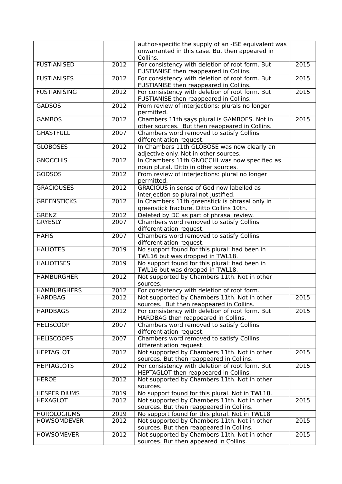|                     |                   | author-specific the supply of an -ISE equivalent was                                        |                   |
|---------------------|-------------------|---------------------------------------------------------------------------------------------|-------------------|
|                     |                   | unwarranted in this case. But then appeared in                                              |                   |
|                     |                   | Collins.                                                                                    |                   |
| <b>FUSTIANISED</b>  | $\overline{2012}$ | For consistency with deletion of root form. But                                             | $\overline{2015}$ |
|                     |                   | FUSTIANISE then reappeared in Collins.                                                      |                   |
| <b>FUSTIANISES</b>  | 2012              | For consistency with deletion of root form. But                                             | $\overline{2015}$ |
|                     |                   | FUSTIANISE then reappeared in Collins.                                                      |                   |
| <b>FUSTIANISING</b> | $\overline{2012}$ | For consistency with deletion of root form. But                                             | 2015              |
|                     |                   | FUSTIANISE then reappeared in Collins.                                                      |                   |
| <b>GADSOS</b>       | $\overline{2012}$ | From review of interjections: plurals no longer                                             |                   |
|                     |                   | permitted.                                                                                  |                   |
| <b>GAMBOS</b>       | $\overline{2012}$ | Chambers 11th says plural is GAMBOES. Not in                                                | 2015              |
|                     |                   | other sources. But then reappeared in Collins.                                              |                   |
| <b>GHASTFULL</b>    | 2007              | Chambers word removed to satisfy Collins                                                    |                   |
| <b>GLOBOSES</b>     | $\overline{2012}$ | differentiation request.<br>In Chambers 11th GLOBOSE was now clearly an                     |                   |
|                     |                   | adjective only. Not in other sources.                                                       |                   |
| <b>GNOCCHIS</b>     | $\overline{2012}$ | In Chambers 11th GNOCCHI was now specified as                                               |                   |
|                     |                   | noun plural. Ditto in other sources.                                                        |                   |
| <b>GODSOS</b>       | $\sqrt{2012}$     | From review of interjections: plural no longer                                              |                   |
|                     |                   | permitted.                                                                                  |                   |
| <b>GRACIOUSES</b>   | $\overline{2012}$ | GRACIOUS in sense of God now labelled as                                                    |                   |
|                     |                   | interjection so plural not justified.                                                       |                   |
| <b>GREENSTICKS</b>  | 2012              | In Chambers 11th greenstick is phrasal only in                                              |                   |
|                     |                   | greenstick fracture. Ditto Collins 10th.                                                    |                   |
| <b>GRENZ</b>        | 2012              | Deleted by DC as part of phrasal review.                                                    |                   |
| <b>GRYESLY</b>      | 2007              | Chambers word removed to satisfy Collins                                                    |                   |
|                     |                   | differentiation request.                                                                    |                   |
| <b>HAFIS</b>        | 2007              | Chambers word removed to satisfy Collins                                                    |                   |
|                     |                   | differentiation request.                                                                    |                   |
| <b>HALIOTES</b>     | 2019              | No support found for this plural: had been in                                               |                   |
|                     |                   | TWL16 but was dropped in TWL18.                                                             |                   |
| <b>HALIOTISES</b>   | 2019              | No support found for this plural: had been in                                               |                   |
|                     |                   | TWL16 but was dropped in TWL18.                                                             |                   |
| <b>HAMBURGHER</b>   | 2012              | Not supported by Chambers 11th. Not in other                                                |                   |
|                     |                   | sources.                                                                                    |                   |
| <b>HAMBURGHERS</b>  | 2012              | For consistency with deletion of root form.                                                 |                   |
| <b>HARDBAG</b>      | 2012              | Not supported by Chambers 11th. Not in other                                                | 2015              |
|                     |                   | sources. But then reappeared in Collins.<br>For consistency with deletion of root form. But | 2015              |
| <b>HARDBAGS</b>     | 2012              | HARDBAG then reappeared in Collins.                                                         |                   |
| <b>HELISCOOP</b>    | 2007              | Chambers word removed to satisfy Collins                                                    |                   |
|                     |                   | differentiation request.                                                                    |                   |
| <b>HELISCOOPS</b>   | 2007              | Chambers word removed to satisfy Collins                                                    |                   |
|                     |                   | differentiation request.                                                                    |                   |
| <b>HEPTAGLOT</b>    | 2012              | Not supported by Chambers 11th. Not in other                                                | 2015              |
|                     |                   | sources. But then reappeared in Collins.                                                    |                   |
| <b>HEPTAGLOTS</b>   | 2012              | For consistency with deletion of root form. But                                             | 2015              |
|                     |                   | HEPTAGLOT then reappeared in Collins.                                                       |                   |
| <b>HEROE</b>        | 2012              | Not supported by Chambers 11th. Not in other                                                |                   |
|                     |                   | sources.                                                                                    |                   |
| <b>HESPERIDIUMS</b> | 2019              | No support found for this plural. Not in TWL18.                                             |                   |
| <b>HEXAGLOT</b>     | 2012              | Not supported by Chambers 11th. Not in other                                                | 2015              |
|                     |                   | sources. But then reappeared in Collins.                                                    |                   |
| <b>HOROLOGIUMS</b>  | 2019              | No support found for this plural. Not in TWL18                                              |                   |
| <b>HOWSOMDEVER</b>  | 2012              | Not supported by Chambers 11th. Not in other                                                | 2015              |
|                     |                   | sources. But then reappeared in Collins.                                                    |                   |
| <b>HOWSOMEVER</b>   | 2012              | Not supported by Chambers 11th. Not in other                                                | 2015              |
|                     |                   | sources. But then appeared in Collins.                                                      |                   |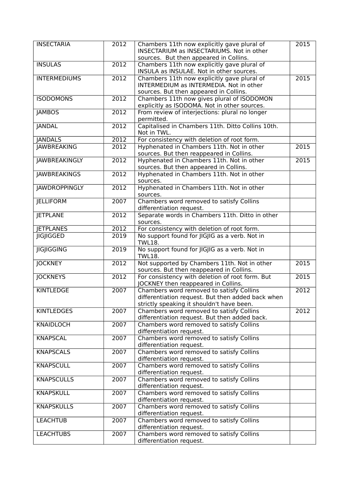| <b>INSECTARIA</b>    | 2012              | Chambers 11th now explicitly gave plural of<br>INSECTARIUM as INSECTARIUMS. Not in other<br>sources. But then appeared in Collins.         | 2015 |
|----------------------|-------------------|--------------------------------------------------------------------------------------------------------------------------------------------|------|
| <b>INSULAS</b>       | 2012              | Chambers 11th now explicitly gave plural of<br>INSULA as INSULAE. Not in other sources.                                                    |      |
| <b>INTERMEDIUMS</b>  | 2012              | Chambers 11th now explicitly gave plural of<br>INTERMEDIUM as INTERMEDIA. Not in other<br>sources. But then appeared in Collins.           | 2015 |
| <b>ISODOMONS</b>     | 2012              | Chambers 11th now gives plural of ISODOMON<br>explicitly as ISODOMA. Not in other sources.                                                 |      |
| <b>JAMBOS</b>        | 2012              | From review of interjections: plural no longer<br>permitted.                                                                               |      |
| <b>JANDAL</b>        | 2012              | Capitalised in Chambers 11th. Ditto Collins 10th.<br>Not in TWL.                                                                           |      |
| <b>JANDALS</b>       | 2012              | For consistency with deletion of root form.                                                                                                |      |
| <b>JAWBREAKING</b>   | 2012              | Hyphenated in Chambers 11th. Not in other<br>sources. But then reappeared in Collins.                                                      | 2015 |
| <b>JAWBREAKINGLY</b> | $\overline{2012}$ | Hyphenated in Chambers 11th. Not in other<br>sources. But then appeared in Collins.                                                        | 2015 |
| <b>JAWBREAKINGS</b>  | 2012              | Hyphenated in Chambers 11th. Not in other<br>sources.                                                                                      |      |
| <b>JAWDROPPINGLY</b> | 2012              | Hyphenated in Chambers 11th. Not in other<br>sources.                                                                                      |      |
| <b>JELLIFORM</b>     | 2007              | Chambers word removed to satisfy Collins<br>differentiation request.                                                                       |      |
| <b>JETPLANE</b>      | 2012              | Separate words in Chambers 11th. Ditto in other<br>sources.                                                                                |      |
| <b>JETPLANES</b>     | $\overline{2012}$ | For consistency with deletion of root form.                                                                                                |      |
| <b>JIGJIGGED</b>     | 2019              | No support found for JIGJIG as a verb. Not in<br><b>TWL18.</b>                                                                             |      |
| <b>JIGJIGGING</b>    | 2019              | No support found for JIGJIG as a verb. Not in<br><b>TWL18.</b>                                                                             |      |
| <b>JOCKNEY</b>       | $\overline{2012}$ | Not supported by Chambers 11th. Not in other<br>sources. But then reappeared in Collins.                                                   | 2015 |
| <b>JOCKNEYS</b>      | 2012              | For consistency with deletion of root form. But<br>JOCKNEY then reappeared in Collins.                                                     | 2015 |
| <b>KINTLEDGE</b>     | 2007              | Chambers word removed to satisfy Collins<br>differentiation request. But then added back when<br>strictly speaking it shouldn't have been. | 2012 |
| <b>KINTLEDGES</b>    | 2007              | Chambers word removed to satisfy Collins<br>differentiation request. But then added back.                                                  | 2012 |
| <b>KNAIDLOCH</b>     | 2007              | Chambers word removed to satisfy Collins<br>differentiation request.                                                                       |      |
| <b>KNAPSCAL</b>      | 2007              | Chambers word removed to satisfy Collins<br>differentiation request.                                                                       |      |
| <b>KNAPSCALS</b>     | 2007              | Chambers word removed to satisfy Collins<br>differentiation request.                                                                       |      |
| <b>KNAPSCULL</b>     | 2007              | Chambers word removed to satisfy Collins<br>differentiation request.                                                                       |      |
| <b>KNAPSCULLS</b>    | 2007              | Chambers word removed to satisfy Collins<br>differentiation request.                                                                       |      |
| <b>KNAPSKULL</b>     | 2007              | Chambers word removed to satisfy Collins<br>differentiation request.                                                                       |      |
| <b>KNAPSKULLS</b>    | 2007              | Chambers word removed to satisfy Collins<br>differentiation request.                                                                       |      |
| <b>LEACHTUB</b>      | 2007              | Chambers word removed to satisfy Collins<br>differentiation request.                                                                       |      |
| <b>LEACHTUBS</b>     | 2007              | Chambers word removed to satisfy Collins<br>differentiation request.                                                                       |      |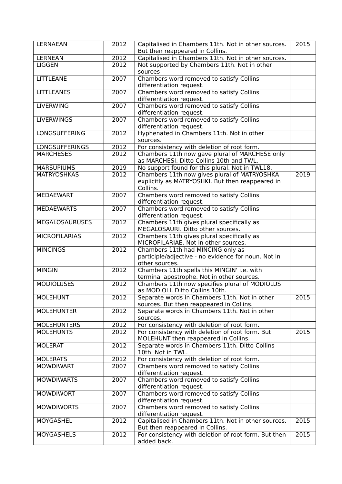| <b>LERNAEAN</b>       | 2012              | Capitalised in Chambers 11th. Not in other sources.<br>But then reappeared in Collins.                       | 2015 |
|-----------------------|-------------------|--------------------------------------------------------------------------------------------------------------|------|
| <b>LERNEAN</b>        | 2012              | Capitalised in Chambers 11th. Not in other sources.                                                          |      |
| <b>LIGGEN</b>         | 2012              | Not supported by Chambers 11th. Not in other<br>sources                                                      |      |
| LITTLEANE             | 2007              | Chambers word removed to satisfy Collins<br>differentiation request.                                         |      |
| <b>LITTLEANES</b>     | 2007              | Chambers word removed to satisfy Collins<br>differentiation request.                                         |      |
| <b>LIVERWING</b>      | 2007              | Chambers word removed to satisfy Collins<br>differentiation request.                                         |      |
| <b>LIVERWINGS</b>     | 2007              | Chambers word removed to satisfy Collins<br>differentiation request.                                         |      |
| <b>LONGSUFFERING</b>  | 2012              | Hyphenated in Chambers 11th. Not in other<br>sources.                                                        |      |
| <b>LONGSUFFERINGS</b> | 2012              | For consistency with deletion of root form.                                                                  |      |
| <b>MARCHESES</b>      | 2012              | Chambers 11th now gave plural of MARCHESE only<br>as MARCHESI. Ditto Collins 10th and TWL.                   |      |
| <b>MARSUPIUMS</b>     | 2019              | No support found for this plural. Not in TWL18.                                                              |      |
| <b>MATRYOSHKAS</b>    | 2012              | Chambers 11th now gives plural of MATRYOSHKA<br>explicitly as MATRYOSHKI. But then reappeared in<br>Collins. | 2019 |
| <b>MEDAEWART</b>      | 2007              | Chambers word removed to satisfy Collins<br>differentiation request.                                         |      |
| <b>MEDAEWARTS</b>     | 2007              | Chambers word removed to satisfy Collins<br>differentiation request.                                         |      |
| <b>MEGALOSAURUSES</b> | 2012              | Chambers 11th gives plural specifically as<br>MEGALOSAURI. Ditto other sources.                              |      |
| <b>MICROFILARIAS</b>  | $\overline{2012}$ | Chambers 11th gives plural specifically as<br>MICROFILARIAE. Not in other sources.                           |      |
| <b>MINCINGS</b>       | 2012              | Chambers 11th had MINCING only as<br>participle/adjective - no evidence for noun. Not in<br>other sources.   |      |
| <b>MINGIN</b>         | $\overline{2012}$ | Chambers 11th spells this MINGIN' i.e. with<br>terminal apostrophe. Not in other sources.                    |      |
| <b>MODIOLUSES</b>     | $\overline{2012}$ | Chambers 11th now specifies plural of MODIOLUS<br>as MODIOLI. Ditto Collins 10th.                            |      |
| <b>MOLEHUNT</b>       | 2012              | Separate words in Chambers 11th. Not in other<br>sources. But then reappeared in Collins.                    | 2015 |
| <b>MOLEHUNTER</b>     | 2012              | Separate words in Chambers 11th. Not in other<br>sources.                                                    |      |
| <b>MOLEHUNTERS</b>    | 2012              | For consistency with deletion of root form.                                                                  |      |
| <b>MOLEHUNTS</b>      | 2012              | For consistency with deletion of root form. But<br>MOLEHUNT then reappeared in Collins.                      | 2015 |
| <b>MOLERAT</b>        | 2012              | Separate words in Chambers 11th. Ditto Collins<br>10th. Not in TWL.                                          |      |
| <b>MOLERATS</b>       | 2012              | For consistency with deletion of root form.                                                                  |      |
| <b>MOWDIWART</b>      | 2007              | Chambers word removed to satisfy Collins<br>differentiation request.                                         |      |
| <b>MOWDIWARTS</b>     | 2007              | Chambers word removed to satisfy Collins<br>differentiation request.                                         |      |
| <b>MOWDIWORT</b>      | 2007              | Chambers word removed to satisfy Collins<br>differentiation request.                                         |      |
| <b>MOWDIWORTS</b>     | 2007              | Chambers word removed to satisfy Collins<br>differentiation request.                                         |      |
| <b>MOYGASHEL</b>      | 2012              | Capitalised in Chambers 11th. Not in other sources.<br>But then reappeared in Collins.                       | 2015 |
| <b>MOYGASHELS</b>     | 2012              | For consistency with deletion of root form. But then<br>added back.                                          | 2015 |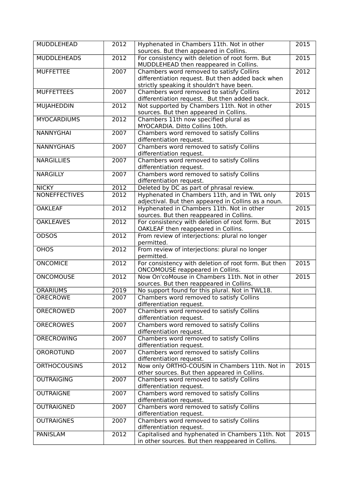| <b>MUDDLEHEAD</b>    | 2012              | Hyphenated in Chambers 11th. Not in other<br>sources. But then appeared in Collins.                 | 2015              |
|----------------------|-------------------|-----------------------------------------------------------------------------------------------------|-------------------|
| <b>MUDDLEHEADS</b>   | 2012              | For consistency with deletion of root form. But<br>MUDDLEHEAD then reappeared in Collins.           | $\overline{2015}$ |
| <b>MUFFETTEE</b>     | 2007              | Chambers word removed to satisfy Collins                                                            | 2012              |
|                      |                   | differentiation request. But then added back when                                                   |                   |
|                      |                   | strictly speaking it shouldn't have been.                                                           |                   |
| <b>MUFFETTEES</b>    | 2007              | Chambers word removed to satisfy Collins                                                            | 2012              |
| <b>MUJAHEDDIN</b>    | 2012              | differentiation request. But then added back.<br>Not supported by Chambers 11th. Not in other       | 2015              |
|                      |                   | sources. But then appeared in Collins.                                                              |                   |
| <b>MYOCARDIUMS</b>   | 2012              | Chambers 11th now specified plural as                                                               |                   |
|                      |                   | MYOCARDIA. Ditto Collins 10th.                                                                      |                   |
| <b>NANNYGHAI</b>     | 2007              | Chambers word removed to satisfy Collins                                                            |                   |
|                      |                   | differentiation request.                                                                            |                   |
| <b>NANNYGHAIS</b>    | 2007              | Chambers word removed to satisfy Collins                                                            |                   |
|                      |                   | differentiation request.                                                                            |                   |
| <b>NARGILLIES</b>    | 2007              | Chambers word removed to satisfy Collins                                                            |                   |
|                      |                   | differentiation request.                                                                            |                   |
| <b>NARGILLY</b>      | 2007              | Chambers word removed to satisfy Collins                                                            |                   |
| <b>NICKY</b>         | 2012              | differentiation request.                                                                            |                   |
| <b>NONEFFECTIVES</b> | 2012              | Deleted by DC as part of phrasal review.                                                            | 2015              |
|                      |                   | Hyphenated in Chambers 11th, and in TWL only<br>adjectival. But then appeared in Collins as a noun. |                   |
| <b>OAKLEAF</b>       | $\overline{2012}$ | Hyphenated in Chambers 11th. Not in other                                                           | 2015              |
|                      |                   | sources. But then reappeared in Collins.                                                            |                   |
| <b>OAKLEAVES</b>     | $\overline{2012}$ | For consistency with deletion of root form. But                                                     | 2015              |
|                      |                   | OAKLEAF then reappeared in Collins.                                                                 |                   |
| <b>ODSOS</b>         | $\overline{2012}$ | From review of interjections: plural no longer                                                      |                   |
|                      |                   | permitted.                                                                                          |                   |
| <b>OHOS</b>          | 2012              | From review of interjections: plural no longer<br>permitted.                                        |                   |
| <b>ONCOMICE</b>      | 2012              | For consistency with deletion of root form. But then<br>ONCOMOUSE reappeared in Collins.            | $\overline{2015}$ |
| <b>ONCOMOUSE</b>     | 2012              | Now On'coMouse in Chambers 11th. Not in other                                                       | 2015              |
|                      |                   | sources. But then reappeared in Collins.                                                            |                   |
| <b>ORARIUMS</b>      | 2019              | No support found for this plural. Not in TWL18.                                                     |                   |
| <b>ORECROWE</b>      | 2007              | Chambers word removed to satisfy Collins                                                            |                   |
|                      |                   | differentiation request.                                                                            |                   |
| ORECROWED            | 2007              | Chambers word removed to satisfy Collins<br>differentiation request.                                |                   |
| <b>ORECROWES</b>     | 2007              | Chambers word removed to satisfy Collins                                                            |                   |
|                      |                   | differentiation request.                                                                            |                   |
| <b>ORECROWING</b>    | 2007              | Chambers word removed to satisfy Collins                                                            |                   |
|                      |                   | differentiation request.                                                                            |                   |
| <b>OROROTUND</b>     | 2007              | Chambers word removed to satisfy Collins                                                            |                   |
|                      |                   | differentiation request.                                                                            |                   |
| <b>ORTHOCOUSINS</b>  | 2012              | Now only ORTHO-COUSIN in Chambers 11th. Not in                                                      | $\overline{2015}$ |
|                      |                   | other sources. But then appeared in Collins.                                                        |                   |
| <b>OUTRAIGING</b>    | 2007              | Chambers word removed to satisfy Collins                                                            |                   |
| <b>OUTRAIGNE</b>     | 2007              | differentiation request.<br>Chambers word removed to satisfy Collins                                |                   |
|                      |                   | differentiation request.                                                                            |                   |
| <b>OUTRAIGNED</b>    | 2007              | Chambers word removed to satisfy Collins                                                            |                   |
|                      |                   | differentiation request.                                                                            |                   |
| <b>OUTRAIGNES</b>    | 2007              | Chambers word removed to satisfy Collins                                                            |                   |
|                      |                   | differentiation request.                                                                            |                   |
| PANISLAM             | 2012              | Capitalised and hyphenated in Chambers 11th. Not                                                    | 2015              |
|                      |                   | in other sources. But then reappeared in Collins.                                                   |                   |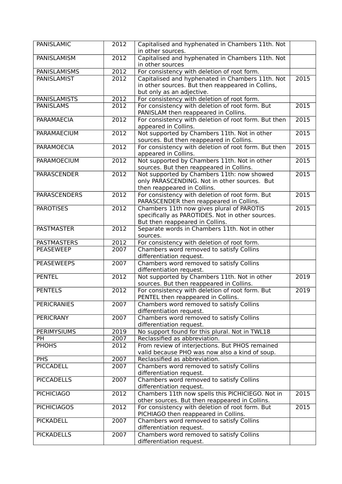| <b>PANISLAMIC</b>   | 2012              | Capitalised and hyphenated in Chambers 11th. Not<br>in other sources.                                                              |                   |
|---------------------|-------------------|------------------------------------------------------------------------------------------------------------------------------------|-------------------|
| <b>PANISLAMISM</b>  | $\overline{2012}$ | Capitalised and hyphenated in Chambers 11th. Not<br>in other sources                                                               |                   |
| <b>PANISLAMISMS</b> | $\overline{2012}$ | For consistency with deletion of root form.                                                                                        |                   |
| PANISLAMIST         | 2012              | Capitalised and hyphenated in Chambers 11th. Not<br>in other sources. But then reappeared in Collins,<br>but only as an adjective. | 2015              |
| <b>PANISLAMISTS</b> | 2012              | For consistency with deletion of root form.                                                                                        |                   |
| <b>PANISLAMS</b>    | 2012              | For consistency with deletion of root form. But<br>PANISLAM then reappeared in Collins.                                            | 2015              |
| <b>PARAMAECIA</b>   | 2012              | For consistency with deletion of root form. But then<br>appeared in Collins.                                                       | $\overline{2015}$ |
| <b>PARAMAECIUM</b>  | 2012              | Not supported by Chambers 11th. Not in other<br>sources. But then reappeared in Collins.                                           | 2015              |
| <b>PARAMOECIA</b>   | 2012              | For consistency with deletion of root form. But then<br>appeared in Collins.                                                       | 2015              |
| <b>PARAMOECIUM</b>  | 2012              | Not supported by Chambers 11th. Not in other<br>sources. But then reappeared in Collins.                                           | 2015              |
| <b>PARASCENDER</b>  | $\overline{2012}$ | Not supported by Chambers 11th: now showed<br>only PARASCENDING. Not in other sources. But<br>then reappeared in Collins.          | 2015              |
| <b>PARASCENDERS</b> | $\overline{2012}$ | For consistency with deletion of root form. But<br>PARASCENDER then reappeared in Collins.                                         | 2015              |
| <b>PAROTISES</b>    | 2012              | Chambers 11th now gives plural of PAROTIS<br>specifically as PAROTIDES. Not in other sources.<br>But then reappeared in Collins.   | 2015              |
| <b>PASTMASTER</b>   | 2012              | Separate words in Chambers 11th. Not in other<br>sources.                                                                          |                   |
| <b>PASTMASTERS</b>  | 2012              | For consistency with deletion of root form.                                                                                        |                   |
| <b>PEASEWEEP</b>    | 2007              | Chambers word removed to satisfy Collins<br>differentiation request.                                                               |                   |
| <b>PEASEWEEPS</b>   | 2007              | Chambers word removed to satisfy Collins<br>differentiation request.                                                               |                   |
| <b>PENTEL</b>       | 2012              | Not supported by Chambers 11th. Not in other<br>sources. But then reappeared in Collins.                                           | 2019              |
| <b>PENTELS</b>      | 2012              | For consistency with deletion of root form. But<br>PENTEL then reappeared in Collins.                                              | 2019              |
| <b>PERICRANIES</b>  | 2007              | Chambers word removed to satisfy Collins<br>differentiation request.                                                               |                   |
| <b>PERICRANY</b>    | 2007              | Chambers word removed to satisfy Collins<br>differentiation request.                                                               |                   |
| <b>PERIMYSIUMS</b>  | 2019              | No support found for this plural. Not in TWL18                                                                                     |                   |
| <b>PH</b>           | 2007              | Reclassified as abbreviation.                                                                                                      |                   |
| <b>PHOHS</b>        | 2012              | From review of interjections. But PHOS remained<br>valid because PHO was now also a kind of soup.                                  |                   |
| <b>PHS</b>          | 2007              | Reclassified as abbreviation.                                                                                                      |                   |
| <b>PICCADELL</b>    | 2007              | Chambers word removed to satisfy Collins<br>differentiation request.                                                               |                   |
| <b>PICCADELLS</b>   | 2007              | Chambers word removed to satisfy Collins<br>differentiation request.                                                               |                   |
| <b>PICHICIAGO</b>   | 2012              | Chambers 11th now spells this PICHICIEGO. Not in<br>other sources. But then reappeared in Collins.                                 | 2015              |
| <b>PICHICIAGOS</b>  | 2012              | For consistency with deletion of root form. But<br>PICHIAGO then reappeared in Collins.                                            | 2015              |
| <b>PICKADELL</b>    | 2007              | Chambers word removed to satisfy Collins<br>differentiation request.                                                               |                   |
| <b>PICKADELLS</b>   | 2007              | Chambers word removed to satisfy Collins<br>differentiation request.                                                               |                   |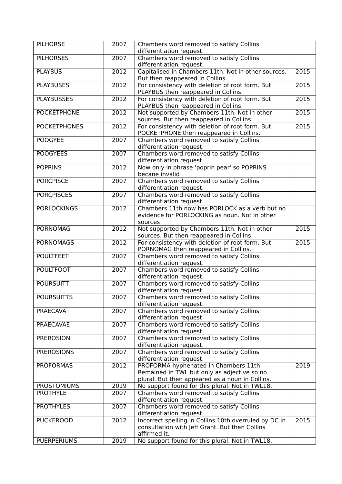| <b>PILHORSE</b>     | 2007              | Chambers word removed to satisfy Collins<br>differentiation request.                                                                    |                   |
|---------------------|-------------------|-----------------------------------------------------------------------------------------------------------------------------------------|-------------------|
| <b>PILHORSES</b>    | 2007              | Chambers word removed to satisfy Collins<br>differentiation request.                                                                    |                   |
| <b>PLAYBUS</b>      | 2012              | Capitalised in Chambers 11th. Not in other sources.<br>But then reappeared in Collins.                                                  | 2015              |
| <b>PLAYBUSES</b>    | 2012              | For consistency with deletion of root form. But<br>PLAYBUS then reappeared in Collins.                                                  | $\overline{2015}$ |
| <b>PLAYBUSSES</b>   | 2012              | For consistency with deletion of root form. But<br>PLAYBUS then reappeared in Collins.                                                  | 2015              |
| <b>POCKETPHONE</b>  | $\overline{2012}$ | Not supported by Chambers 11th. Not in other<br>sources. But then reappeared in Collins.                                                | 2015              |
| <b>POCKETPHONES</b> | 2012              | For consistency with deletion of root form. But<br>POCKETPHONE then reappeared in Collins.                                              | 2015              |
| <b>POOGYEE</b>      | 2007              | Chambers word removed to satisfy Collins<br>differentiation request.                                                                    |                   |
| <b>POOGYEES</b>     | 2007              | Chambers word removed to satisfy Collins<br>differentiation request.                                                                    |                   |
| <b>POPRINS</b>      | $\overline{2012}$ | Now only in phrase 'poprin pear' so POPRINS<br>becane invalid                                                                           |                   |
| <b>PORCPISCE</b>    | 2007              | Chambers word removed to satisfy Collins<br>differentiation request.                                                                    |                   |
| <b>PORCPISCES</b>   | 2007              | Chambers word removed to satisfy Collins<br>differentiation request.                                                                    |                   |
| <b>PORLOCKINGS</b>  | $\overline{2012}$ | Chambers 11th now has PORLOCK as a verb but no<br>evidence for PORLOCKING as noun. Not in other<br>sources                              |                   |
| <b>PORNOMAG</b>     | 2012              | Not supported by Chambers 11th. Not in other<br>sources. But then reappeared in Collins.                                                | 2015              |
| <b>PORNOMAGS</b>    | $\overline{2012}$ | For consistency with deletion of root form. But<br>PORNOMAG then reappeared in Collins.                                                 | 2015              |
| <b>POULTFEET</b>    | 2007              | Chambers word removed to satisfy Collins<br>differentiation request.                                                                    |                   |
| <b>POULTFOOT</b>    | 2007              | Chambers word removed to satisfy Collins<br>differentiation request.                                                                    |                   |
| <b>POURSUITT</b>    | 2007              | Chambers word removed to satisfy Collins<br>differentiation request.                                                                    |                   |
| <b>POURSUITTS</b>   | 2007              | Chambers word removed to satisfy Collins<br>differentiation request.                                                                    |                   |
| <b>PRAECAVA</b>     | 2007              | Chambers word removed to satisfy Collins<br>differentiation request.                                                                    |                   |
| PRAECAVAE           | 2007              | Chambers word removed to satisfy Collins<br>differentiation request.                                                                    |                   |
| <b>PREROSION</b>    | 2007              | Chambers word removed to satisfy Collins<br>differentiation request.                                                                    |                   |
| <b>PREROSIONS</b>   | 2007              | Chambers word removed to satisfy Collins<br>differentiation request.                                                                    |                   |
| <b>PROFORMAS</b>    | 2012              | PROFORMA hyphenated in Chambers 11th.<br>Remained in TWL but only as adjective so no<br>plural. But then appeared as a noun in Collins. | 2019              |
| <b>PROSTOMIUMS</b>  | 2019              | No support found for this plural. Not in TWL18.                                                                                         |                   |
| <b>PROTHYLE</b>     | 2007              | Chambers word removed to satisfy Collins                                                                                                |                   |
| <b>PROTHYLES</b>    | 2007              | differentiation request.<br>Chambers word removed to satisfy Collins                                                                    |                   |
|                     |                   | differentiation request.                                                                                                                |                   |
| <b>PUCKEROOD</b>    | 2012              | Incorrect spelling in Collins 10th overruled by DC in<br>consultation with Jeff Grant. But then Collins<br>affirmed it.                 | 2015              |
| <b>PUERPERIUMS</b>  | 2019              | No support found for this plural. Not in TWL18.                                                                                         |                   |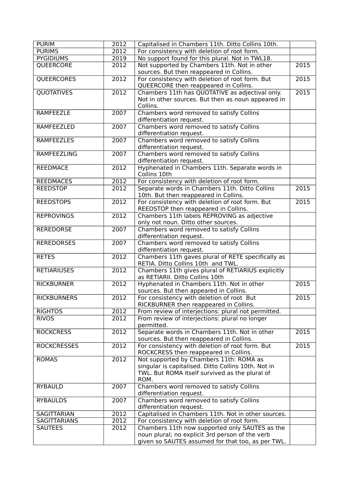| <b>PURIM</b>        | 2012              | Capitalised in Chambers 11th. Ditto Collins 10th.                                             |                   |
|---------------------|-------------------|-----------------------------------------------------------------------------------------------|-------------------|
| <b>PURIMS</b>       | 2012              | For consistency with deletion of root form.                                                   |                   |
| <b>PYGIDIUMS</b>    | 2019              | No support found for this plural. Not in TWL18.                                               |                   |
| <b>QUEERCORE</b>    | 2012              | Not supported by Chambers 11th. Not in other                                                  | 2015              |
|                     |                   | sources. But then reappeared in Collins.                                                      |                   |
| <b>QUEERCORES</b>   | $\overline{2012}$ | For consistency with deletion of root form. But<br>QUEERCORE then reappeared in Collins.      | $\overline{2015}$ |
| <b>QUOTATIVES</b>   | 2012              | Chambers 11th has QUOTATIVE as adjectival only.                                               | 2015              |
|                     |                   | Not in other sources. But then as noun appeared in<br>Collins.                                |                   |
| <b>RAMFEEZLE</b>    | 2007              | Chambers word removed to satisfy Collins<br>differentiation request.                          |                   |
| RAMFEEZLED          | 2007              | Chambers word removed to satisfy Collins<br>differentiation request.                          |                   |
| <b>RAMFEEZLES</b>   | 2007              | Chambers word removed to satisfy Collins<br>differentiation request.                          |                   |
| <b>RAMFEEZLING</b>  | 2007              | Chambers word removed to satisfy Collins                                                      |                   |
|                     |                   | differentiation request.                                                                      |                   |
| <b>REEDMACE</b>     | 2012              | Hyphenated in Chambers 11th. Separate words in<br>Collins 10th                                |                   |
| <b>REEDMACES</b>    | 2012              | For consistency with deletion of root form.                                                   |                   |
| <b>REEDSTOP</b>     | $\overline{2012}$ | Separate words in Chambers 11th. Ditto Collins                                                | 2015              |
|                     |                   | 10th. But then reappeared in Collins.                                                         |                   |
| <b>REEDSTOPS</b>    | $\overline{2012}$ | For consistency with deletion of root form. But                                               | 2015              |
| <b>REPROVINGS</b>   | 2012              | REEDSTOP then reappeared in Collins.<br>Chambers 11th labels REPROVING as adjective           |                   |
|                     |                   | only not noun. Ditto other sources.                                                           |                   |
| <b>REREDORSE</b>    | 2007              | Chambers word removed to satisfy Collins                                                      |                   |
|                     |                   | differentiation request.                                                                      |                   |
| <b>REREDORSES</b>   | 2007              | Chambers word removed to satisfy Collins                                                      |                   |
|                     |                   | differentiation request.                                                                      |                   |
| <b>RETES</b>        | 2012              | Chambers 11th gaves plural of RETE specifically as<br>RETIA. Ditto Collins 10th and TWL.      |                   |
| <b>RETIARIUSES</b>  | $\overline{2012}$ | Chambers 11th gives plural of RETIARIUS explicitly<br>as RETIARII. Ditto Collins 10th         |                   |
| <b>RICKBURNER</b>   | 2012              | Hyphenated in Chambers 11th. Not in other<br>sources. But then appeared in Collins.           | 2015              |
| <b>RICKBURNERS</b>  | 2012              | For consistency with deletion of root But                                                     | 2015              |
| <b>RIGHTOS</b>      | 2012              | RICKBURNER then reappeared in Collins.<br>From review of interjections: plural not permitted. |                   |
| <b>RIVOS</b>        | 2012              | From review of interjections: plural no longer                                                |                   |
|                     |                   | permitted.                                                                                    |                   |
| <b>ROCKCRESS</b>    | 2012              | Separate words in Chambers 11th. Not in other<br>sources. But then reappeared in Collins.     | 2015              |
| <b>ROCKCRESSES</b>  | 2012              | For consistency with deletion of root form. But                                               | 2015              |
|                     |                   | ROCKCRESS then reappeared in Collins.                                                         |                   |
| <b>ROMAS</b>        | 2012              | Not supported by Chambers 11th: ROMA as                                                       |                   |
|                     |                   | singular is capitalised. Ditto Collins 10th. Not in                                           |                   |
|                     |                   | TWL. But ROMA itself survived as the plural of<br>ROM.                                        |                   |
| <b>RYBAULD</b>      | 2007              | Chambers word removed to satisfy Collins                                                      |                   |
|                     |                   | differentiation request.                                                                      |                   |
| <b>RYBAULDS</b>     | 2007              | Chambers word removed to satisfy Collins<br>differentiation request.                          |                   |
| SAGITTARIAN         | 2012              | Capitalised in Chambers 11th. Not in other sources.                                           |                   |
| <b>SAGITTARIANS</b> | 2012              | For consistency with deletion of root form.                                                   |                   |
| <b>SAUTEES</b>      | 2012              | Chambers 11th now supported only SAUTES as the                                                |                   |
|                     |                   | noun plural; no explicit 3rd person of the verb                                               |                   |
|                     |                   | given so SAUTES assumed for that too, as per TWL.                                             |                   |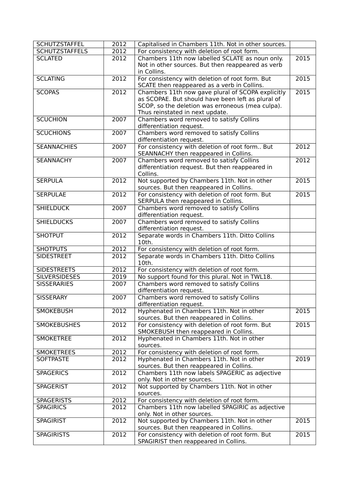| SCHUTZSTAFFEL         | 2012              | Capitalised in Chambers 11th. Not in other sources. |                   |
|-----------------------|-------------------|-----------------------------------------------------|-------------------|
| <b>SCHUTZSTAFFELS</b> | 2012              | For consistency with deletion of root form.         |                   |
| <b>SCLATED</b>        | 2012              | Chambers 11th now labelled SCLATE as noun only.     | 2015              |
|                       |                   | Not in other sources. But then reappeared as verb   |                   |
|                       |                   | in Collins.                                         |                   |
| <b>SCLATING</b>       | 2012              | For consistency with deletion of root form. But     | 2015              |
|                       |                   | SCATE then reappeared as a verb in Collins.         |                   |
| <b>SCOPAS</b>         | 2012              | Chambers 11th now gave plural of SCOPA explicitly   | 2015              |
|                       |                   | as SCOPAE. But should have been left as plural of   |                   |
|                       |                   | SCOP, so the deletion was erroneous (mea culpa).    |                   |
|                       |                   | Thus reinstated in next update.                     |                   |
| <b>SCUCHION</b>       | 2007              | Chambers word removed to satisfy Collins            |                   |
|                       |                   | differentiation request.                            |                   |
| <b>SCUCHIONS</b>      | 2007              | Chambers word removed to satisfy Collins            |                   |
|                       |                   | differentiation request.                            |                   |
| <b>SEANNACHIES</b>    | 2007              | For consistency with deletion of root form But      | 2012              |
|                       |                   | SEANNACHY then reappeared in Collins.               |                   |
| <b>SEANNACHY</b>      | 2007              | Chambers word removed to satisfy Collins            | 2012              |
|                       |                   | differentiation request. But then reappeared in     |                   |
|                       |                   | Collins.                                            |                   |
| <b>SERPULA</b>        | $\overline{2012}$ | Not supported by Chambers 11th. Not in other        | $\overline{2015}$ |
|                       |                   | sources. But then reappeared in Collins.            |                   |
| <b>SERPULAE</b>       | 2012              | For consistency with deletion of root form. But     | 2015              |
|                       |                   | SERPULA then reappeared in Collins.                 |                   |
| <b>SHIELDUCK</b>      | 2007              | Chambers word removed to satisfy Collins            |                   |
|                       |                   | differentiation request.                            |                   |
| <b>SHIELDUCKS</b>     | 2007              | Chambers word removed to satisfy Collins            |                   |
|                       |                   | differentiation request.                            |                   |
| <b>SHOTPUT</b>        | 2012              | Separate words in Chambers 11th. Ditto Collins      |                   |
|                       |                   | 10th.                                               |                   |
| <b>SHOTPUTS</b>       | 2012              | For consistency with deletion of root form.         |                   |
| <b>SIDESTREET</b>     | 2012              | Separate words in Chambers 11th. Ditto Collins      |                   |
|                       |                   | 10th.                                               |                   |
| <b>SIDESTREETS</b>    | 2012              | For consistency with deletion of root form.         |                   |
| <b>SILVERSIDESES</b>  | 2019              | No support found for this plural. Not in TWL18.     |                   |
| <b>SISSERARIES</b>    | 2007              | Chambers word removed to satisfy Collins            |                   |
|                       |                   | differentiation request.                            |                   |
| <b>SISSERARY</b>      | 2007              | Chambers word removed to satisfy Collins            |                   |
|                       |                   | differentiation request.                            |                   |
| SMOKEBUSH             | 2012              | Hyphenated in Chambers 11th. Not in other           | 2015              |
|                       |                   | sources. But then reappeared in Collins.            |                   |
| <b>SMOKEBUSHES</b>    | 2012              | For consistency with deletion of root form. But     | 2015              |
|                       |                   | SMOKEBUSH then reappeared in Collins.               |                   |
| <b>SMOKETREE</b>      | 2012              | Hyphenated in Chambers 11th. Not in other           |                   |
|                       |                   | sources.                                            |                   |
| <b>SMOKETREES</b>     | 2012              | For consistency with deletion of root form.         |                   |
| <b>SOFTPASTE</b>      | 2012              | Hyphenated in Chambers 11th. Not in other           | 2019              |
|                       |                   | sources. But then reappeared in Collins.            |                   |
| <b>SPAGERICS</b>      | 2012              | Chambers 11th now labels SPAGERIC as adjective      |                   |
|                       |                   | only. Not in other sources.                         |                   |
| <b>SPAGERIST</b>      | 2012              | Not supported by Chambers 11th. Not in other        |                   |
|                       |                   | sources.                                            |                   |
| <b>SPAGERISTS</b>     | 2012              | For consistency with deletion of root form.         |                   |
| <b>SPAGIRICS</b>      | 2012              | Chambers 11th now labelled SPAGIRIC as adjective    |                   |
|                       |                   | only. Not in other sources.                         |                   |
| <b>SPAGIRIST</b>      | 2012              | Not supported by Chambers 11th. Not in other        | 2015              |
|                       |                   | sources. But then reappeared in Collins.            |                   |
| <b>SPAGIRISTS</b>     | 2012              | For consistency with deletion of root form. But     | 2015              |
|                       |                   | SPAGIRIST then reappeared in Collins.               |                   |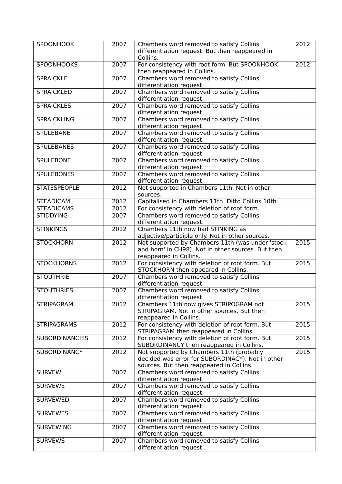| <b>SPOONHOOK</b>      | 2007              | Chambers word removed to satisfy Collins<br>differentiation request. But then reappeared in<br>Collins.                                  | 2012              |
|-----------------------|-------------------|------------------------------------------------------------------------------------------------------------------------------------------|-------------------|
| <b>SPOONHOOKS</b>     | 2007              | For consistency with root form. But SPOONHOOK<br>then reappeared in Collins.                                                             | $\overline{2012}$ |
| <b>SPRAICKLE</b>      | 2007              | Chambers word removed to satisfy Collins<br>differentiation request.                                                                     |                   |
| <b>SPRAICKLED</b>     | 2007              | Chambers word removed to satisfy Collins<br>differentiation request.                                                                     |                   |
| <b>SPRAICKLES</b>     | 2007              | Chambers word removed to satisfy Collins<br>differentiation request.                                                                     |                   |
| <b>SPRAICKLING</b>    | 2007              | Chambers word removed to satisfy Collins<br>differentiation request.                                                                     |                   |
| <b>SPULEBANE</b>      | 2007              | Chambers word removed to satisfy Collins<br>differentiation request.                                                                     |                   |
| <b>SPULEBANES</b>     | 2007              | Chambers word removed to satisfy Collins<br>differentiation request.                                                                     |                   |
| <b>SPULEBONE</b>      | 2007              | Chambers word removed to satisfy Collins<br>differentiation request.                                                                     |                   |
| <b>SPULEBONES</b>     | 2007              | Chambers word removed to satisfy Collins<br>differentiation request.                                                                     |                   |
| <b>STATESPEOPLE</b>   | 2012              | Not supported in Chambers 11th. Not in other<br>sources.                                                                                 |                   |
| <b>STEADICAM</b>      | 2012              | Capitalised in Chambers 11th. Ditto Collins 10th.                                                                                        |                   |
| <b>STEADICAMS</b>     | 2012              | For consistency with deletion of root form.                                                                                              |                   |
| <b>STIDDYING</b>      | 2007              | Chambers word removed to satisfy Collins<br>differentiation request.                                                                     |                   |
| <b>STINKINGS</b>      | $\overline{2012}$ | Chambers 11th now had STINKING as<br>adjective/participle only. Not in other sources.                                                    |                   |
| <b>STOCKHORN</b>      | 2012              | Not supported by Chambers 11th (was under 'stock<br>and horn' in CH98). Not in other sources. But then<br>reappeared in Collins.         | 2015              |
| <b>STOCKHORNS</b>     | $\overline{2012}$ | For consistency with deletion of root form. But<br>STOCKHORN then appeared in Collins.                                                   | 2015              |
| <b>STOUTHRIE</b>      | 2007              | Chambers word removed to satisfy Collins<br>differentiation request.                                                                     |                   |
| <b>STOUTHRIES</b>     | 2007              | Chambers word removed to satisfy Collins<br>differentiation request.                                                                     |                   |
| <b>STRIPAGRAM</b>     | 2012              | Chambers 11th now gives STRIPOGRAM not<br>STRIPAGRAM. Not in other sources. But then<br>reappeared in Collins.                           | 2015              |
| <b>STRIPAGRAMS</b>    | 2012              | For consistency with deletion of root form. But<br>STRIPAGRAM then reappeared in Collins.                                                | 2015              |
| <b>SUBORDINANCIES</b> | 2012              | For consistency with deletion of root form. But<br>SUBORDINANCY then reappeared in Collins.                                              | 2015              |
| SUBORDINANCY          | 2012              | Not supported by Chambers 11th (probably<br>decided was error for SUBORDINACY). Not in other<br>sources. But then reappeared in Collins. | 2015              |
| <b>SURVEW</b>         | 2007              | Chambers word removed to satisfy Collins<br>differentiation request.                                                                     |                   |
| <b>SURVEWE</b>        | 2007              | Chambers word removed to satisfy Collins<br>differentiation request.                                                                     |                   |
| <b>SURVEWED</b>       | 2007              | Chambers word removed to satisfy Collins<br>differentiation request.                                                                     |                   |
| <b>SURVEWES</b>       | 2007              | Chambers word removed to satisfy Collins<br>differentiation request.                                                                     |                   |
| <b>SURVEWING</b>      | 2007              | Chambers word removed to satisfy Collins<br>differentiation request.                                                                     |                   |
| <b>SURVEWS</b>        | 2007              | Chambers word removed to satisfy Collins<br>differentiation request                                                                      |                   |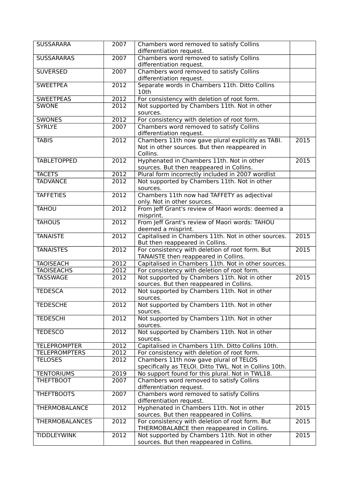| <b>SUSSARARA</b>      | 2007              | Chambers word removed to satisfy Collins<br>differentiation request.                                          |                   |
|-----------------------|-------------------|---------------------------------------------------------------------------------------------------------------|-------------------|
| <b>SUSSARARAS</b>     | 2007              | Chambers word removed to satisfy Collins<br>differentiation request.                                          |                   |
| <b>SUVERSED</b>       | 2007              | Chambers word removed to satisfy Collins<br>differentiation request.                                          |                   |
| <b>SWEETPEA</b>       | 2012              | Separate words in Chambers 11th. Ditto Collins<br>10th                                                        |                   |
| <b>SWEETPEAS</b>      | 2012              | For consistency with deletion of root form.                                                                   |                   |
| <b>SWONE</b>          | 2012              | Not supported by Chambers 11th. Not in other                                                                  |                   |
|                       |                   | sources.                                                                                                      |                   |
| <b>SWONES</b>         | 2012              | For consistency with deletion of root form.                                                                   |                   |
| <b>SYRLYE</b>         | 2007              | Chambers word removed to satisfy Collins<br>differentiation request.                                          |                   |
| <b>TABIS</b>          | 2012              | Chambers 11th now gave plural explicitly as TABI.<br>Not in other sources. But then reappeared in<br>Collins. | 2015              |
| <b>TABLETOPPED</b>    | 2012              | Hyphenated in Chambers 11th. Not in other<br>sources. But then reappeared in Collins.                         | 2015              |
| <b>TACETS</b>         | 2012              | Plural form incorrectly included in 2007 wordlist                                                             |                   |
| <b>TADVANCE</b>       | 2012              | Not supported by Chambers 11th. Not in other<br>sources.                                                      |                   |
| <b>TAFFETIES</b>      | 2012              | Chambers 11th now had TAFFETY as adjectival<br>only. Not in other sources.                                    |                   |
| <b>TAHOU</b>          | $\overline{2012}$ | From Jeff Grant's review of Maori words: deemed a<br>misprint.                                                |                   |
| <b>TAHOUS</b>         | 2012              | From Jeff Grant's review of Maori words: TAHOU<br>deemed a misprint.                                          |                   |
| <b>TANAISTE</b>       | $\overline{2012}$ | Capitalised in Chambers 11th. Not in other sources.<br>But then reappeared in Collins.                        | 2015              |
| <b>TANAISTES</b>      | $\overline{2012}$ | For consistency with deletion of root form. But<br>TANAISTE then reappeared in Collins.                       | $\overline{2015}$ |
| <b>TAOISEACH</b>      | 2012              | Capitalised in Chambers 11th. Not in other sources.                                                           |                   |
| <b>TAOISEACHS</b>     | $\overline{2012}$ | For consistency with deletion of root form.                                                                   |                   |
| <b>TASSWAGE</b>       | 2012              | Not supported by Chambers 11th. Not in other<br>sources. But then reappeared in Collins.                      | 2015              |
| <b>TEDESCA</b>        | $\sqrt{2012}$     | Not supported by Chambers 11th. Not in other<br>sources.                                                      |                   |
| <b>TEDESCHE</b>       | 2012              | Not supported by Chambers 11th. Not in other<br>sources.                                                      |                   |
| <b>TEDESCHI</b>       | 2012              | Not supported by Chambers 11th. Not in other<br>sources.                                                      |                   |
| <b>TEDESCO</b>        | 2012              | Not supported by Chambers 11th. Not in other<br>sources.                                                      |                   |
| <b>TELEPROMPTER</b>   | 2012              | Capitalised in Chambers 11th. Ditto Collins 10th.                                                             |                   |
| <b>TELEPROMPTERS</b>  | 2012              | For consistency with deletion of root form.                                                                   |                   |
| <b>TELOSES</b>        | 2012              | Chambers 11th now gave plural of TELOS<br>specifically as TELOI. Ditto TWL. Not in Collins 10th.              |                   |
| <b>TENTORIUMS</b>     | 2019              | No support found for this plural. Not in TWL18.                                                               |                   |
| <b>THEFTBOOT</b>      | 2007              | Chambers word removed to satisfy Collins<br>differentiation request.                                          |                   |
| <b>THEFTBOOTS</b>     | 2007              | Chambers word removed to satisfy Collins<br>differentiation request.                                          |                   |
| <b>THERMOBALANCE</b>  | 2012              | Hyphenated in Chambers 11th. Not in other<br>sources. But then reappeared in Collins.                         | 2015              |
| <b>THERMOBALANCES</b> | 2012              | For consistency with deletion of root form. But<br>THERMOBALABCE then reappeared in Collins.                  | 2015              |
| <b>TIDDLEYWINK</b>    | 2012              | Not supported by Chambers 11th. Not in other<br>sources. But then reappeared in Collins.                      | 2015              |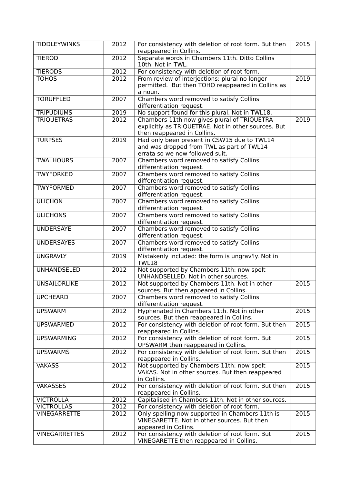| <b>TIDDLEYWINKS</b>  | 2012              | For consistency with deletion of root form. But then<br>reappeared in Collins.                                                    | 2015 |
|----------------------|-------------------|-----------------------------------------------------------------------------------------------------------------------------------|------|
| <b>TIEROD</b>        | 2012              | Separate words in Chambers 11th. Ditto Collins<br>10th. Not in TWL.                                                               |      |
| <b>TIERODS</b>       | $\overline{2012}$ | For consistency with deletion of root form.                                                                                       |      |
| <b>TOHOS</b>         | 2012              | From review of interjections: plural no longer<br>permitted. But then TOHO reappeared in Collins as<br>a noun.                    | 2019 |
| <b>TORUFFLED</b>     | 2007              | Chambers word removed to satisfy Collins<br>differentiation request.                                                              |      |
| <b>TRIPUDIUMS</b>    | 2019              | No support found for this plural. Not in TWL18.                                                                                   |      |
| <b>TRIQUETRAS</b>    | 2012              | Chambers 11th now gives plural of TRIQUETRA<br>explicitly as TRIQUETRAE. Not in other sources. But<br>then reappeared in Collins. | 2019 |
| <b>TURPSES</b>       | 2019              | Had only been present in CSW15 due to TWL14<br>and was dropped from TWL as part of TWL14<br>errata so we now followed suit.       |      |
| <b>TWALHOURS</b>     | 2007              | Chambers word removed to satisfy Collins<br>differentiation request.                                                              |      |
| <b>TWYFORKED</b>     | 2007              | Chambers word removed to satisfy Collins<br>differentiation request.                                                              |      |
| <b>TWYFORMED</b>     | 2007              | Chambers word removed to satisfy Collins<br>differentiation request.                                                              |      |
| <b>ULICHON</b>       | 2007              | Chambers word removed to satisfy Collins<br>differentiation request.                                                              |      |
| <b>ULICHONS</b>      | 2007              | Chambers word removed to satisfy Collins<br>differentiation request.                                                              |      |
| <b>UNDERSAYE</b>     | 2007              | Chambers word removed to satisfy Collins<br>differentiation request.                                                              |      |
| <b>UNDERSAYES</b>    | 2007              | Chambers word removed to satisfy Collins<br>differentiation request.                                                              |      |
| <b>UNGRAVLY</b>      | 2019              | Mistakenly included: the form is ungrav'ly. Not in<br><b>TWL18</b>                                                                |      |
| <b>UNHANDSELED</b>   | 2012              | Not supported by Chambers 11th: now spelt<br>UNHANDSELLED. Not in other sources.                                                  |      |
| <b>UNSAILORLIKE</b>  | $\overline{2012}$ | Not supported by Chambers 11th. Not in other<br>sources. But then appeared in Collins.                                            | 2015 |
| <b>UPCHEARD</b>      | 2007              | Chambers word removed to satisfy Collins<br>differentiation request.                                                              |      |
| <b>UPSWARM</b>       | 2012              | Hyphenated in Chambers 11th. Not in other<br>sources. But then reappeared in Collins.                                             | 2015 |
| <b>UPSWARMED</b>     | 2012              | For consistency with deletion of root form. But then<br>reappeared in Collins.                                                    | 2015 |
| <b>UPSWARMING</b>    | $\overline{2012}$ | For consistency with deletion of root form. But<br>UPSWARM then reappeared in Collins.                                            | 2015 |
| <b>UPSWARMS</b>      | 2012              | For consistency with deletion of root form. But then<br>reappeared in Collins.                                                    | 2015 |
| <b>VAKASS</b>        | 2012              | Not supported by Chambers 11th: now spelt<br>VAKAS. Not in other sources. But then reappeared<br>in Collins.                      | 2015 |
| <b>VAKASSES</b>      | 2012              | For consistency with deletion of root form. But then<br>reappeared in Collins.                                                    | 2015 |
| <b>VICTROLLA</b>     | 2012              | Capitalised in Chambers 11th. Not in other sources.                                                                               |      |
| <b>VICTROLLAS</b>    | 2012              | For consistency with deletion of root form.                                                                                       |      |
| <b>VINEGARRETTE</b>  | 2012              | Only spelling now supported in Chambers 11th is<br>VINEGARETTE. Not in other sources. But then<br>appeared in Collins.            | 2015 |
| <b>VINEGARRETTES</b> | 2012              | For consistency with deletion of root form. But<br>VINEGARETTE then reappeared in Collins.                                        | 2015 |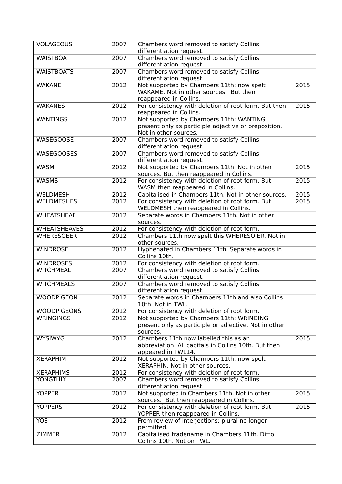| <b>VOLAGEOUS</b>    | 2007              | Chambers word removed to satisfy Collins<br>differentiation request.                        |                   |
|---------------------|-------------------|---------------------------------------------------------------------------------------------|-------------------|
| <b>WAISTBOAT</b>    | 2007              | Chambers word removed to satisfy Collins<br>differentiation request.                        |                   |
| <b>WAISTBOATS</b>   | 2007              | Chambers word removed to satisfy Collins<br>differentiation request.                        |                   |
| <b>WAKANE</b>       | 2012              | Not supported by Chambers 11th: now spelt<br>WAKAME. Not in other sources. But then         | 2015              |
|                     |                   | reappeared in Collins.                                                                      |                   |
| <b>WAKANES</b>      | 2012              | For consistency with deletion of root form. But then<br>reappeared in Collins.              | $\overline{2015}$ |
| <b>WANTINGS</b>     | $\overline{2012}$ | Not supported by Chambers 11th: WANTING                                                     |                   |
|                     |                   | present only as participle adjective or preposition.<br>Not in other sources.               |                   |
| <b>WASEGOOSE</b>    | 2007              | Chambers word removed to satisfy Collins<br>differentiation request.                        |                   |
| <b>WASEGOOSES</b>   | 2007              | Chambers word removed to satisfy Collins                                                    |                   |
|                     |                   | differentiation request.                                                                    |                   |
| <b>WASM</b>         | 2012              | Not supported by Chambers 11th. Not in other<br>sources. But then reappeared in Collins.    | 2015              |
| <b>WASMS</b>        | $\overline{2012}$ | For consistency with deletion of root form. But                                             | 2015              |
|                     |                   | WASM then reappeared in Collins.                                                            |                   |
| <b>WELDMESH</b>     | 2012              | Capitalised in Chambers 11th. Not in other sources.                                         | 2015              |
| <b>WELDMESHES</b>   | $\overline{2012}$ | For consistency with deletion of root form. But<br>WELDMESH then reappeared in Collins.     | 2015              |
| <b>WHEATSHEAF</b>   | 2012              | Separate words in Chambers 11th. Not in other<br>sources.                                   |                   |
| <b>WHEATSHEAVES</b> | 2012              | For consistency with deletion of root form.                                                 |                   |
| <b>WHERESOEER</b>   | $\overline{2012}$ | Chambers 11th now spelt this WHERESO'ER. Not in<br>other sources.                           |                   |
| <b>WINDROSE</b>     | 2012              | Hyphenated in Chambers 11th. Separate words in<br>Collins 10th.                             |                   |
| <b>WINDROSES</b>    | 2012              | For consistency with deletion of root form.                                                 |                   |
| <b>WITCHMEAL</b>    | 2007              | Chambers word removed to satisfy Collins<br>differentiation request.                        |                   |
| <b>WITCHMEALS</b>   | 2007              | Chambers word removed to satisfy Collins<br>differentiation request.                        |                   |
| <b>WOODPIGEON</b>   | 2012              | Separate words in Chambers 11th and also Collins<br>10th. Not in TWL.                       |                   |
| <b>WOODPIGEONS</b>  | 2012              | For consistency with deletion of root form.                                                 |                   |
| <b>WRINGINGS</b>    | 2012              | Not supported by Chambers 11th: WRINGING                                                    |                   |
|                     |                   | present only as participle or adjective. Not in other<br>sources.                           |                   |
| <b>WYSIWYG</b>      | 2012              | Chambers 11th now labelled this as an                                                       | 2015              |
|                     |                   | abbreviation. All capitals in Collins 10th. But then                                        |                   |
| <b>XERAPHIM</b>     | 2012              | appeared in TWL14.<br>Not supported by Chambers 11th: now spelt                             |                   |
|                     |                   | XERAPHIN. Not in other sources.                                                             |                   |
| <b>XERAPHIMS</b>    | 2012              | For consistency with deletion of root form.                                                 |                   |
| <b>YONGTHLY</b>     | 2007              | Chambers word removed to satisfy Collins<br>differentiation request.                        |                   |
| <b>YOPPER</b>       | 2012              | Not supported in Chambers 11th. Not in other                                                | 2015              |
| <b>YOPPERS</b>      | 2012              | sources. But then reappeared in Collins.<br>For consistency with deletion of root form. But | 2015              |
|                     |                   | YOPPER then reappeared in Collins.                                                          |                   |
| <b>YOS</b>          | 2012              | From review of interjections: plural no longer<br>permitted.                                |                   |
| <b>ZIMMER</b>       | 2012              | Capitalised tradename in Chambers 11th. Ditto<br>Collins 10th. Not on TWL.                  |                   |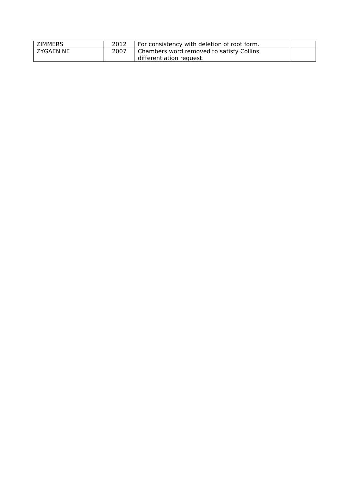| <b>ZIMMERS</b> | 2012 | For consistency with deletion of root form. |  |
|----------------|------|---------------------------------------------|--|
| ZYGAENINE      | 2007 | Chambers word removed to satisfy Collins    |  |
|                |      | differentiation request.                    |  |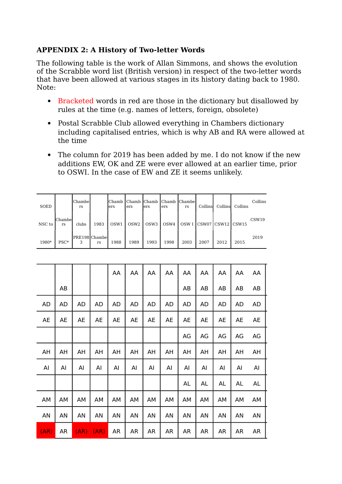#### **APPENDIX 2: A History of Two-letter Words**

The following table is the work of Allan Simmons, and shows the evolution of the Scrabble word list (British version) in respect of the two-letter words that have been allowed at various stages in its history dating back to 1980. Note:

- Bracketed words in red are those in the dictionary but disallowed by rules at the time (e.g. names of letters, foreign, obsolete)
- Postal Scrabble Club allowed everything in Chambers dictionary including capitalised entries, which is why AB and RA were allowed at the time
- The column for 2019 has been added by me. I do not know if the new additions EW, OK and ZE were ever allowed at an earlier time, prior to OSWI. In the case of EW and ZE it seems unlikely.

| SOED   |              | Chambe<br>rs        |      | lers | ers              | ers              | ers  | Chamb Chamb Chamb Chamb Chambel<br>rs | Collins | Collins     | Collins | Collins           |
|--------|--------------|---------------------|------|------|------------------|------------------|------|---------------------------------------|---------|-------------|---------|-------------------|
| NSC to | Chambe<br>rs | clubs               | 1983 | OSW1 | OSW <sub>2</sub> | OSW <sub>3</sub> | OSW4 | OSW <sub>I</sub>                      | CSW07   | CSW12 CSW15 |         | CSW <sub>19</sub> |
| 1980*  | $PSC*$       | PRE198 Chambel<br>3 | rs   | 1988 | 1989             | 1993             | 1998 | 2003                                  | 2007    | 2012        | 2015    | 2019              |

|           |    |           |      | AA | AA        | AA        | AA        | AA        | AA        | AA        | AA | AA |
|-----------|----|-----------|------|----|-----------|-----------|-----------|-----------|-----------|-----------|----|----|
|           | AB |           |      |    |           |           |           | AB        | AB        | AB        | AB | AB |
| <b>AD</b> | AD | <b>AD</b> | AD   | AD | AD        | AD        | <b>AD</b> | AD        | <b>AD</b> | AD        | AD | AD |
| <b>AE</b> | AE | AE        | AE   | AE | AE        | AE        | AE        | AE        | AE        | <b>AE</b> | AE | AE |
|           |    |           |      |    |           |           |           | AG        | AG        | AG        | AG | AG |
| AH        | АH | AH        | AH   | AH | AH        | AH        | AH        | AH        | AH        | AH        | AH | AH |
| Al        | Al | Al        | Al   | Al | Al        | Al        | Al        | Al        | Al        | Al        | Al | Al |
|           |    |           |      |    |           |           |           | AL        | AL        | AL        | AL | AL |
| AM        | AM | AM        | АM   | AM | AM        | AM        | AM        | AM        | AM        | AM        | AM | АM |
| AN        | ΑN | AN        | AN   | AN | ΑN        | AN        | AN        | AN        | AN        | AN        | AN | AN |
| (AR)      | AR | (AR)      | (AR) | AR | <b>AR</b> | <b>AR</b> | AR        | <b>AR</b> | <b>AR</b> | <b>AR</b> | AR | AR |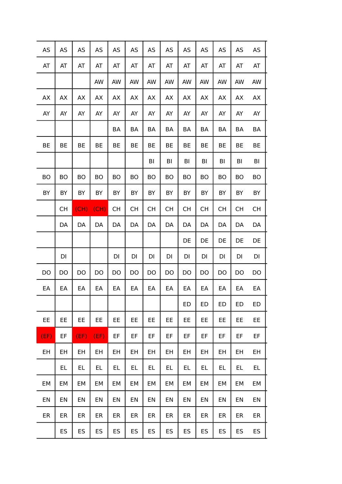| <b>AS</b> | <b>AS</b>      | <b>AS</b>      | AS        | <b>AS</b> | AS        | <b>AS</b>      | <b>AS</b>      | <b>AS</b>      | <b>AS</b> | <b>AS</b> | <b>AS</b> | AS        |
|-----------|----------------|----------------|-----------|-----------|-----------|----------------|----------------|----------------|-----------|-----------|-----------|-----------|
| AT        | AT             | AT             | AT        | AT        | AT        | AT             | AT             | AT             | AT        | AT        | AT        | AT        |
|           |                |                | AW        | AW        | AW        | AW             | AW             | AW             | AW        | AW        | AW        | AW        |
| <b>AX</b> | <b>AX</b>      | <b>AX</b>      | <b>AX</b> | AX        | <b>AX</b> | <b>AX</b>      | AX             | AX             | <b>AX</b> | <b>AX</b> | AX        | <b>AX</b> |
| AY        | AY             | AY             | AY        | AY        | AY        | AY             | AY             | AY             | AY        | AY        | AY        | AY        |
|           |                |                |           | BA        | BA        | BA             | BA             | BA             | BA        | BA        | <b>BA</b> | BA        |
| BE        | BE             | BE             | BE        | BE        | BE        | BE             | BE             | BE             | BE        | BE        | BE        | BE        |
|           |                |                |           |           |           | BI             | BI             | BI             | BI        | BI        | BI        | BI        |
| <b>BO</b> | <b>BO</b>      | <b>BO</b>      | <b>BO</b> | <b>BO</b> | <b>BO</b> | <b>BO</b>      | <b>BO</b>      | <b>BO</b>      | <b>BO</b> | <b>BO</b> | <b>BO</b> | <b>BO</b> |
| BY        | BY             | BY             | BY        | BY        | BY        | BY             | BY             | BY             | BY        | BY        | BY        | BY        |
|           | <b>CH</b>      | (CH)           | (CH)      | <b>CH</b> | <b>CH</b> | <b>CH</b>      | <b>CH</b>      | <b>CH</b>      | <b>CH</b> | <b>CH</b> | <b>CH</b> | <b>CH</b> |
|           | DA             | DA             | DA        | DA        | DA        | DA             | DA             | DA             | DA        | DA        | DA        | DA        |
|           |                |                |           |           |           |                |                | DE             | DE        | DE        | DE        | DE        |
|           | DI             |                |           | DI        | DI        | DI             | DI             | DI             | DI        | DI        | DI        | DI        |
| DO        | D <sub>O</sub> | D <sub>O</sub> | <b>DO</b> | DO        | DO        | D <sub>O</sub> | D <sub>O</sub> | D <sub>O</sub> | DO        | <b>DO</b> | DO        | DO        |
| EA        | EA             | EA             | EA        | EA        | EA        | EA             | EA             | EA             | EA        | EA        | EA        | EA        |
|           |                |                |           |           |           |                |                | <b>ED</b>      | ED        | ED        | ED        | ED        |
| EE        | EE             | EE             | EE        | EE        | EE        | EE             | EE             | EE             | EE        | EE        | EE        | EE.       |
| (EF)      | EF             | (EF)           | (EF)      | EF        | EF        | EF             | EF             | EF             | EF        | EF        | EF        | EF        |
| EH        | EH             | EH             | EH        | EH        | EH        | EH             | EH             | EH             | EH        | EH        | EH        | EH        |
|           | EL.            | EL             | EL        | EL        | EL        | EL             | EL             | EL             | EL        | EL        | EL        | EL.       |
| EM        | EM             | EM             | EM        | EM        | EM        | EM             | EM             | EМ             | EM        | EM        | EM        | EM        |
| EN        | EN             | EN             | EN        | EN        | EN        | EN             | EN             | EN             | EN        | EN        | EN        | EN        |
| ER        | ER             | ER             | ER        | ER        | ER        | ER             | ER             | ER             | ER        | ER        | ER        | ER        |
|           | <b>ES</b>      | ES             | ES        | <b>ES</b> | ES        | ES             | ES             | ES             | ES        | ES        | ES        | <b>ES</b> |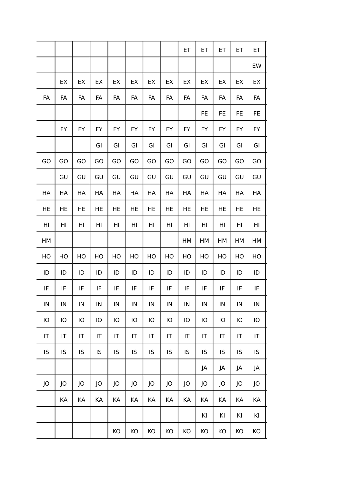|            |           |    |            |           |           |           |           | ET        | ET        | ET | ET | ET        |  |
|------------|-----------|----|------------|-----------|-----------|-----------|-----------|-----------|-----------|----|----|-----------|--|
|            |           |    |            |           |           |           |           |           |           |    |    | EW        |  |
|            | EX        | EX | EX         | EX        | EX        | EX        | EX        | EX        | EX        | EX | EX | EX        |  |
| FA         | FA        | FA | FA         | FA        | FA        | FA        | FA        | FA        | FA        | FA | FA | FA        |  |
|            |           |    |            |           |           |           |           |           | FE        | FE | FE | FE        |  |
|            | <b>FY</b> | FY | FY         | <b>FY</b> | <b>FY</b> | <b>FY</b> | <b>FY</b> | <b>FY</b> | <b>FY</b> | FY | FY | <b>FY</b> |  |
|            |           |    | GI         | GI        | GI        | GI        | GI        | GI        | GI        | GI | GI | GI        |  |
| GO         | GO        | GO | GO         | GO        | GO        | GO        | GO        | GO        | GO        | GO | GO | GO        |  |
|            | GU        | GU | GU         | GU        | GU        | GU        | GU        | GU        | GU        | GU | GU | GU        |  |
| HA         | HA        | HA | HA         | HA        | HA        | HA        | HA        | HA        | HA        | HA | HA | HA        |  |
| HE         | HE        | HE | HE         | HE        | HE        | HE        | HE        | HE        | HE        | HE | HE | HE        |  |
| HI         | HI        | HI | HI         | HI        | HI        | HI        | HI        | HI        | HI        | HI | HI | HI        |  |
| HM         |           |    |            |           |           |           |           | HM        | HM        | HM | HM | HM        |  |
| HO         | HO        | HO | HO         | HO        | HO        | HO        | HO        | HO        | HO        | HO | HO | HO        |  |
| ID         | ID        | ID | ID         | ID        | ID        | ID        | ID        | ID        | ID        | ID | ID | ID        |  |
| IF         | IF        | IF | IF         | IF        | IF        | IF        | IF        | IF        | IF        | IF | IF | IF        |  |
| ${\sf IN}$ | IN        | IN | ${\sf IN}$ | IN        | IN        | IN        | IN        | IN        | IN        | IN | IN | IN        |  |
| IO         | IO        | IO | IO         | IO        | IO        | IO        | IO        | IO        | IO        | IO | IO | IO        |  |
| IT         | IT        | IT | IT         | IT        | IT        | IT        | IT        | IT        | IT        | IT | IT | IT        |  |
| IS         | IS        | IS | IS         | IS        | IS        | IS        | IS        | IS        | IS        | IS | IS | IS        |  |
|            |           |    |            |           |           |           |           |           | JA        | JA | JA | JA        |  |
| JO         | JO        | JO | JO         | JO        | JO        | JO        | JO        | JO        | JO        | JO | JO | JO        |  |
|            | КA        | KA | KA         | KA        | KA        | KA        | KA        | KA        | KA        | KA | KA | KA        |  |
|            |           |    |            |           |           |           |           |           | KI        | KI | KI | KI        |  |
|            |           |    |            | KO        | KO        | KO        | KO        | KO        | KO        | KO | KO | KO        |  |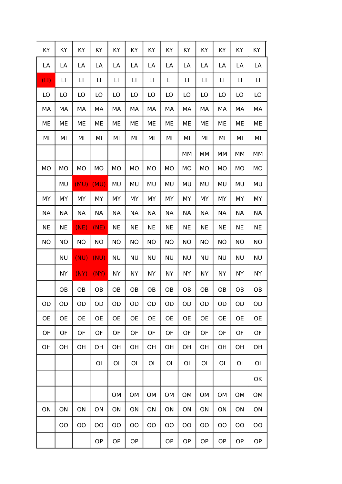| KY        | KY        | KY        | KY             | KY        | KY             | KY        | KY             | KY             | KY        | KY        | KY             | KY        |
|-----------|-----------|-----------|----------------|-----------|----------------|-----------|----------------|----------------|-----------|-----------|----------------|-----------|
| LA        | LA        | LA        | LA             | LA        | LA             | LA        | LA             | LA             | LA        | LA        | LA             | LA        |
| (LI)      | $\Box$    | П         | LI             | П         | П              | LI        | LI             | П              | П         | П         | LI             | П         |
| LO        | LO        | LO        | LO             | LO        | LO             | LO        | LO             | LO             | LO        | LO        | LO             | LO        |
| МA        | МA        | МA        | МA             | МA        | МA             | MA        | МA             | МA             | MA        | МA        | MA             | МA        |
| ME        | ME        | ME        | ME             | ME        | МE             | МE        | ME             | ME             | ME        | ME        | ME             | ME        |
| MI        | ΜI        | ΜI        | ΜI             | MI        | ΜI             | ΜI        | МI             | ΜI             | MI        | МI        | ΜI             | ΜI        |
|           |           |           |                |           |                |           |                | MМ             | MM        | MМ        | MM             | MМ        |
| MO        | MO        | MO        | MO             | MO        | MO             | MO        | <b>MO</b>      | MO             | <b>MO</b> | <b>MO</b> | <b>MO</b>      | MO        |
|           | MU        | (MU)      | (MU)           | <b>MU</b> | MU             | MU        | MU             | MU             | MU        | <b>MU</b> | <b>MU</b>      | <b>MU</b> |
| MY        | MY        | MY        | MY             | MY        | MY             | MY        | MY             | MY             | MY        | MY        | MY             | MY        |
| <b>NA</b> | NА        | <b>NA</b> | <b>NA</b>      | <b>NA</b> | NА             | <b>NA</b> | NА             | <b>NA</b>      | <b>NA</b> | <b>NA</b> | <b>NA</b>      | <b>NA</b> |
| <b>NE</b> | NE        | (NE)      | (NE)           | <b>NE</b> | NE             | <b>NE</b> | <b>NE</b>      | <b>NE</b>      | <b>NE</b> | NE        | <b>NE</b>      | <b>NE</b> |
| <b>NO</b> | <b>NO</b> | <b>NO</b> | <b>NO</b>      | <b>NO</b> | <b>NO</b>      | <b>NO</b> | <b>NO</b>      | <b>NO</b>      | <b>NO</b> | <b>NO</b> | <b>NO</b>      | <b>NO</b> |
|           | <b>NU</b> | (NU)      | (NU)           | <b>NU</b> | <b>NU</b>      | <b>NU</b> | <b>NU</b>      | <b>NU</b>      | <b>NU</b> | <b>NU</b> | <b>NU</b>      | <b>NU</b> |
|           | <b>NY</b> | (NY)      | (NY)           | NY        | NΥ             | NΥ        | NY             | <b>NY</b>      | NΥ        | NY        | NΥ             | NΥ        |
|           | OB        | OB        | <b>OB</b>      | OB        | OB             | OB        | OB             | <b>OB</b>      | OB        | OB        | OB             | OB        |
| OD        | OD        | OD        | OD             | OD        | OD             | OD        | OD             | OD             | OD        | OD        | OD             | OD        |
| <b>OE</b> | <b>OE</b> | <b>OE</b> | <b>OE</b>      | <b>OE</b> | <b>OE</b>      | <b>OE</b> | <b>OE</b>      | <b>OE</b>      | <b>OE</b> | <b>OE</b> | <b>OE</b>      | <b>OE</b> |
| OF        | OF        | OF        | OF             | OF        | OF             | OF        | OF             | OF             | OF        | OF        | OF             | OF        |
| OH        | OH        | OH        | OH             | OH        | OH             | OH        | OH             | OH             | OH        | OH        | OH             | OH        |
|           |           |           | O <sub>l</sub> | <b>OI</b> | O <sub>l</sub> | <b>OI</b> | O <sub>1</sub> | O <sub>l</sub> | OI        | OI        | O <sub>1</sub> | OI        |
|           |           |           |                |           |                |           |                |                |           |           |                | OK        |
|           |           |           |                | OM        | OM             | OM        | OM             | OM             | <b>OM</b> | OM        | OM             | <b>OM</b> |
| ON        | ON        | ON        | ON             | ON        | ON             | ON        | ON             | ON             | ON        | ON        | ON             | ON        |
|           | OO        | 00        | 00             | OO        | 00             | OO        | 00             | 00             | 00        | 00        | 00             | <b>OO</b> |
|           |           |           | OP             | OP        | OP             |           | OP             | OP             | OP        | OP        | OP             | OP        |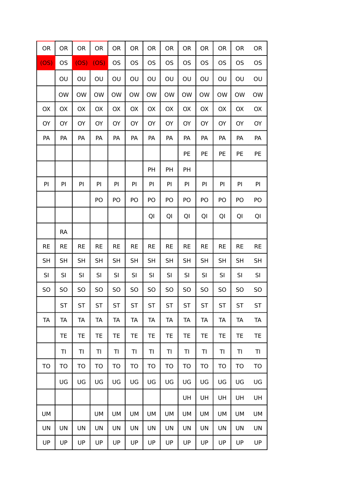| <b>OR</b> | <b>OR</b> | <b>OR</b> | <b>OR</b> | <b>OR</b> | <b>OR</b> | <b>OR</b> | <b>OR</b> | <b>OR</b> | <b>OR</b> | <b>OR</b> | <b>OR</b> | <b>OR</b> |
|-----------|-----------|-----------|-----------|-----------|-----------|-----------|-----------|-----------|-----------|-----------|-----------|-----------|
| (OS)      | <b>OS</b> | (OS)      | (OS)      | <b>OS</b> | <b>OS</b> | <b>OS</b> | <b>OS</b> | <b>OS</b> | <b>OS</b> | OS        | <b>OS</b> | <b>OS</b> |
|           | OU        | OU        | OU        | OU        | OU        | OU        | OU        | OU        | OU        | OU        | OU        | OU        |
|           | OW        | <b>OW</b> | <b>OW</b> | OW        | <b>OW</b> | OW        | OW        | OW        | <b>OW</b> | <b>OW</b> | <b>OW</b> | <b>OW</b> |
| OX        | OX        | OX        | OX        | OX        | OX        | OX        | OX        | OX        | OX        | OX        | OX        | OX        |
| <b>OY</b> | <b>OY</b> | <b>OY</b> | OY        | OY        | OY        | <b>OY</b> | <b>OY</b> | <b>OY</b> | OY        | OY        | OY        | OY        |
| PA        | PA        | PA        | PA        | PA        | PA        | PA        | PA        | PA        | PA        | PA        | PA        | PA        |
|           |           |           |           |           |           |           |           | PE        | PE        | PE        | PE        | PE        |
|           |           |           |           |           |           | PH        | PH        | PH        |           |           |           |           |
| PI        | PI        | PI        | PI        | PI        | PI        | PI        | PI        | PI        | PI        | PI        | PI        | PI        |
|           |           |           | PO        | PO        | PO        | PO        | PO        | PO        | PO        | PO        | PO        | PO        |
|           |           |           |           |           |           | QI        | QI        | QI        | QI        | QI        | QI        | QI        |
|           | RA        |           |           |           |           |           |           |           |           |           |           |           |
| <b>RE</b> | <b>RE</b> | <b>RE</b> | <b>RE</b> | <b>RE</b> | <b>RE</b> | <b>RE</b> | <b>RE</b> | <b>RE</b> | <b>RE</b> | <b>RE</b> | <b>RE</b> | <b>RE</b> |
| <b>SH</b> | <b>SH</b> | <b>SH</b> | <b>SH</b> | SH        | <b>SH</b> | <b>SH</b> | <b>SH</b> | <b>SH</b> | <b>SH</b> | <b>SH</b> | <b>SH</b> | <b>SH</b> |
| SI        | SI        | SI        | SI        | SI        | SI        | SI        | SI        | SI        | SI        | SI        | SI        | SI        |
| SO        | SO        | SO        | <b>SO</b> | SO        | <b>SO</b> | SO        | SO        | <b>SO</b> | SO        | SO        | <b>SO</b> | SO        |
|           | <b>ST</b> | <b>ST</b> | <b>ST</b> | <b>ST</b> | ST        | ST        | <b>ST</b> | <b>ST</b> | <b>ST</b> | <b>ST</b> | <b>ST</b> | <b>ST</b> |
| <b>TA</b> | TA        | <b>TA</b> | <b>TA</b> | <b>TA</b> | TA        | <b>TA</b> | TA        | <b>TA</b> | TA        | TA        | <b>TA</b> | <b>TA</b> |
|           | TE        | TE        | TE        | TE        | TE        | <b>TE</b> | TE        | TE        | TE        | TE        | TE        | TE        |
|           | TI        | TI        | TI        | TI        | ΤI        | ΤI        | TI        | TI        | TI        | TI        | TI        | TI        |
| <b>TO</b> | TO        | TO        | TO        | TO        | <b>TO</b> | TO        | TO        | <b>TO</b> | TO        | TO        | TO        | <b>TO</b> |
|           | UG        | UG        | UG        | UG        | UG        | UG        | UG        | UG        | UG        | UG        | UG        | UG        |
|           |           |           |           |           |           |           |           | UH        | UH        | UH        | UH        | UH        |
| UM        |           |           | UM        | UM        | UM        | UM        | UM        | <b>UM</b> | UM        | UM        | <b>UM</b> | <b>UM</b> |
| <b>UN</b> | UN        | UN        | UN        | UN        | UN        | UN        | UN        | <b>UN</b> | <b>UN</b> | UN        | UN        | <b>UN</b> |
| UP        | UP        | UP        | UP        | UP        | UP        | UP        | UP        | UP        | UP        | UP        | UP        | UP        |